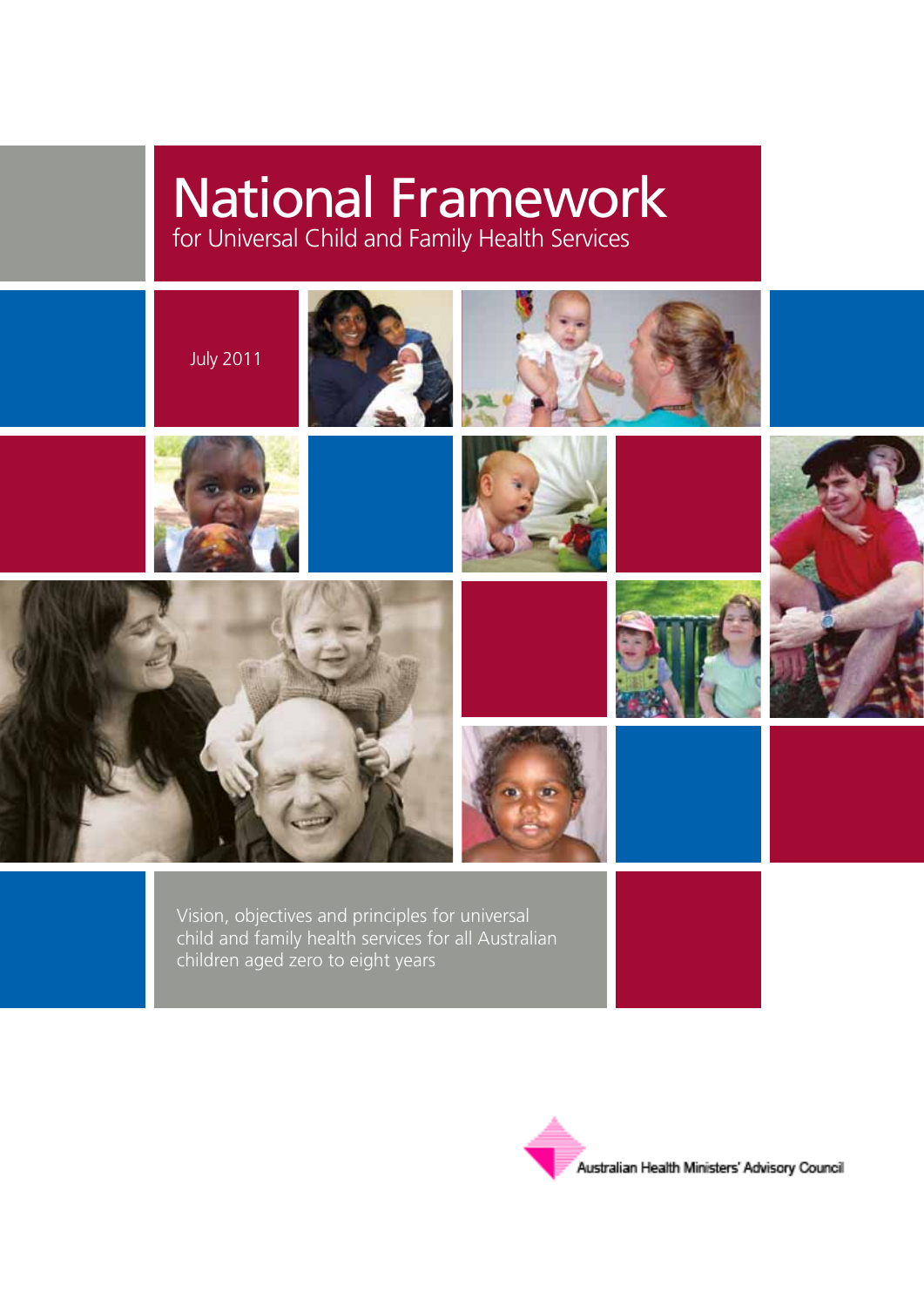# National Framework for Universal Child and Family Health Services

July 2011















Vision, objectives and principles for universal child and family health services for all Australian children aged zero to eight years



Australian Health Ministers' Advisory Council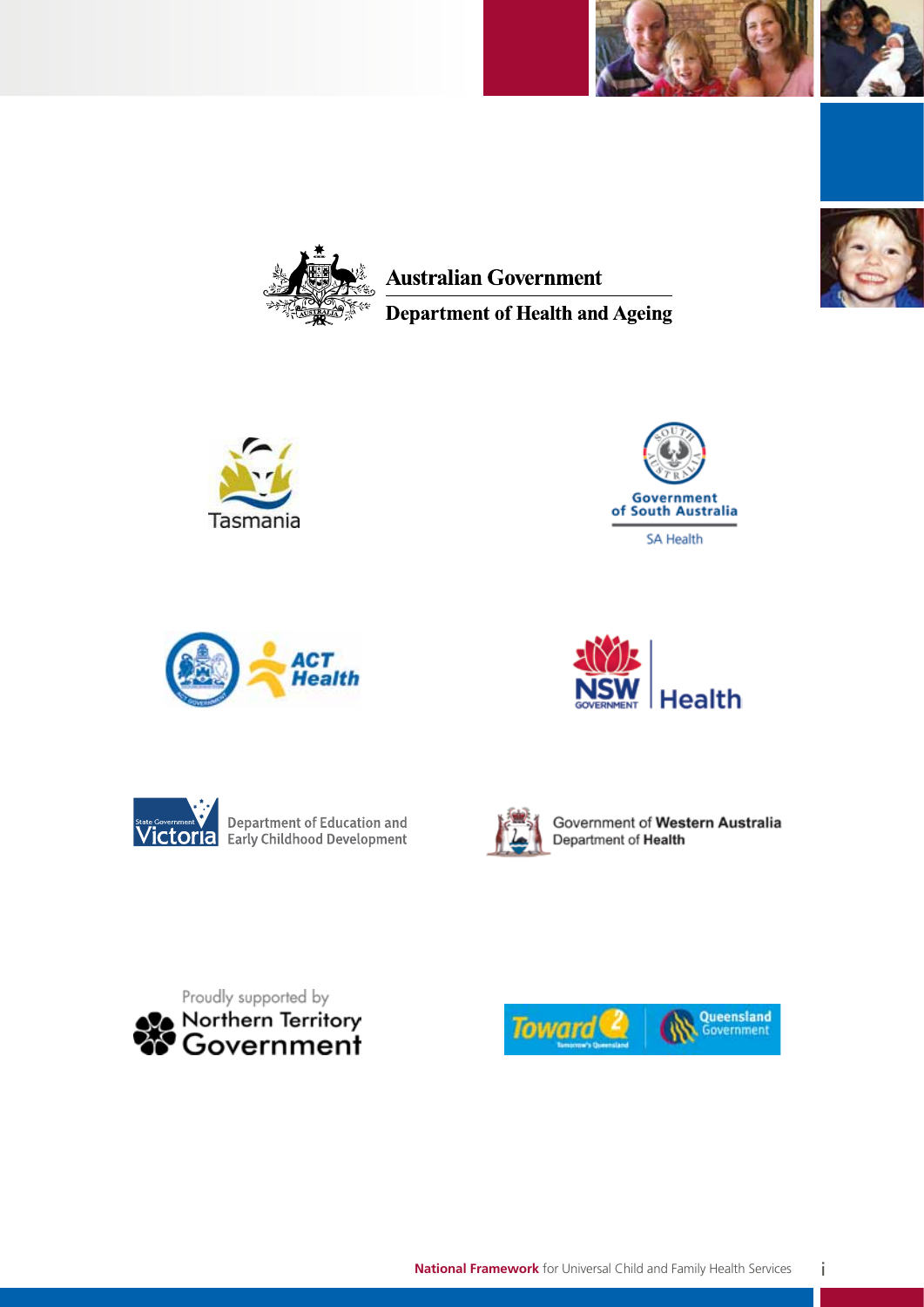





**Australian Government** 

**Department of Health and Ageing** 











State Government > Department of Education and<br> **Victoria** Early Childhood Development



Government of Western Australia<br>Department of Health



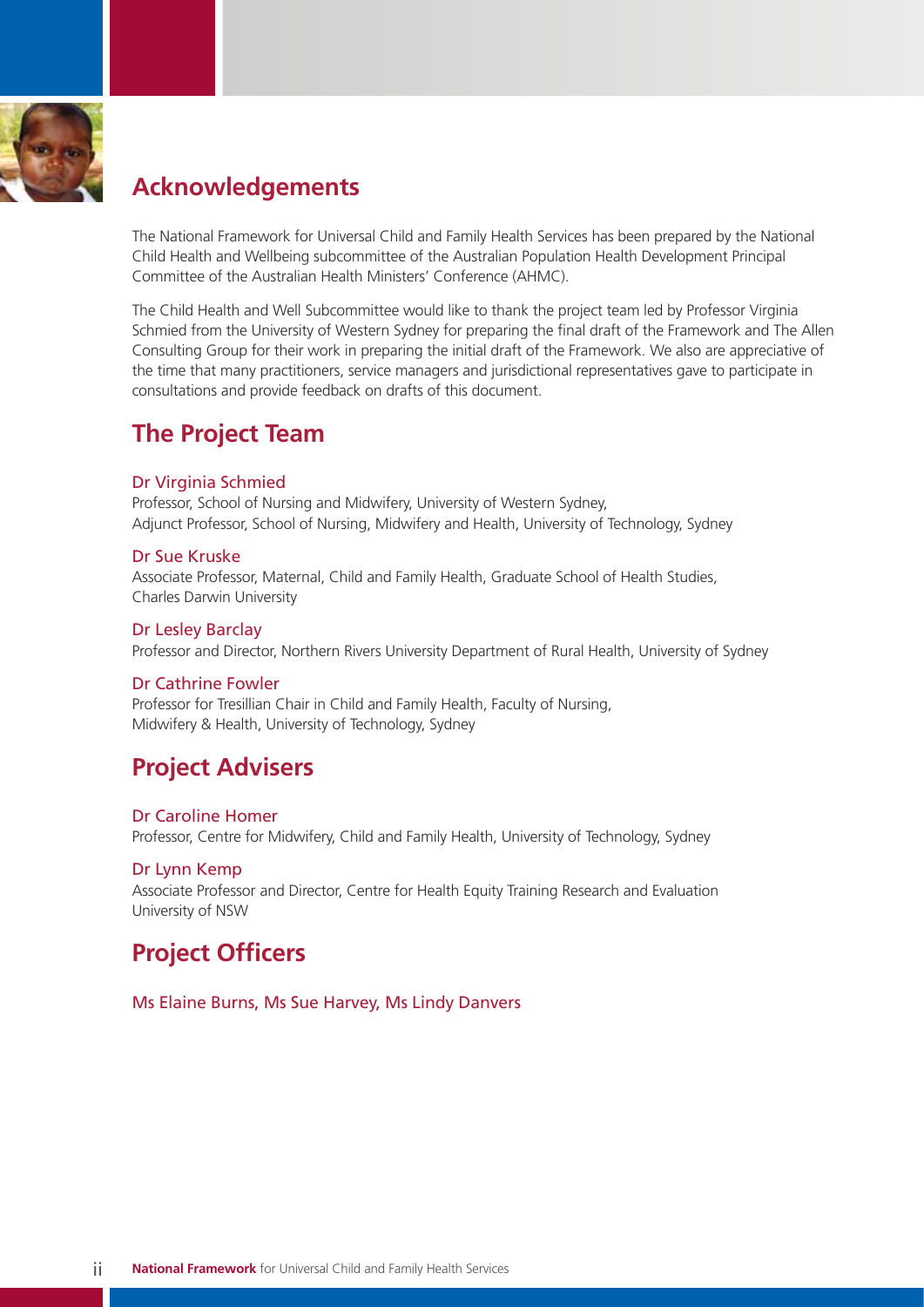

# **Acknowledgements**

The National Framework for Universal Child and Family Health Services has been prepared by the National Child Health and Wellbeing subcommittee of the Australian Population Health Development Principal Committee of the Australian Health Ministers' Conference (AHMC).

The Child Health and Well Subcommittee would like to thank the project team led by Professor Virginia Schmied from the University of Western Sydney for preparing the final draft of the Framework and The Allen Consulting Group for their work in preparing the initial draft of the Framework. We also are appreciative of the time that many practitioners, service managers and jurisdictional representatives gave to participate in consultations and provide feedback on drafts of this document.

# **The Project Team**

### Dr Virginia Schmied

Professor, School of Nursing and Midwifery, University of Western Sydney, Adjunct Professor, School of Nursing, Midwifery and Health, University of Technology, Sydney

#### Dr Sue Kruske

Associate Professor, Maternal, Child and Family Health, Graduate School of Health Studies, Charles Darwin University

#### Dr Lesley Barclay

Professor and Director, Northern Rivers University Department of Rural Health, University of Sydney

#### Dr Cathrine Fowler

Professor for Tresillian Chair in Child and Family Health, Faculty of Nursing, Midwifery & Health, University of Technology, Sydney

## **Project Advisers**

### Dr Caroline Homer

Professor, Centre for Midwifery, Child and Family Health, University of Technology, Sydney

#### Dr Lynn Kemp

Associate Professor and Director, Centre for Health Equity Training Research and Evaluation University of NSW

## **Project Officers**

Ms Elaine Burns, Ms Sue Harvey, Ms Lindy Danvers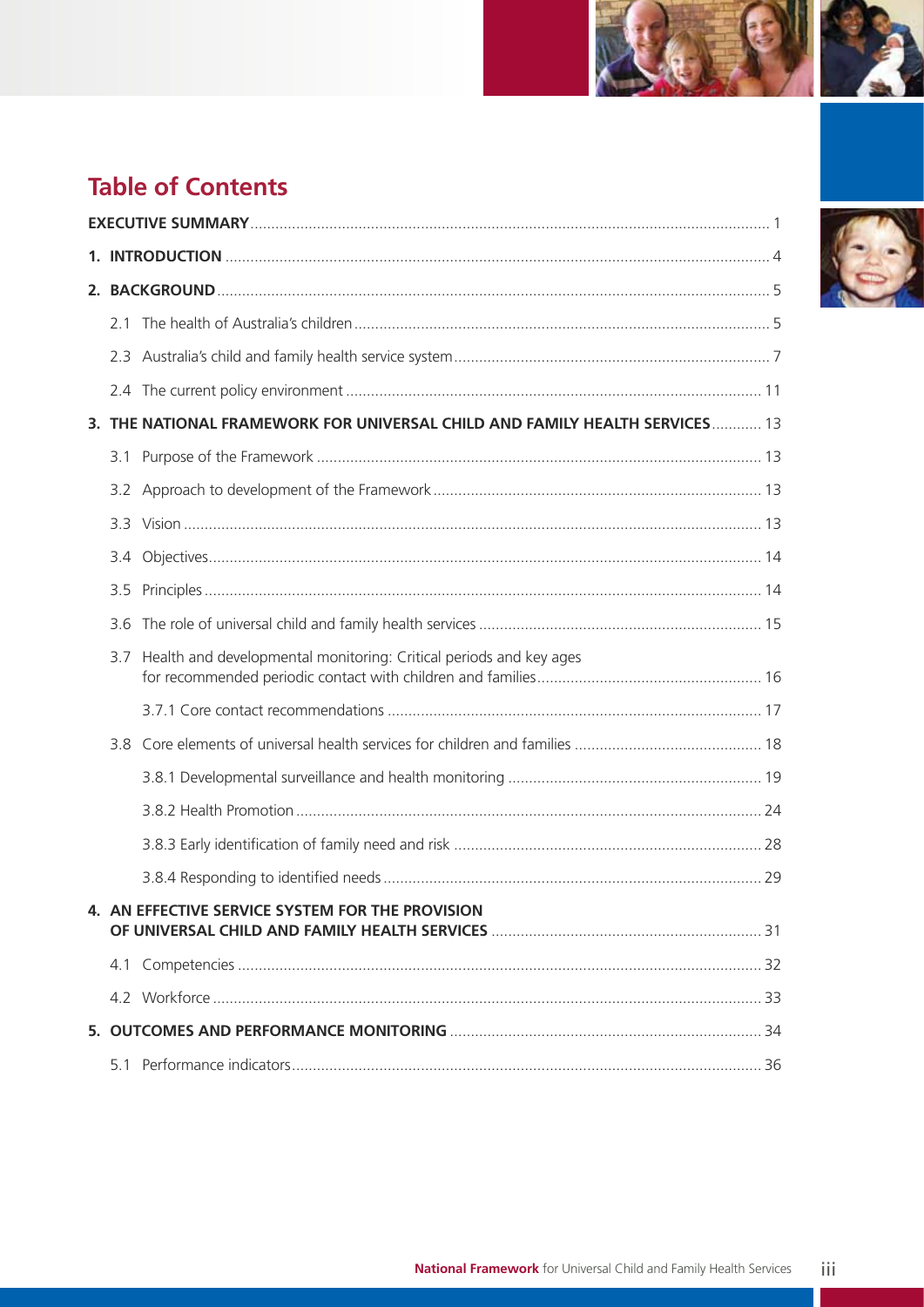

# **Table of Contents**

|     | 3. THE NATIONAL FRAMEWORK FOR UNIVERSAL CHILD AND FAMILY HEALTH SERVICES 13 |  |  |  |
|-----|-----------------------------------------------------------------------------|--|--|--|
|     |                                                                             |  |  |  |
|     |                                                                             |  |  |  |
|     |                                                                             |  |  |  |
|     |                                                                             |  |  |  |
|     |                                                                             |  |  |  |
|     |                                                                             |  |  |  |
| 3.7 | Health and developmental monitoring: Critical periods and key ages          |  |  |  |
|     |                                                                             |  |  |  |
|     |                                                                             |  |  |  |
|     |                                                                             |  |  |  |
|     |                                                                             |  |  |  |
|     |                                                                             |  |  |  |
|     |                                                                             |  |  |  |
|     | AN EFFECTIVE SERVICE SYSTEM FOR THE PROVISION                               |  |  |  |
|     |                                                                             |  |  |  |
|     |                                                                             |  |  |  |
|     |                                                                             |  |  |  |
|     |                                                                             |  |  |  |

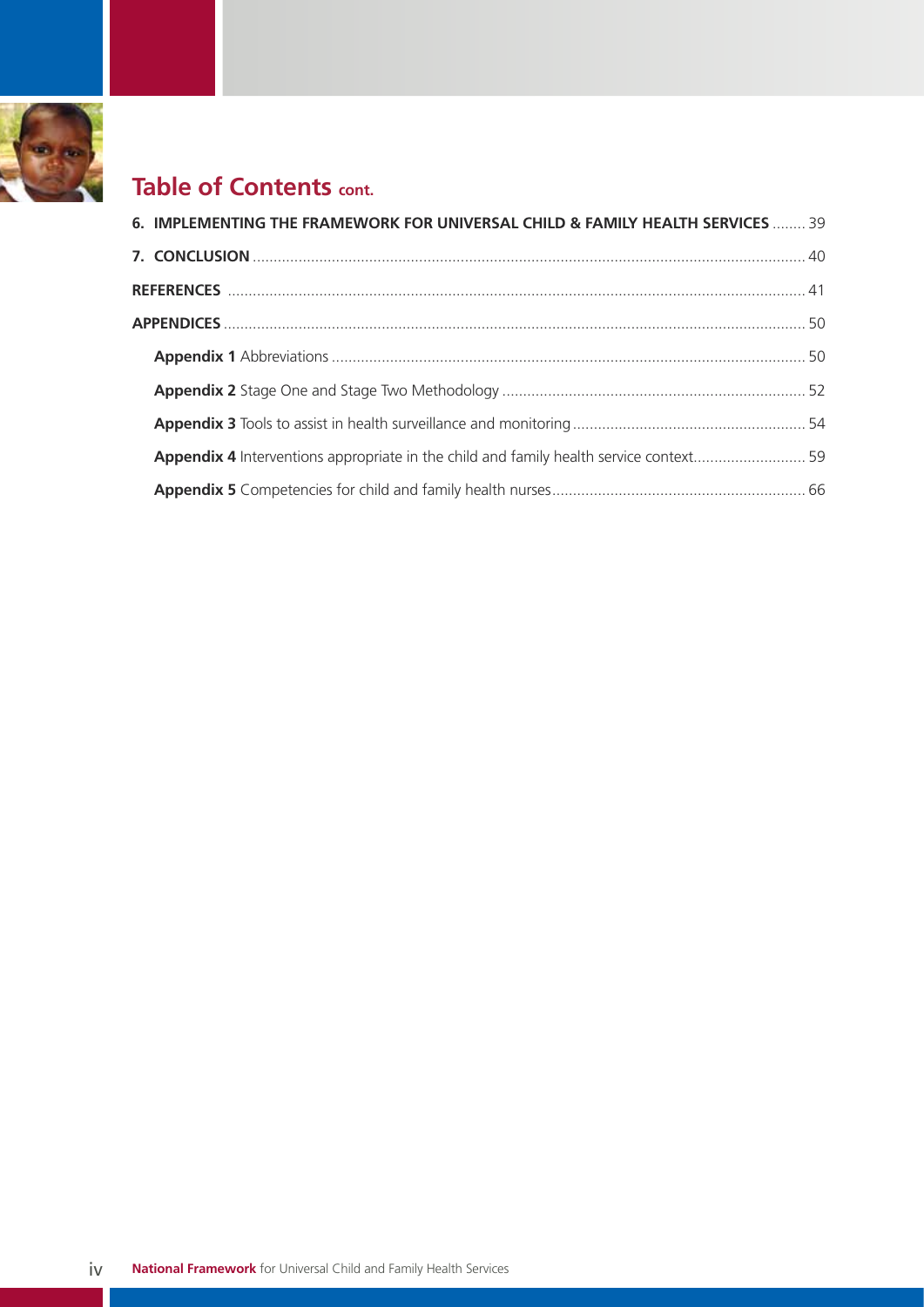

# **Table of Contents cont.**

| 6. IMPLEMENTING THE FRAMEWORK FOR UNIVERSAL CHILD & FAMILY HEALTH SERVICES  39         |  |  |  |  |
|----------------------------------------------------------------------------------------|--|--|--|--|
|                                                                                        |  |  |  |  |
|                                                                                        |  |  |  |  |
|                                                                                        |  |  |  |  |
|                                                                                        |  |  |  |  |
|                                                                                        |  |  |  |  |
|                                                                                        |  |  |  |  |
| Appendix 4 Interventions appropriate in the child and family health service context 59 |  |  |  |  |
|                                                                                        |  |  |  |  |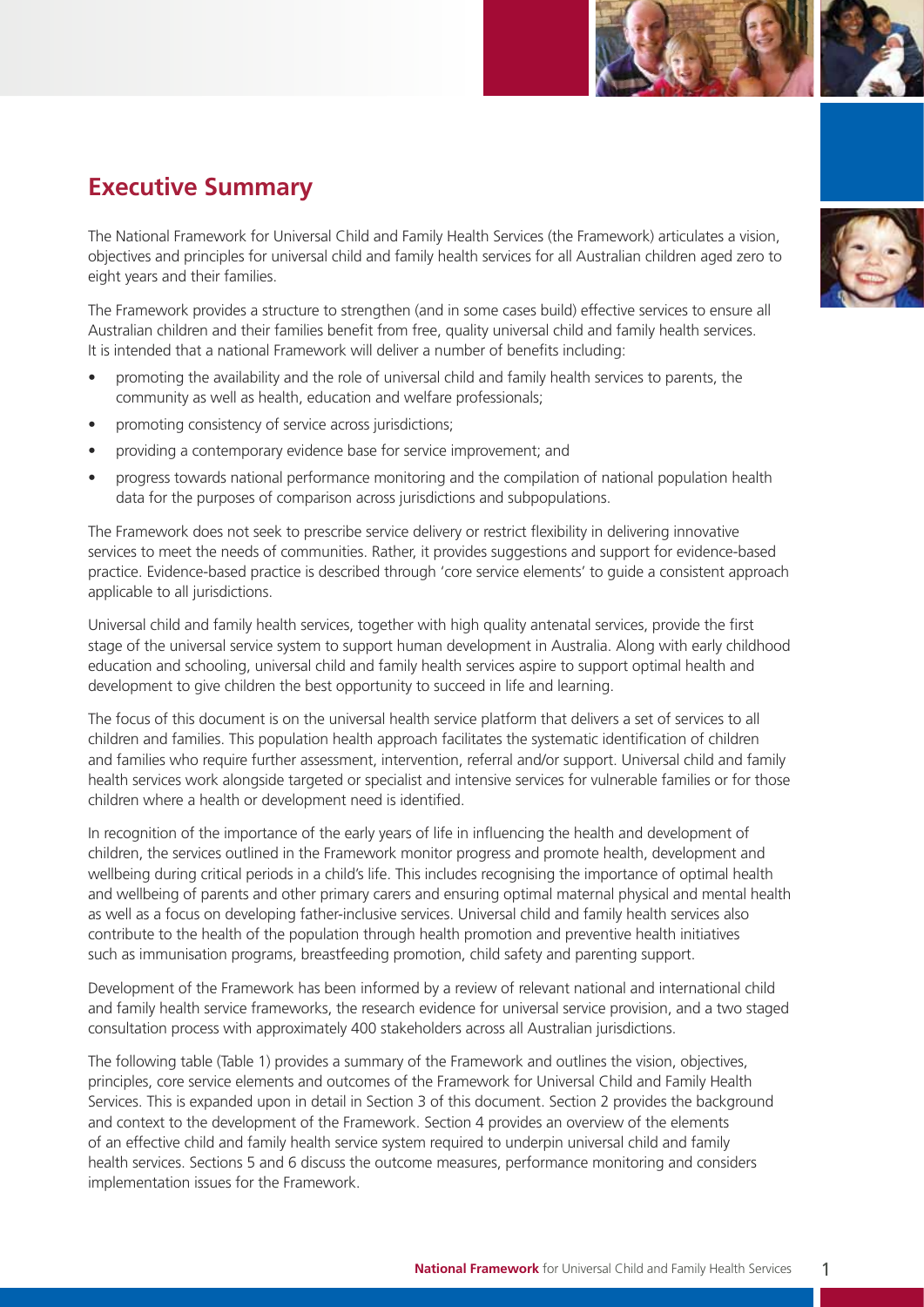

# **Executive Summary**

The National Framework for Universal Child and Family Health Services (the Framework) articulates a vision, objectives and principles for universal child and family health services for all Australian children aged zero to eight years and their families.

The Framework provides a structure to strengthen (and in some cases build) effective services to ensure all Australian children and their families benefit from free, quality universal child and family health services. It is intended that a national Framework will deliver a number of benefits including:

- promoting the availability and the role of universal child and family health services to parents, the community as well as health, education and welfare professionals;
- promoting consistency of service across jurisdictions;
- providing a contemporary evidence base for service improvement; and
- progress towards national performance monitoring and the compilation of national population health data for the purposes of comparison across jurisdictions and subpopulations.

The Framework does not seek to prescribe service delivery or restrict flexibility in delivering innovative services to meet the needs of communities. Rather, it provides suggestions and support for evidence-based practice. Evidence-based practice is described through 'core service elements' to guide a consistent approach applicable to all jurisdictions.

Universal child and family health services, together with high quality antenatal services, provide the first stage of the universal service system to support human development in Australia. Along with early childhood education and schooling, universal child and family health services aspire to support optimal health and development to give children the best opportunity to succeed in life and learning.

The focus of this document is on the universal health service platform that delivers a set of services to all children and families. This population health approach facilitates the systematic identification of children and families who require further assessment, intervention, referral and/or support. Universal child and family health services work alongside targeted or specialist and intensive services for vulnerable families or for those children where a health or development need is identified.

In recognition of the importance of the early years of life in influencing the health and development of children, the services outlined in the Framework monitor progress and promote health, development and wellbeing during critical periods in a child's life. This includes recognising the importance of optimal health and wellbeing of parents and other primary carers and ensuring optimal maternal physical and mental health as well as a focus on developing father-inclusive services. Universal child and family health services also contribute to the health of the population through health promotion and preventive health initiatives such as immunisation programs, breastfeeding promotion, child safety and parenting support.

Development of the Framework has been informed by a review of relevant national and international child and family health service frameworks, the research evidence for universal service provision, and a two staged consultation process with approximately 400 stakeholders across all Australian jurisdictions.

The following table (Table 1) provides a summary of the Framework and outlines the vision, objectives, principles, core service elements and outcomes of the Framework for Universal Child and Family Health Services. This is expanded upon in detail in Section 3 of this document. Section 2 provides the background and context to the development of the Framework. Section 4 provides an overview of the elements of an effective child and family health service system required to underpin universal child and family health services. Sections 5 and 6 discuss the outcome measures, performance monitoring and considers implementation issues for the Framework.

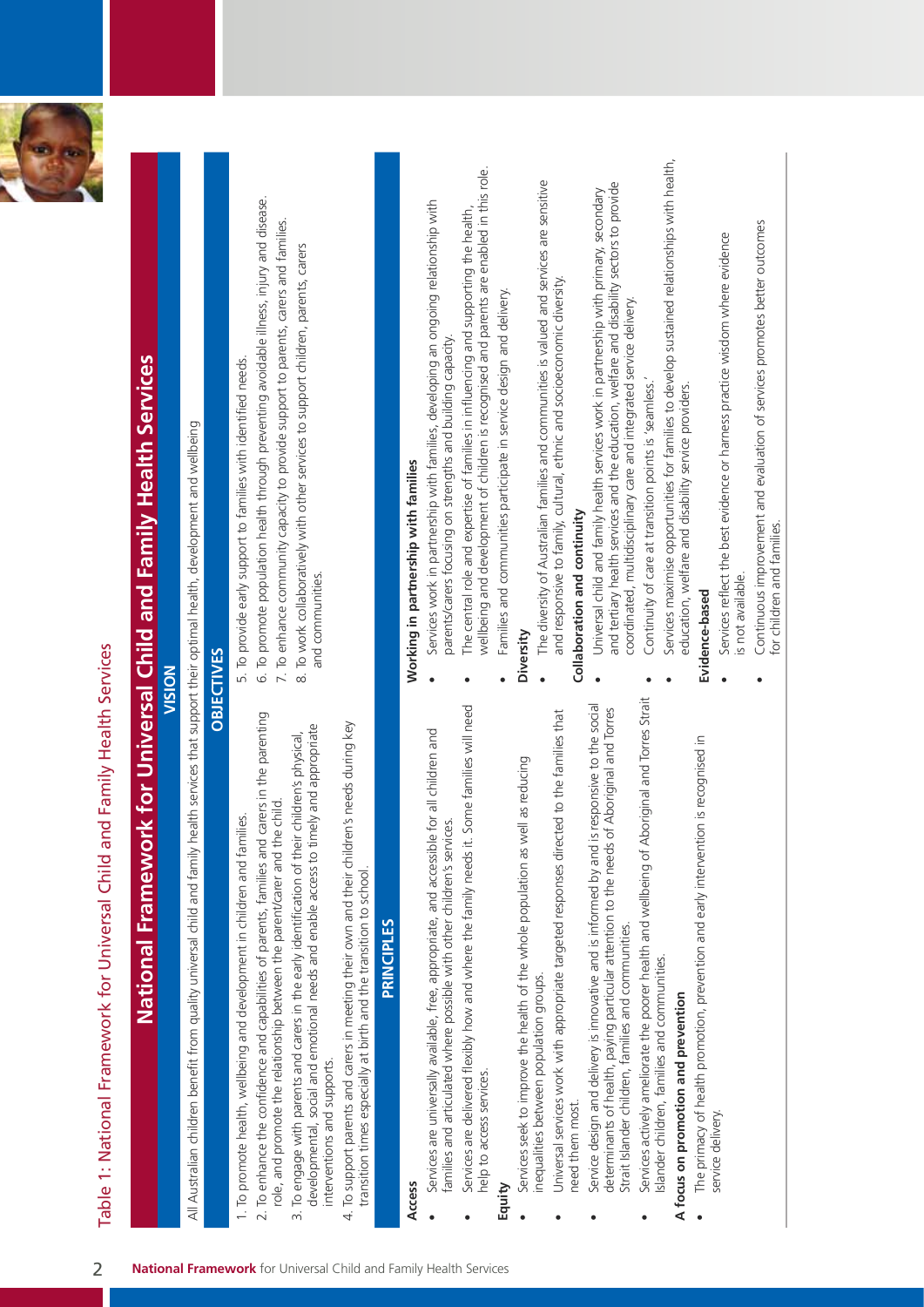

- 
- 
- 
- 

- 
- 

- 
- 
- 
- 

- 
- 
- 

- **National Framework** for Universal Child and Family Health Services **National Framework** for Universal Child and Family Health Services Table 1: National Framework for Universal Child and Family Health Services **National Framework for Universal Child and Family Health Services VISION** All Australian children benefit from quality universal child and family health services that support their optimal health, development and wellbeing **OBJECTIVES** 1. To promote health, wellbeing and development in children and families. 2. To enhance the confidence and capabilities of parents, families and carers in the parenting role, and promote the relationship between the parent/carer and the child. 3. To engage with parents and carers in the early identification of their children's physical, developmental, social and emotional needs and enable access to timely and appropriate interventions and supports. 4. To support parents and carers in meeting their own and their children's needs during key transition times especially at birth and the transition to school. 5. To provide early support to families with identified needs. 6. To promote population health through preventing avoidable illness, injury and disease. 7. To enhance community capacity to provide support to parents, carers and families. 8. To work collaboratively with other services to support children, parents, carers and communities. **PRINCIPLES Access** • Services are universally available, free, appropriate, and accessible for all children and families and articulated where possible with other children's services. • Services are delivered flexibly how and where the family needs it. Some families will need help to access services. **Equity** • Services seek to improve the health of the whole population as well as reducing inequalities between population groups. • Universal services work with appropriate targeted responses directed to the families that need them most. • Service design and delivery is innovative and is informed by and is responsive to the social determinants of health, paying particular attention to the needs of Aboriginal and Torres Strait Islander children, families and communities. • Services actively ameliorate the poorer health and wellbeing of Aboriginal and Torres Strait Islander children, families and communities. **A focus on promotion and prevention** • The primacy of health promotion, prevention and early intervention is recognised in service delivery. **Working in partnership with families** • Services work in partnership with families, developing an ongoing relationship with parents/carers focusing on strengths and building capacity. • The central role and expertise of families in influencing and supporting the health, wellbeing and development of children is recognised and parents are enabled in this role. • Families and communities participate in service design and delivery. **Diversity** • The diversity of Australian families and communities is valued and services are sensitive and responsive to family, cultural, ethnic and socioeconomic diversity. **Collaboration and continuity** • Universal child and family health services work in partnership with primary, secondary and tertiary health services and the education, welfare and disability sectors to provide coordinated, multidisciplinary care and integrated service delivery. • Continuity of care at transition points is 'seamless.' • Services maximise opportunities for families to develop sustained relationships with health, education, welfare and disability service providers. **Evidence-based** • Services reflect the best evidence or harness practice wisdom where evidence is not available. • Continuous improvement and evaluation of services promotes better outcomes for children and families.
	-
- 

- 
-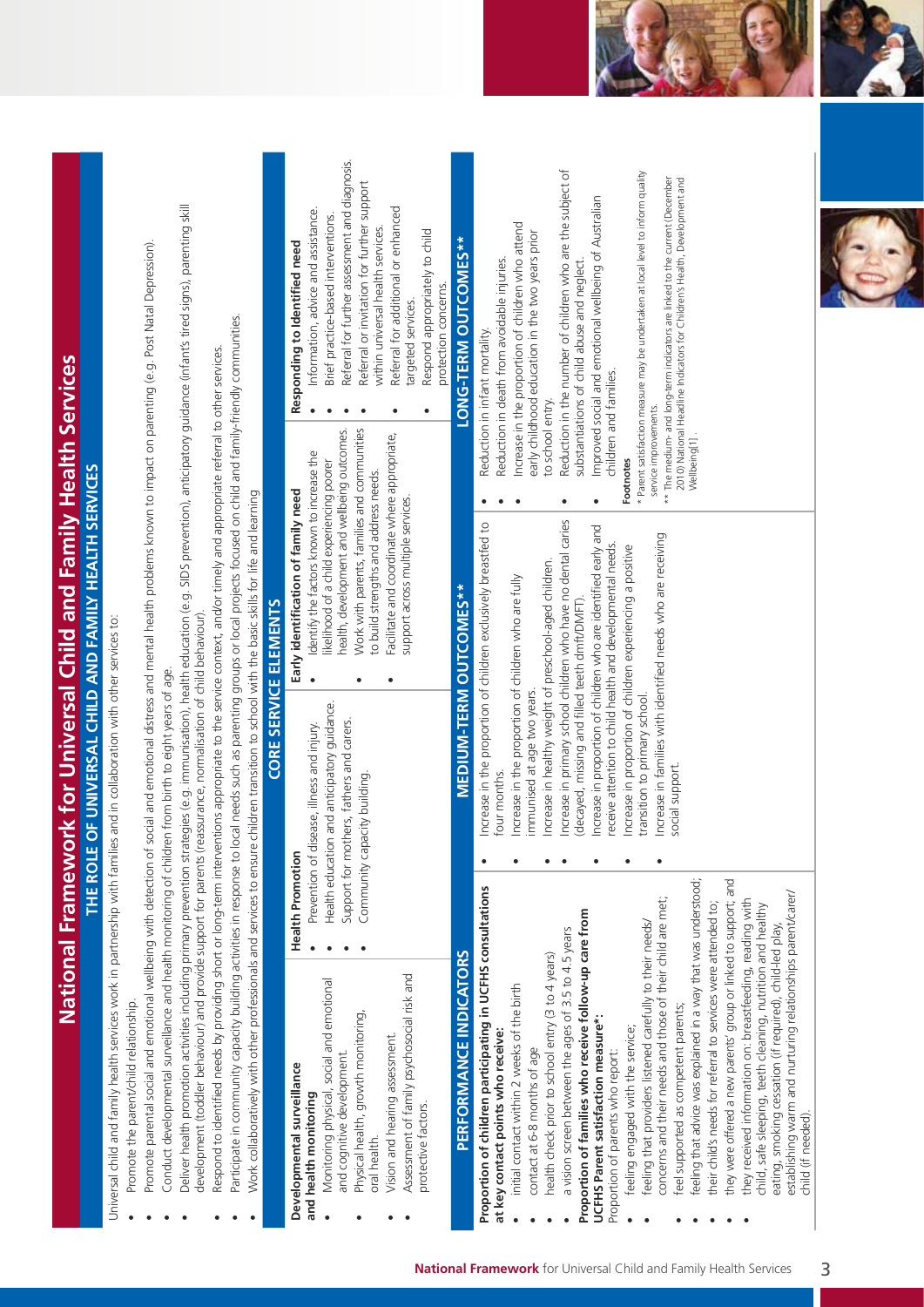

 $\blacksquare$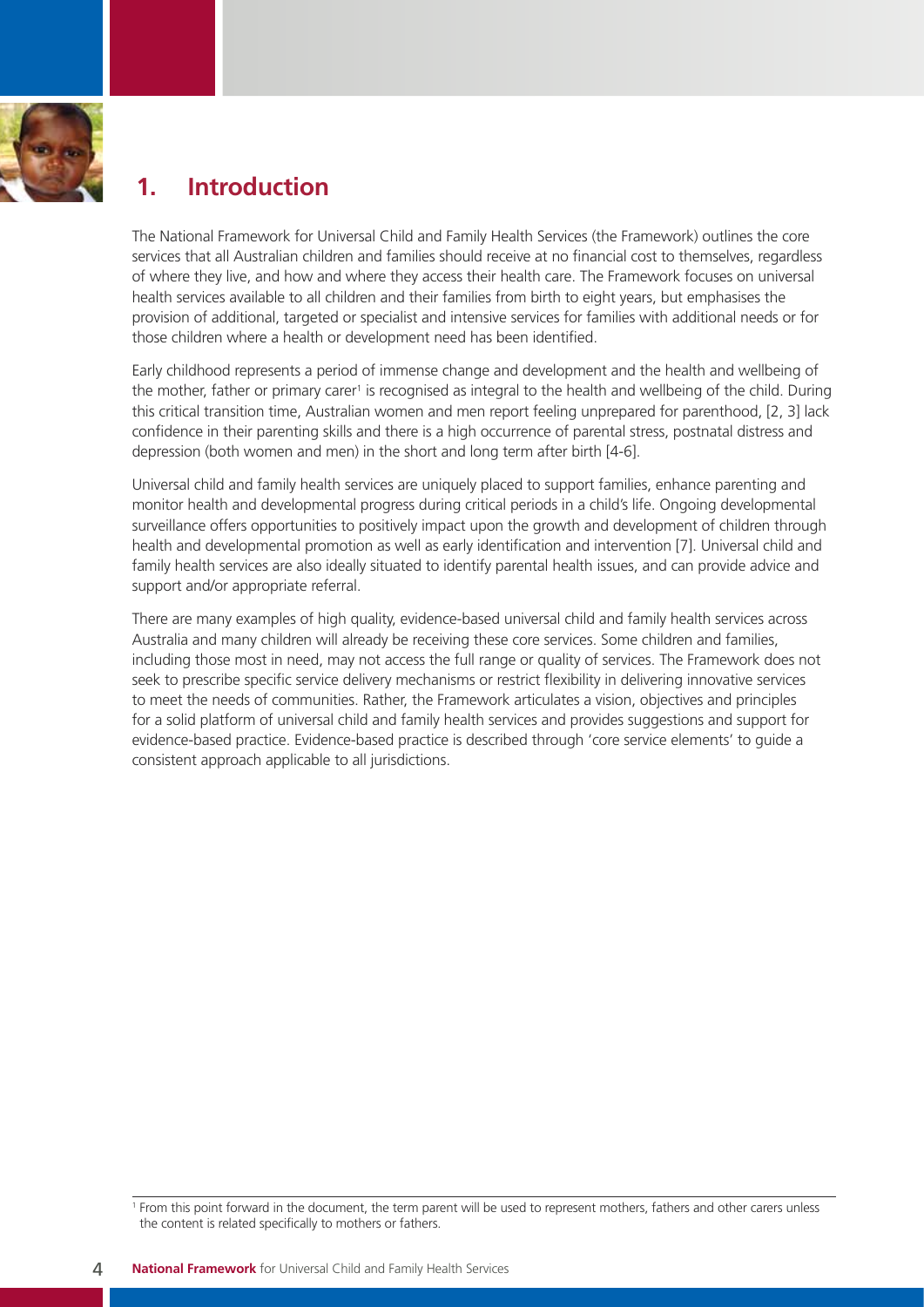

# **1. Introduction**

The National Framework for Universal Child and Family Health Services (the Framework) outlines the core services that all Australian children and families should receive at no financial cost to themselves, regardless of where they live, and how and where they access their health care. The Framework focuses on universal health services available to all children and their families from birth to eight years, but emphasises the provision of additional, targeted or specialist and intensive services for families with additional needs or for those children where a health or development need has been identified.

Early childhood represents a period of immense change and development and the health and wellbeing of the mother, father or primary carer<sup>1</sup> is recognised as integral to the health and wellbeing of the child. During this critical transition time, Australian women and men report feeling unprepared for parenthood, [2, 3] lack confidence in their parenting skills and there is a high occurrence of parental stress, postnatal distress and depression (both women and men) in the short and long term after birth [4-6].

Universal child and family health services are uniquely placed to support families, enhance parenting and monitor health and developmental progress during critical periods in a child's life. Ongoing developmental surveillance offers opportunities to positively impact upon the growth and development of children through health and developmental promotion as well as early identification and intervention [7]. Universal child and family health services are also ideally situated to identify parental health issues, and can provide advice and support and/or appropriate referral.

There are many examples of high quality, evidence-based universal child and family health services across Australia and many children will already be receiving these core services. Some children and families, including those most in need, may not access the full range or quality of services. The Framework does not seek to prescribe specific service delivery mechanisms or restrict flexibility in delivering innovative services to meet the needs of communities. Rather, the Framework articulates a vision, objectives and principles for a solid platform of universal child and family health services and provides suggestions and support for evidence-based practice. Evidence-based practice is described through 'core service elements' to guide a consistent approach applicable to all jurisdictions.

<sup>1</sup> From this point forward in the document, the term parent will be used to represent mothers, fathers and other carers unless the content is related specifically to mothers or fathers.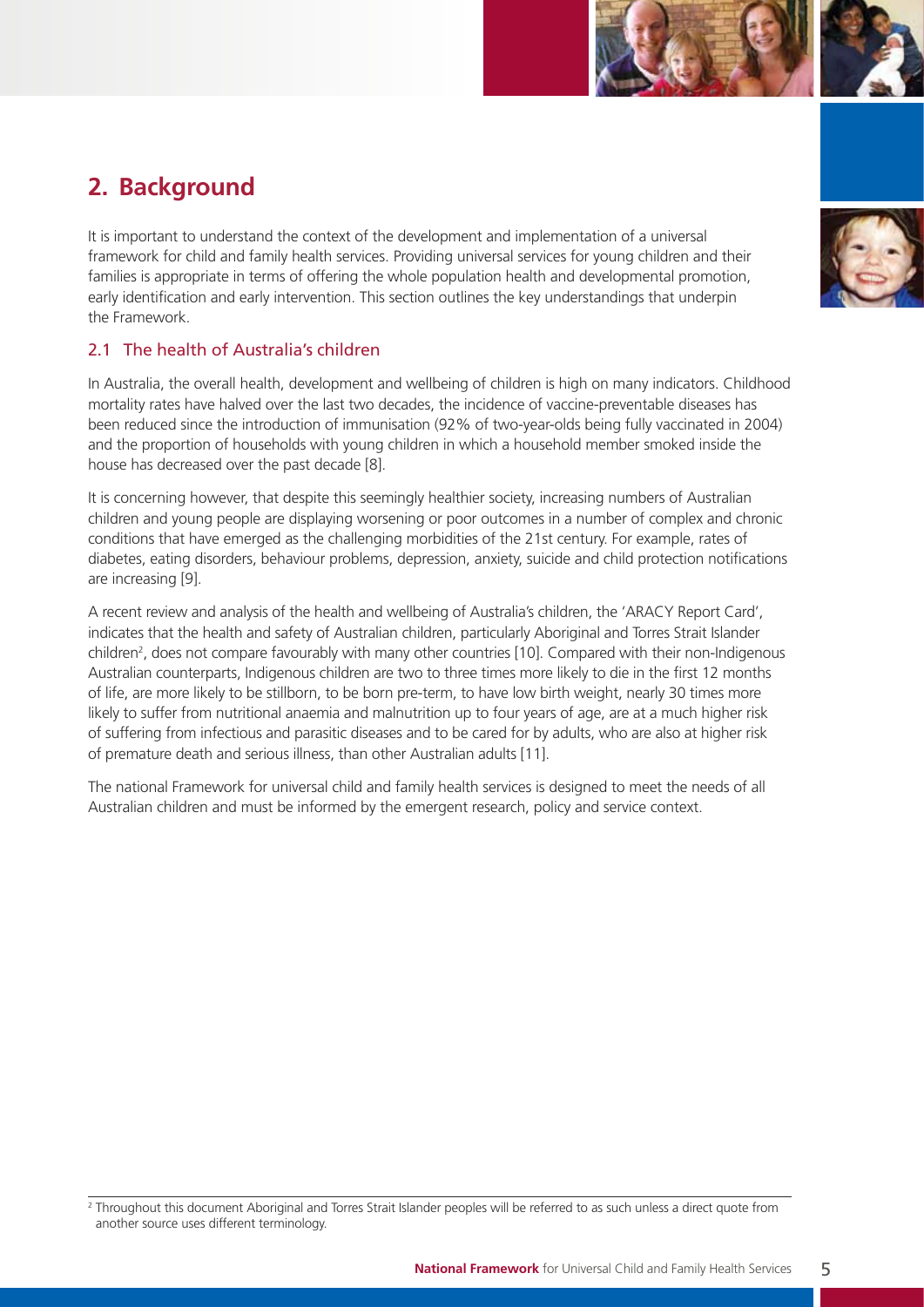# **2. Background**

It is important to understand the context of the development and implementation of a universal framework for child and family health services. Providing universal services for young children and their families is appropriate in terms of offering the whole population health and developmental promotion, early identification and early intervention. This section outlines the key understandings that underpin the Framework.

### 2.1 The health of Australia's children

In Australia, the overall health, development and wellbeing of children is high on many indicators. Childhood mortality rates have halved over the last two decades, the incidence of vaccine-preventable diseases has been reduced since the introduction of immunisation (92% of two-year-olds being fully vaccinated in 2004) and the proportion of households with young children in which a household member smoked inside the house has decreased over the past decade [8].

It is concerning however, that despite this seemingly healthier society, increasing numbers of Australian children and young people are displaying worsening or poor outcomes in a number of complex and chronic conditions that have emerged as the challenging morbidities of the 21st century. For example, rates of diabetes, eating disorders, behaviour problems, depression, anxiety, suicide and child protection notifications are increasing [9].

A recent review and analysis of the health and wellbeing of Australia's children, the 'ARACY Report Card', indicates that the health and safety of Australian children, particularly Aboriginal and Torres Strait Islander children<sup>2</sup>, does not compare favourably with many other countries [10]. Compared with their non-Indigenous Australian counterparts, Indigenous children are two to three times more likely to die in the first 12 months of life, are more likely to be stillborn, to be born pre-term, to have low birth weight, nearly 30 times more likely to suffer from nutritional anaemia and malnutrition up to four years of age, are at a much higher risk of suffering from infectious and parasitic diseases and to be cared for by adults, who are also at higher risk of premature death and serious illness, than other Australian adults [11].

The national Framework for universal child and family health services is designed to meet the needs of all Australian children and must be informed by the emergent research, policy and service context.





<sup>&</sup>lt;sup>2</sup> Throughout this document Aboriginal and Torres Strait Islander peoples will be referred to as such unless a direct quote from another source uses different terminology.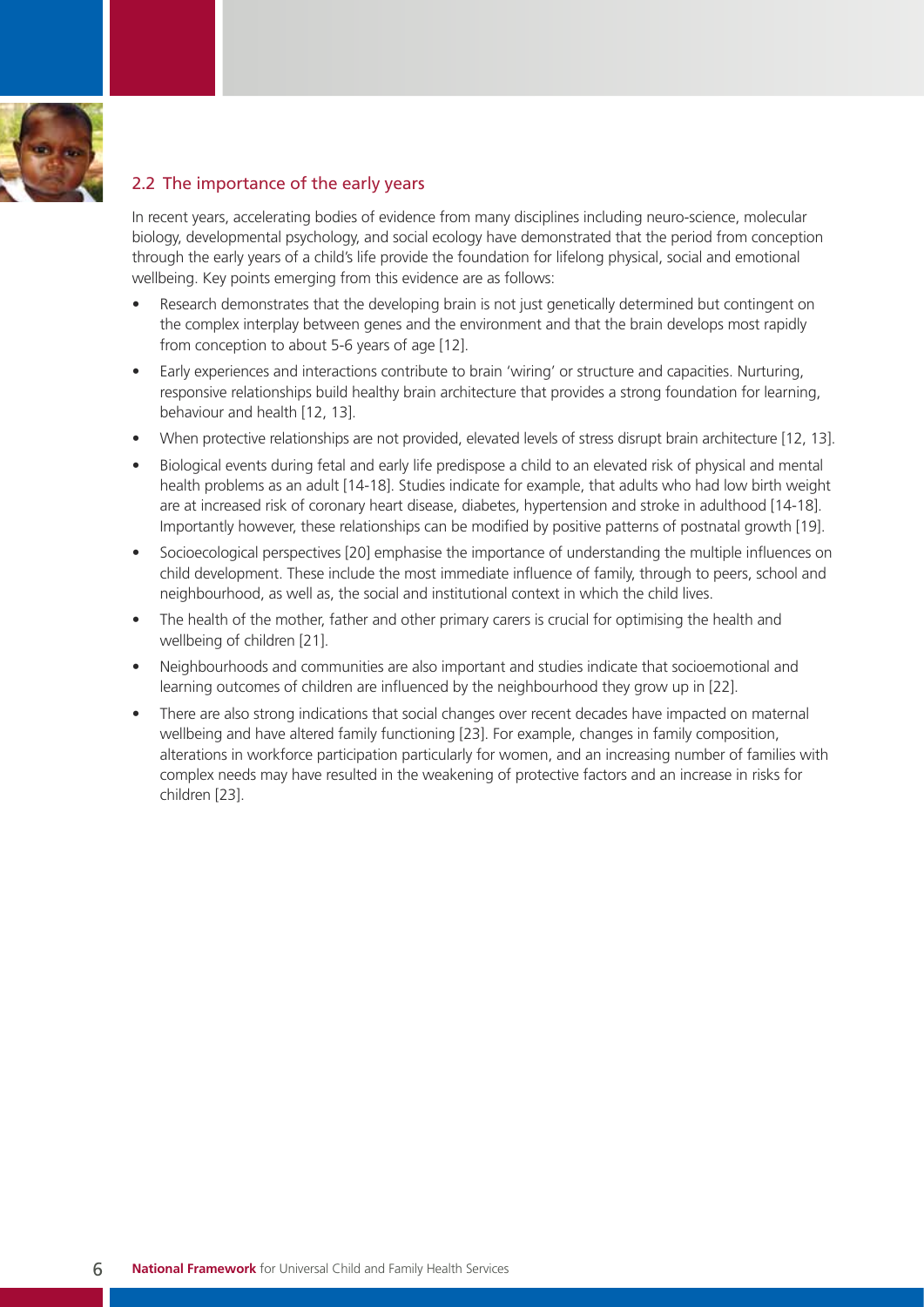

### 2.2 The importance of the early years

In recent years, accelerating bodies of evidence from many disciplines including neuro-science, molecular biology, developmental psychology, and social ecology have demonstrated that the period from conception through the early years of a child's life provide the foundation for lifelong physical, social and emotional wellbeing. Key points emerging from this evidence are as follows:

- Research demonstrates that the developing brain is not just genetically determined but contingent on the complex interplay between genes and the environment and that the brain develops most rapidly from conception to about 5-6 years of age [12].
- Early experiences and interactions contribute to brain 'wiring' or structure and capacities. Nurturing, responsive relationships build healthy brain architecture that provides a strong foundation for learning, behaviour and health [12, 13].
- When protective relationships are not provided, elevated levels of stress disrupt brain architecture [12, 13].
- Biological events during fetal and early life predispose a child to an elevated risk of physical and mental health problems as an adult [14-18]. Studies indicate for example, that adults who had low birth weight are at increased risk of coronary heart disease, diabetes, hypertension and stroke in adulthood [14-18]. Importantly however, these relationships can be modified by positive patterns of postnatal growth [19].
- Socioecological perspectives [20] emphasise the importance of understanding the multiple influences on child development. These include the most immediate influence of family, through to peers, school and neighbourhood, as well as, the social and institutional context in which the child lives.
- The health of the mother, father and other primary carers is crucial for optimising the health and wellbeing of children [21].
- Neighbourhoods and communities are also important and studies indicate that socioemotional and learning outcomes of children are influenced by the neighbourhood they grow up in [22].
- There are also strong indications that social changes over recent decades have impacted on maternal wellbeing and have altered family functioning [23]. For example, changes in family composition, alterations in workforce participation particularly for women, and an increasing number of families with complex needs may have resulted in the weakening of protective factors and an increase in risks for children [23].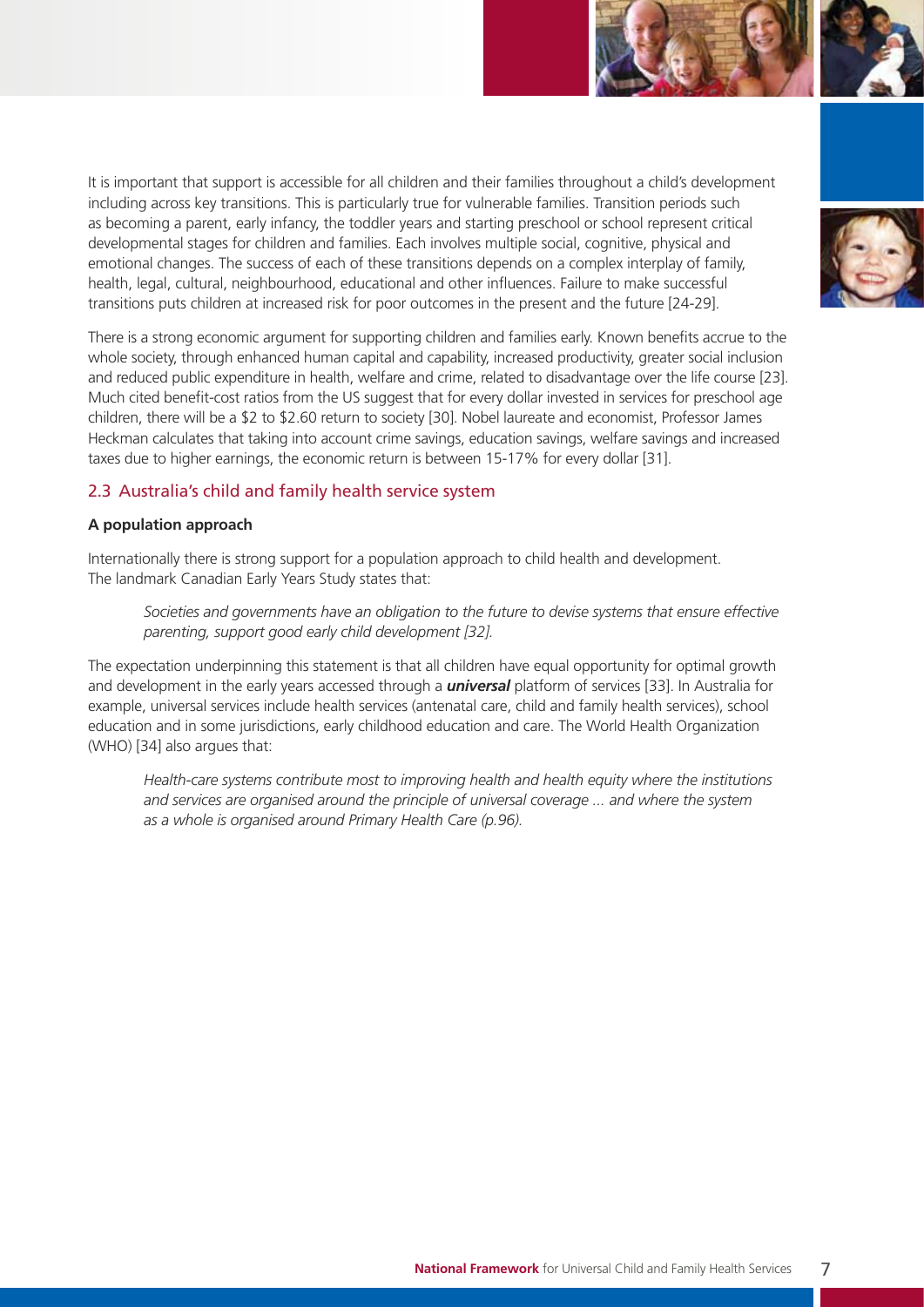

There is a strong economic argument for supporting children and families early. Known benefits accrue to the whole society, through enhanced human capital and capability, increased productivity, greater social inclusion and reduced public expenditure in health, welfare and crime, related to disadvantage over the life course [23]. Much cited benefit-cost ratios from the US suggest that for every dollar invested in services for preschool age children, there will be a \$2 to \$2.60 return to society [30]. Nobel laureate and economist, Professor James Heckman calculates that taking into account crime savings, education savings, welfare savings and increased taxes due to higher earnings, the economic return is between 15-17% for every dollar [31].

#### 2.3 Australia's child and family health service system

#### **A population approach**

Internationally there is strong support for a population approach to child health and development. The landmark Canadian Early Years Study states that:

 *Societies and governments have an obligation to the future to devise systems that ensure effective parenting, support good early child development [32].* 

The expectation underpinning this statement is that all children have equal opportunity for optimal growth and development in the early years accessed through a *universal* platform of services [33]. In Australia for example, universal services include health services (antenatal care, child and family health services), school education and in some jurisdictions, early childhood education and care. The World Health Organization (WHO) [34] also argues that:

 *Health-care systems contribute most to improving health and health equity where the institutions and services are organised around the principle of universal coverage ... and where the system as a whole is organised around Primary Health Care (p.96).*



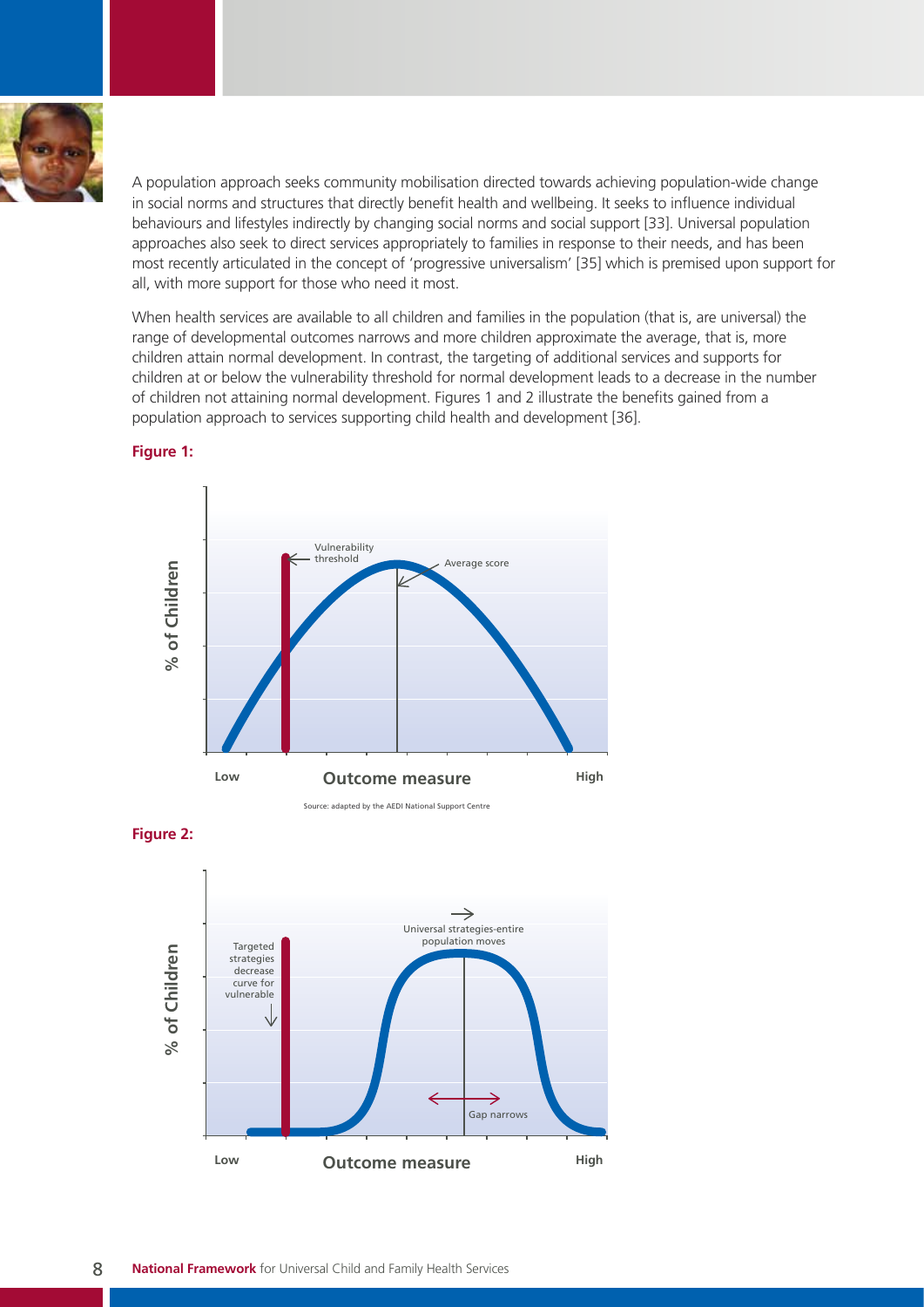

A population approach seeks community mobilisation directed towards achieving population-wide change in social norms and structures that directly benefit health and wellbeing. It seeks to influence individual behaviours and lifestyles indirectly by changing social norms and social support [33]. Universal population approaches also seek to direct services appropriately to families in response to their needs, and has been most recently articulated in the concept of 'progressive universalism' [35] which is premised upon support for all, with more support for those who need it most.

When health services are available to all children and families in the population (that is, are universal) the range of developmental outcomes narrows and more children approximate the average, that is, more children attain normal development. In contrast, the targeting of additional services and supports for children at or below the vulnerability threshold for normal development leads to a decrease in the number of children not attaining normal development. Figures 1 and 2 illustrate the benefits gained from a population approach to services supporting child health and development [36].



#### **Figure 1:**

Source: adapted by the AEDI National Support Centre



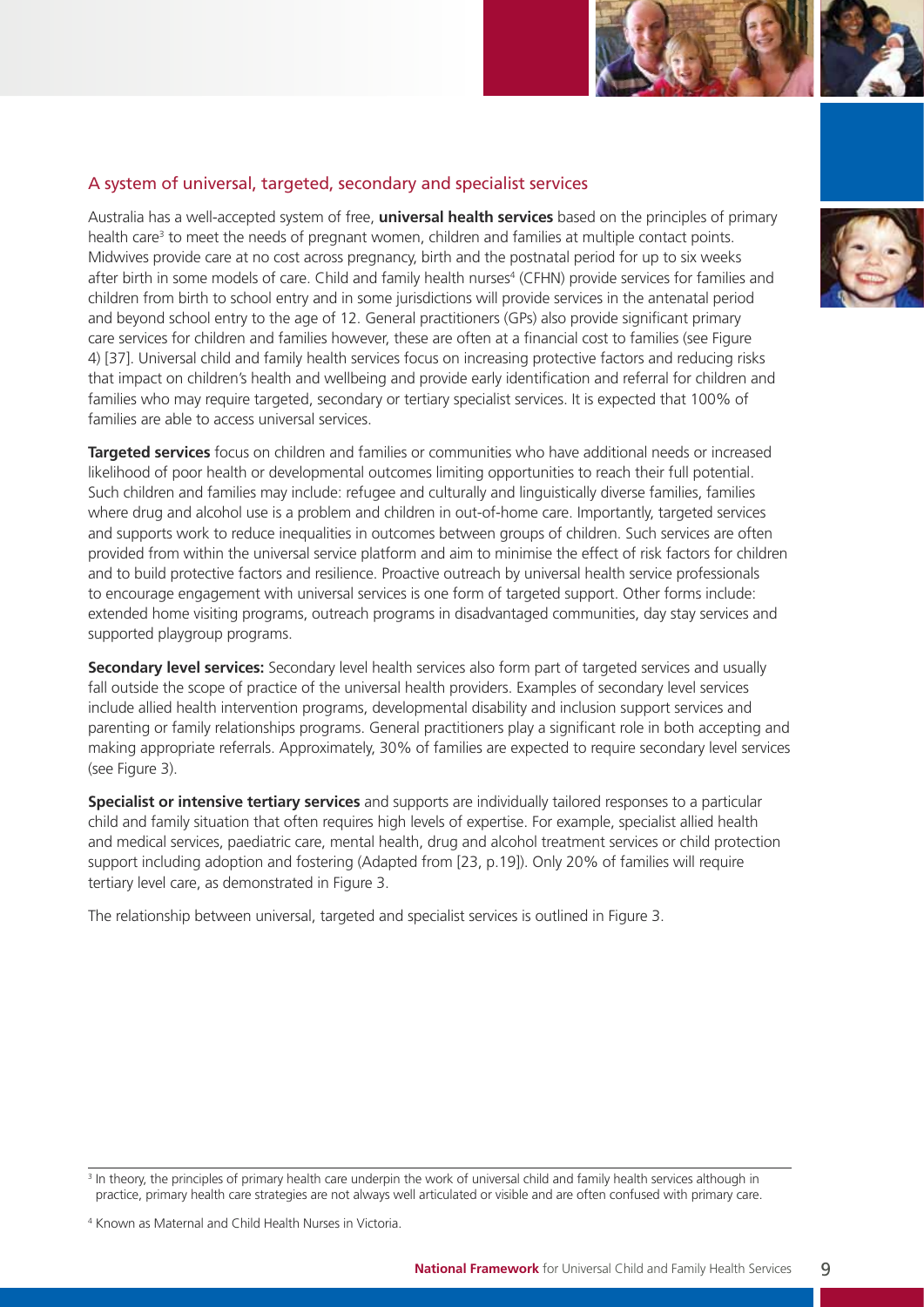

### A system of universal, targeted, secondary and specialist services

Australia has a well-accepted system of free, **universal health services** based on the principles of primary health care<sup>3</sup> to meet the needs of pregnant women, children and families at multiple contact points. Midwives provide care at no cost across pregnancy, birth and the postnatal period for up to six weeks after birth in some models of care. Child and family health nurses<sup>4</sup> (CFHN) provide services for families and children from birth to school entry and in some jurisdictions will provide services in the antenatal period and beyond school entry to the age of 12. General practitioners (GPs) also provide significant primary care services for children and families however, these are often at a financial cost to families (see Figure 4) [37]. Universal child and family health services focus on increasing protective factors and reducing risks that impact on children's health and wellbeing and provide early identification and referral for children and families who may require targeted, secondary or tertiary specialist services. It is expected that 100% of families are able to access universal services.

**Targeted services** focus on children and families or communities who have additional needs or increased likelihood of poor health or developmental outcomes limiting opportunities to reach their full potential. Such children and families may include: refugee and culturally and linguistically diverse families, families where drug and alcohol use is a problem and children in out-of-home care. Importantly, targeted services and supports work to reduce inequalities in outcomes between groups of children. Such services are often provided from within the universal service platform and aim to minimise the effect of risk factors for children and to build protective factors and resilience. Proactive outreach by universal health service professionals to encourage engagement with universal services is one form of targeted support. Other forms include: extended home visiting programs, outreach programs in disadvantaged communities, day stay services and supported playgroup programs.

**Secondary level services:** Secondary level health services also form part of targeted services and usually fall outside the scope of practice of the universal health providers. Examples of secondary level services include allied health intervention programs, developmental disability and inclusion support services and parenting or family relationships programs. General practitioners play a significant role in both accepting and making appropriate referrals. Approximately, 30% of families are expected to require secondary level services (see Figure 3).

**Specialist or intensive tertiary services** and supports are individually tailored responses to a particular child and family situation that often requires high levels of expertise. For example, specialist allied health and medical services, paediatric care, mental health, drug and alcohol treatment services or child protection support including adoption and fostering (Adapted from [23, p.19]). Only 20% of families will require tertiary level care, as demonstrated in Figure 3.

The relationship between universal, targeted and specialist services is outlined in Figure 3.



<sup>&</sup>lt;sup>3</sup> In theory, the principles of primary health care underpin the work of universal child and family health services although in practice, primary health care strategies are not always well articulated or visible and are often confused with primary care.

<sup>4</sup> Known as Maternal and Child Health Nurses in Victoria.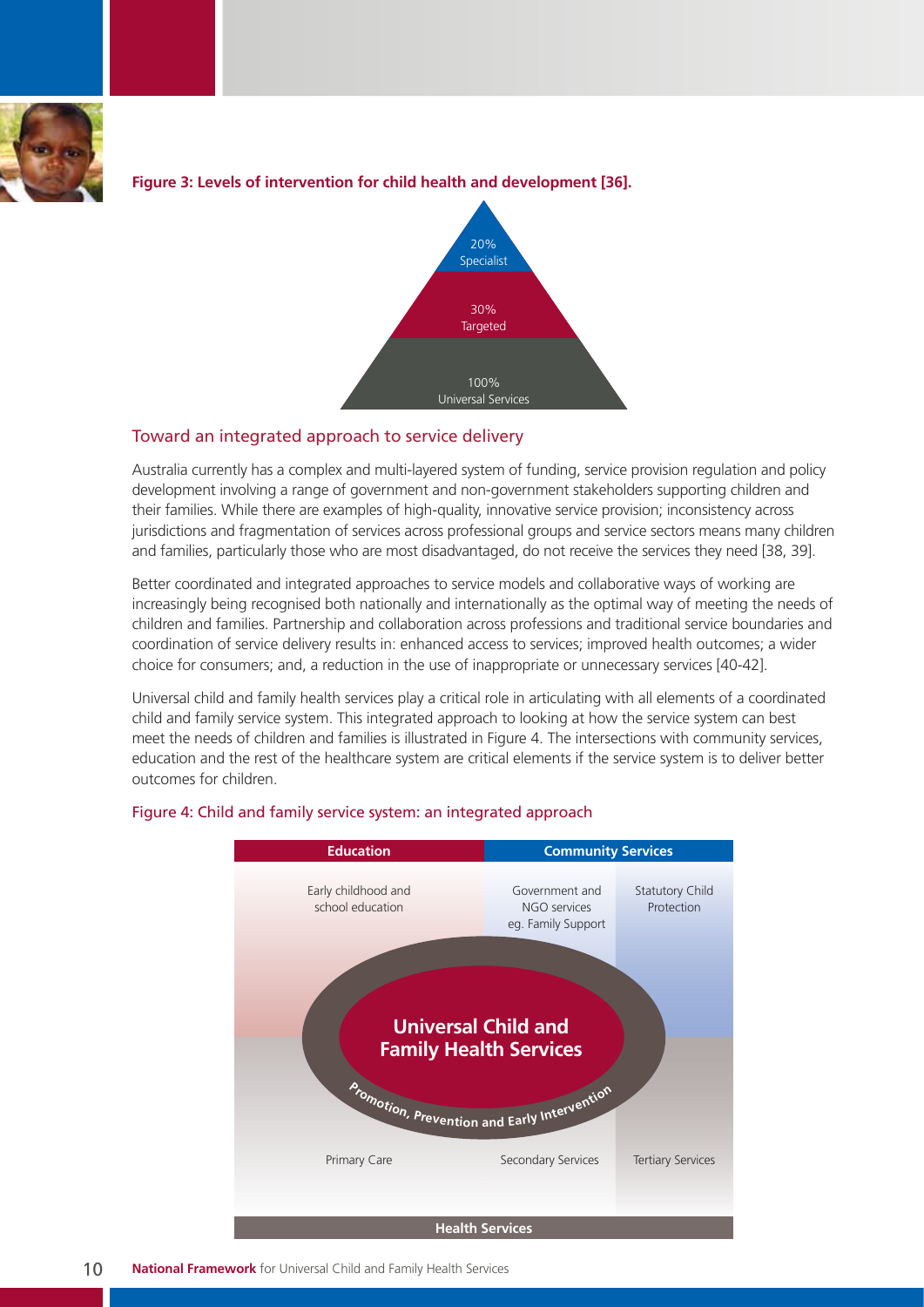

**Figure 3: Levels of intervention for child health and development [36].**



### Toward an integrated approach to service delivery

Australia currently has a complex and multi-layered system of funding, service provision regulation and policy development involving a range of government and non-government stakeholders supporting children and their families. While there are examples of high-quality, innovative service provision; inconsistency across jurisdictions and fragmentation of services across professional groups and service sectors means many children and families, particularly those who are most disadvantaged, do not receive the services they need [38, 39].

Better coordinated and integrated approaches to service models and collaborative ways of working are increasingly being recognised both nationally and internationally as the optimal way of meeting the needs of children and families. Partnership and collaboration across professions and traditional service boundaries and coordination of service delivery results in: enhanced access to services; improved health outcomes; a wider choice for consumers; and, a reduction in the use of inappropriate or unnecessary services [40-42].

Universal child and family health services play a critical role in articulating with all elements of a coordinated child and family service system. This integrated approach to looking at how the service system can best meet the needs of children and families is illustrated in Figure 4. The intersections with community services, education and the rest of the healthcare system are critical elements if the service system is to deliver better outcomes for children.



#### Figure 4: Child and family service system: an integrated approach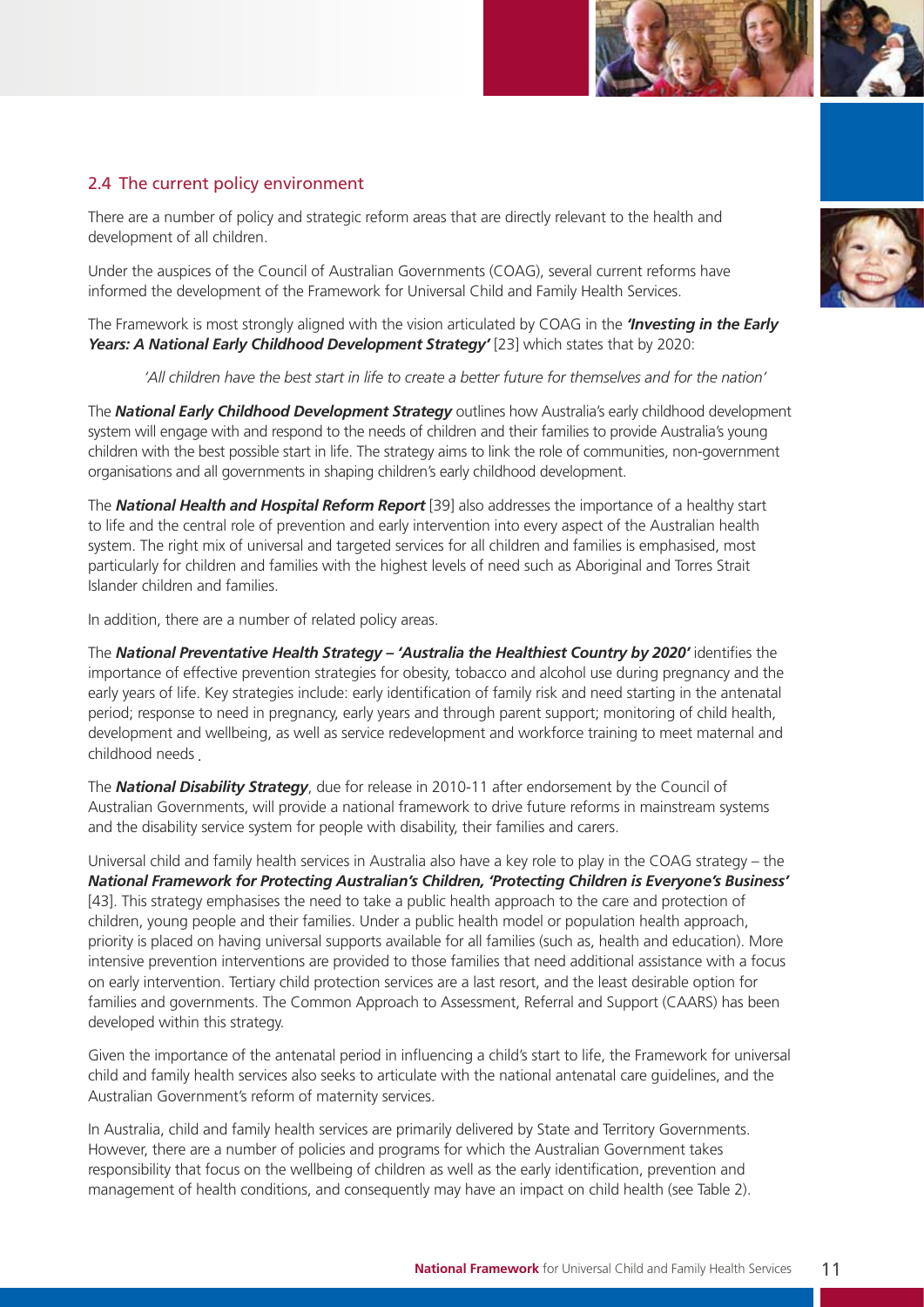

### 2.4 The current policy environment

There are a number of policy and strategic reform areas that are directly relevant to the health and development of all children.

Under the auspices of the Council of Australian Governments (COAG), several current reforms have informed the development of the Framework for Universal Child and Family Health Services.

The Framework is most strongly aligned with the vision articulated by COAG in the *'Investing in the Early*  Years: A National Early Childhood Development Strategy' [23] which states that by 2020:

*'All children have the best start in life to create a better future for themselves and for the nation'*

The *National Early Childhood Development Strategy* outlines how Australia's early childhood development system will engage with and respond to the needs of children and their families to provide Australia's young children with the best possible start in life. The strategy aims to link the role of communities, non-government organisations and all governments in shaping children's early childhood development.

The *National Health and Hospital Reform Report* [39] also addresses the importance of a healthy start to life and the central role of prevention and early intervention into every aspect of the Australian health system. The right mix of universal and targeted services for all children and families is emphasised, most particularly for children and families with the highest levels of need such as Aboriginal and Torres Strait Islander children and families.

In addition, there are a number of related policy areas.

The *National Preventative Health Strategy – 'Australia the Healthiest Country by 2020'* identifies the importance of effective prevention strategies for obesity, tobacco and alcohol use during pregnancy and the early years of life. Key strategies include: early identification of family risk and need starting in the antenatal period; response to need in pregnancy, early years and through parent support; monitoring of child health, development and wellbeing, as well as service redevelopment and workforce training to meet maternal and childhood needs

The *National Disability Strategy*, due for release in 2010-11 after endorsement by the Council of Australian Governments, will provide a national framework to drive future reforms in mainstream systems and the disability service system for people with disability, their families and carers.

Universal child and family health services in Australia also have a key role to play in the COAG strategy – the *National Framework for Protecting Australian's Children, 'Protecting Children is Everyone's Business'* [43]. This strategy emphasises the need to take a public health approach to the care and protection of children, young people and their families. Under a public health model or population health approach, priority is placed on having universal supports available for all families (such as, health and education). More intensive prevention interventions are provided to those families that need additional assistance with a focus on early intervention. Tertiary child protection services are a last resort, and the least desirable option for families and governments. The Common Approach to Assessment, Referral and Support (CAARS) has been developed within this strategy.

Given the importance of the antenatal period in influencing a child's start to life, the Framework for universal child and family health services also seeks to articulate with the national antenatal care guidelines, and the Australian Government's reform of maternity services.

In Australia, child and family health services are primarily delivered by State and Territory Governments. However, there are a number of policies and programs for which the Australian Government takes responsibility that focus on the wellbeing of children as well as the early identification, prevention and management of health conditions, and consequently may have an impact on child health (see Table 2).

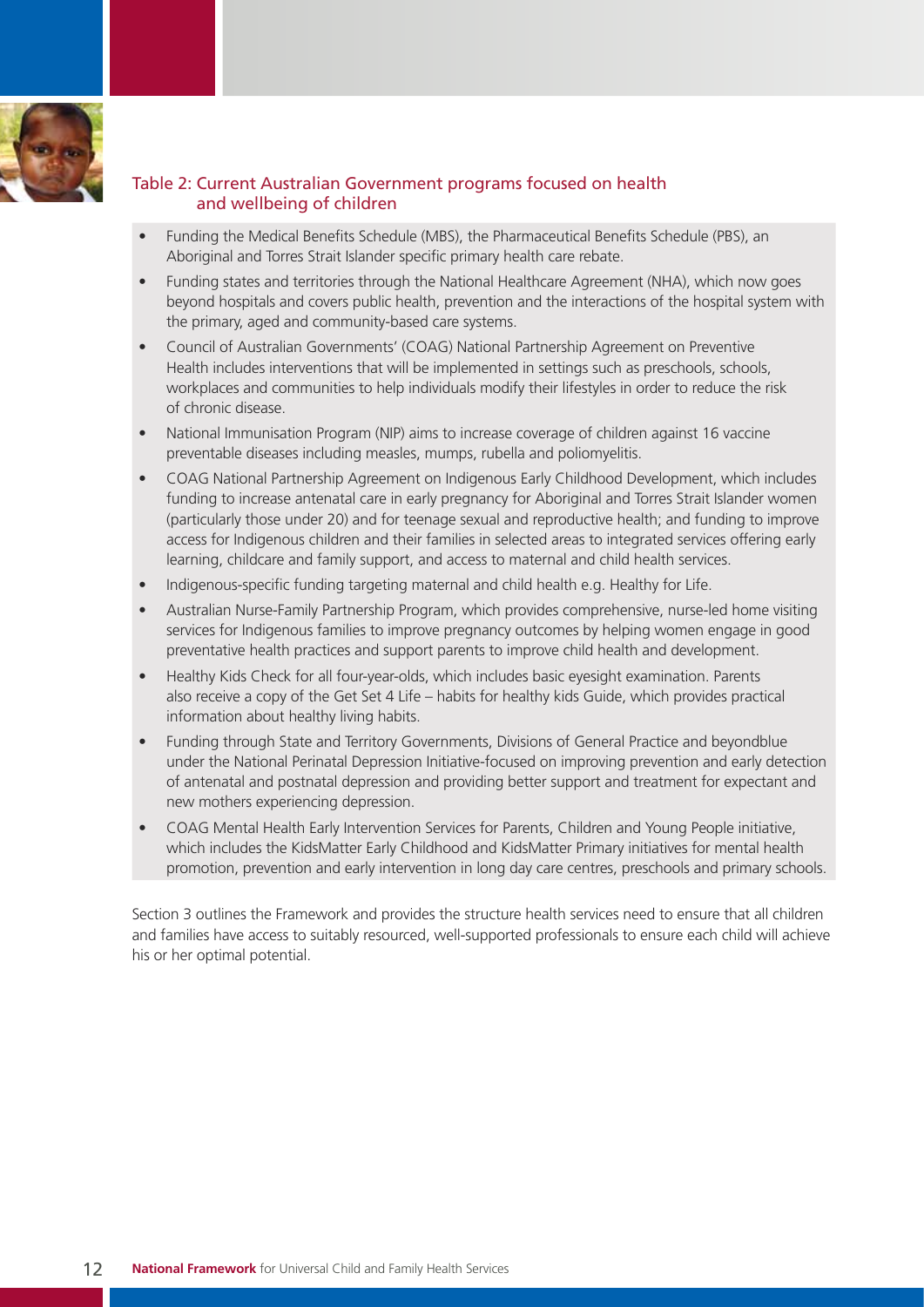

### Table 2: Current Australian Government programs focused on health and wellbeing of children

- Funding the Medical Benefits Schedule (MBS), the Pharmaceutical Benefits Schedule (PBS), an Aboriginal and Torres Strait Islander specific primary health care rebate.
- Funding states and territories through the National Healthcare Agreement (NHA), which now goes beyond hospitals and covers public health, prevention and the interactions of the hospital system with the primary, aged and community-based care systems.
- Council of Australian Governments' (COAG) National Partnership Agreement on Preventive Health includes interventions that will be implemented in settings such as preschools, schools, workplaces and communities to help individuals modify their lifestyles in order to reduce the risk of chronic disease.
- National Immunisation Program (NIP) aims to increase coverage of children against 16 vaccine preventable diseases including measles, mumps, rubella and poliomyelitis.
- COAG National Partnership Agreement on Indigenous Early Childhood Development, which includes funding to increase antenatal care in early pregnancy for Aboriginal and Torres Strait Islander women (particularly those under 20) and for teenage sexual and reproductive health; and funding to improve access for Indigenous children and their families in selected areas to integrated services offering early learning, childcare and family support, and access to maternal and child health services.
- Indigenous-specific funding targeting maternal and child health e.g. Healthy for Life.
- Australian Nurse-Family Partnership Program, which provides comprehensive, nurse-led home visiting services for Indigenous families to improve pregnancy outcomes by helping women engage in good preventative health practices and support parents to improve child health and development.
- Healthy Kids Check for all four-year-olds, which includes basic eyesight examination. Parents also receive a copy of the Get Set 4 Life – habits for healthy kids Guide, which provides practical information about healthy living habits.
- Funding through State and Territory Governments, Divisions of General Practice and beyondblue under the National Perinatal Depression Initiative-focused on improving prevention and early detection of antenatal and postnatal depression and providing better support and treatment for expectant and new mothers experiencing depression.
- COAG Mental Health Early Intervention Services for Parents, Children and Young People initiative, which includes the KidsMatter Early Childhood and KidsMatter Primary initiatives for mental health promotion, prevention and early intervention in long day care centres, preschools and primary schools.

Section 3 outlines the Framework and provides the structure health services need to ensure that all children and families have access to suitably resourced, well-supported professionals to ensure each child will achieve his or her optimal potential.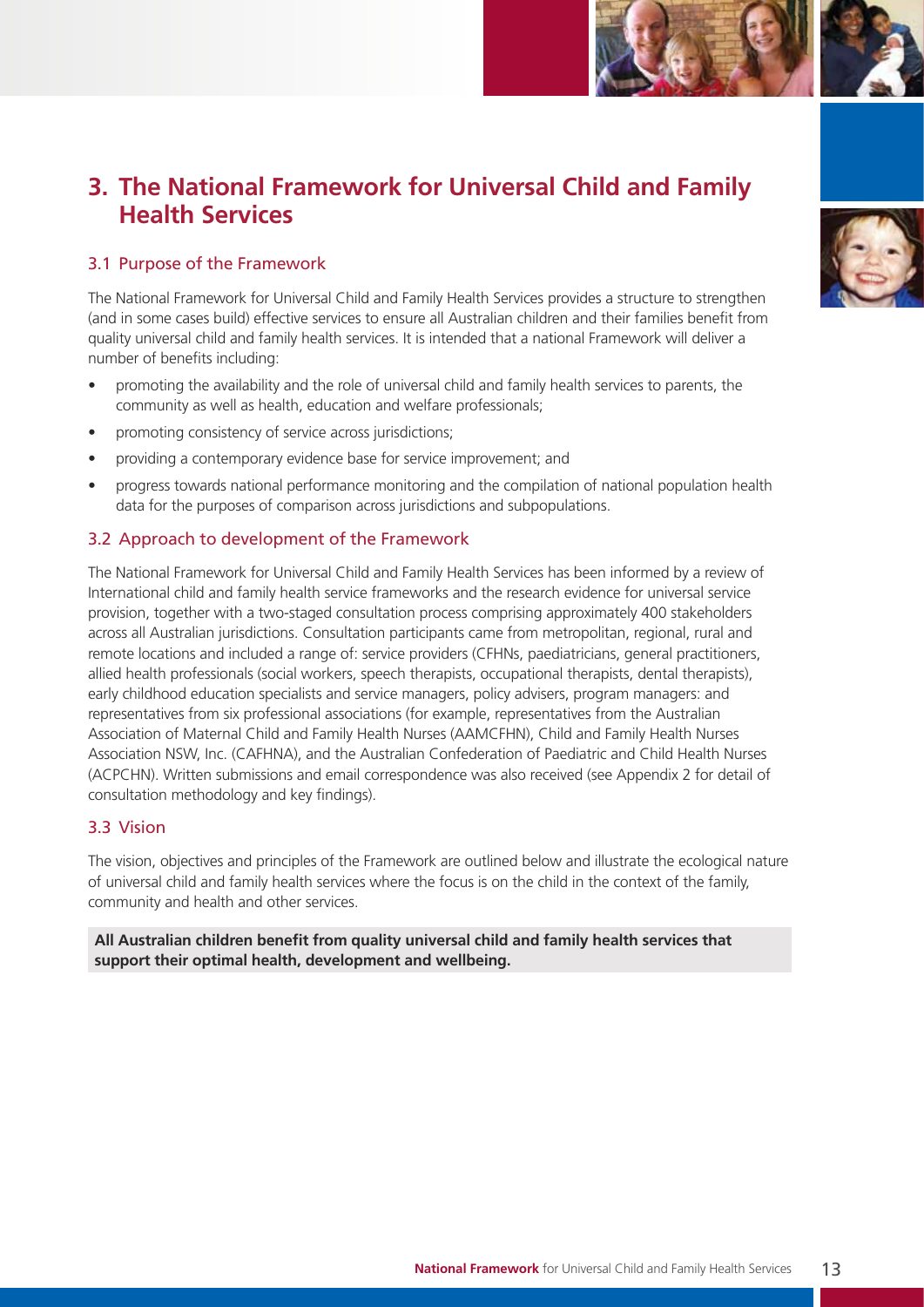# **3. The National Framework for Universal Child and Family Health Services**

### 3.1 Purpose of the Framework

The National Framework for Universal Child and Family Health Services provides a structure to strengthen (and in some cases build) effective services to ensure all Australian children and their families benefit from quality universal child and family health services. It is intended that a national Framework will deliver a number of benefits including:

- promoting the availability and the role of universal child and family health services to parents, the community as well as health, education and welfare professionals;
- promoting consistency of service across jurisdictions;
- providing a contemporary evidence base for service improvement; and
- progress towards national performance monitoring and the compilation of national population health data for the purposes of comparison across jurisdictions and subpopulations.

### 3.2 Approach to development of the Framework

The National Framework for Universal Child and Family Health Services has been informed by a review of International child and family health service frameworks and the research evidence for universal service provision, together with a two-staged consultation process comprising approximately 400 stakeholders across all Australian jurisdictions. Consultation participants came from metropolitan, regional, rural and remote locations and included a range of: service providers (CFHNs, paediatricians, general practitioners, allied health professionals (social workers, speech therapists, occupational therapists, dental therapists), early childhood education specialists and service managers, policy advisers, program managers: and representatives from six professional associations (for example, representatives from the Australian Association of Maternal Child and Family Health Nurses (AAMCFHN), Child and Family Health Nurses Association NSW, Inc. (CAFHNA), and the Australian Confederation of Paediatric and Child Health Nurses (ACPCHN). Written submissions and email correspondence was also received (see Appendix 2 for detail of consultation methodology and key findings).

### 3.3 Vision

The vision, objectives and principles of the Framework are outlined below and illustrate the ecological nature of universal child and family health services where the focus is on the child in the context of the family, community and health and other services.

**All Australian children benefit from quality universal child and family health services that support their optimal health, development and wellbeing.**



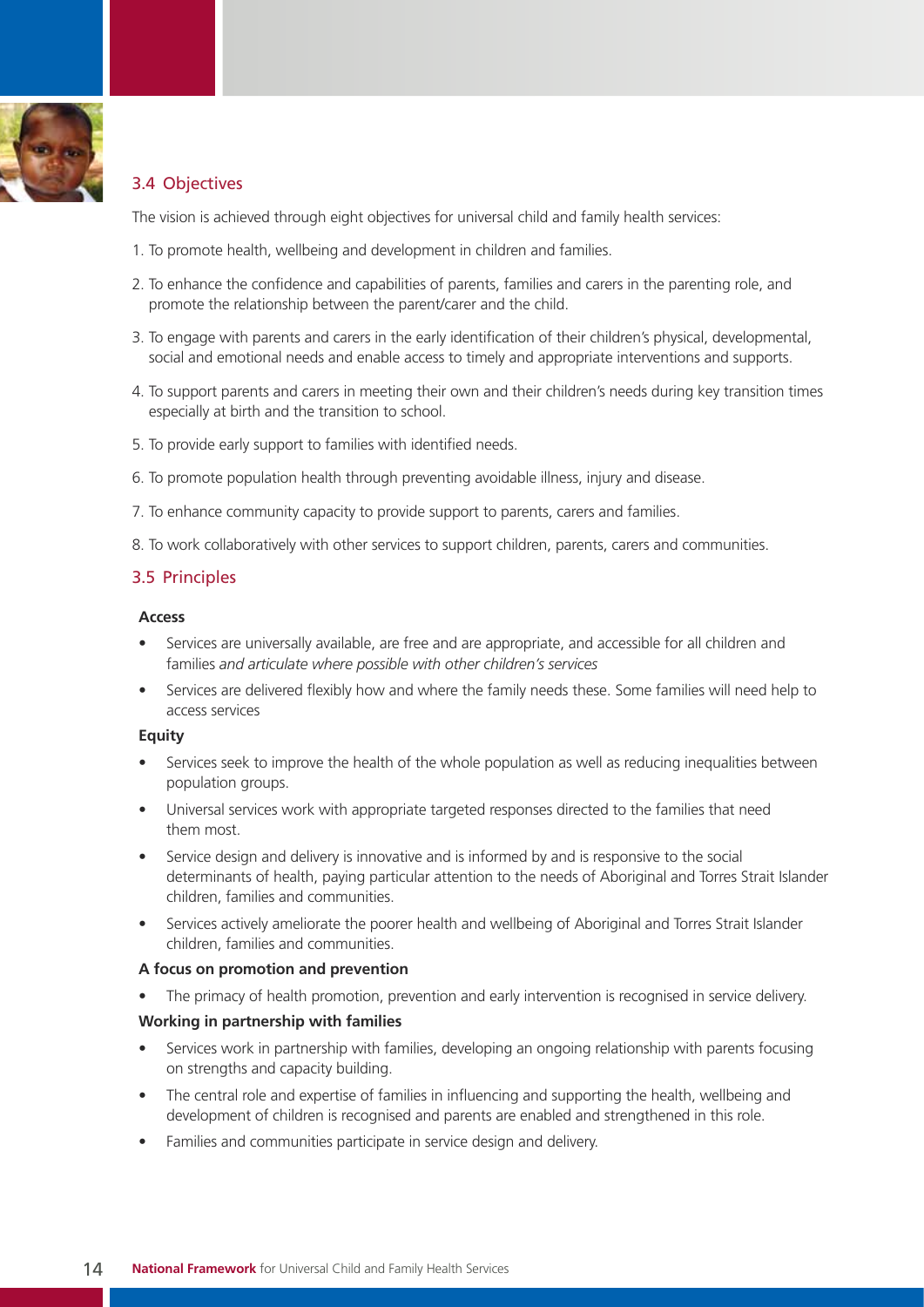

### 3.4 Objectives

The vision is achieved through eight objectives for universal child and family health services:

- 1. To promote health, wellbeing and development in children and families.
- 2. To enhance the confidence and capabilities of parents, families and carers in the parenting role, and promote the relationship between the parent/carer and the child.
- 3. To engage with parents and carers in the early identification of their children's physical, developmental, social and emotional needs and enable access to timely and appropriate interventions and supports.
- 4. To support parents and carers in meeting their own and their children's needs during key transition times especially at birth and the transition to school.
- 5. To provide early support to families with identified needs.
- 6. To promote population health through preventing avoidable illness, injury and disease.
- 7. To enhance community capacity to provide support to parents, carers and families.
- 8. To work collaboratively with other services to support children, parents, carers and communities.

#### 3.5 Principles

#### **Access**

- Services are universally available, are free and are appropriate, and accessible for all children and families *and articulate where possible with other children's services*
- Services are delivered flexibly how and where the family needs these. Some families will need help to access services

#### **Equity**

- Services seek to improve the health of the whole population as well as reducing inequalities between population groups.
- Universal services work with appropriate targeted responses directed to the families that need them most.
- Service design and delivery is innovative and is informed by and is responsive to the social determinants of health, paying particular attention to the needs of Aboriginal and Torres Strait Islander children, families and communities.
- Services actively ameliorate the poorer health and wellbeing of Aboriginal and Torres Strait Islander children, families and communities.

#### **A focus on promotion and prevention**

The primacy of health promotion, prevention and early intervention is recognised in service delivery.

#### **Working in partnership with families**

- Services work in partnership with families, developing an ongoing relationship with parents focusing on strengths and capacity building.
- The central role and expertise of families in influencing and supporting the health, wellbeing and development of children is recognised and parents are enabled and strengthened in this role.
- Families and communities participate in service design and delivery.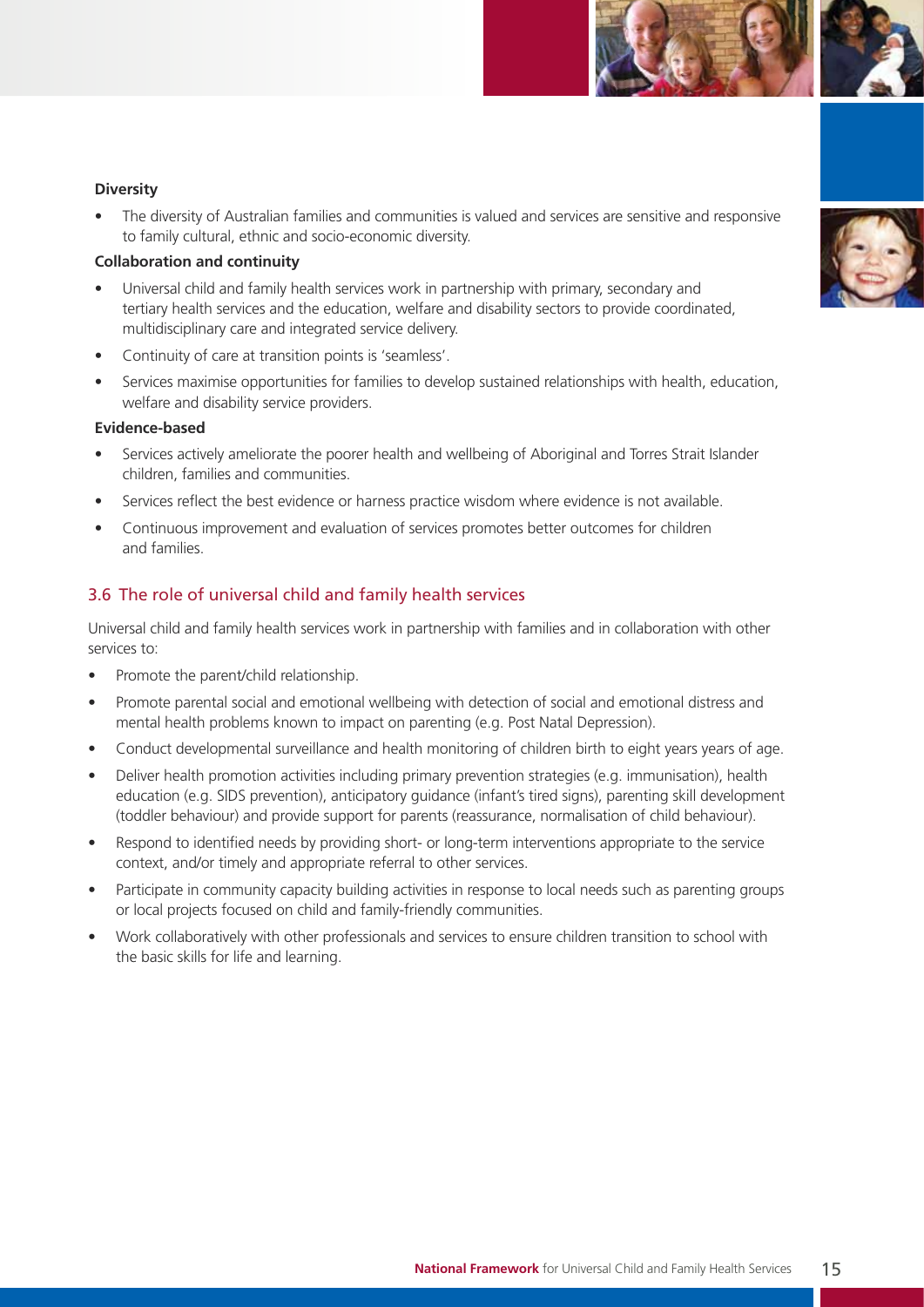

#### **Diversity**

The diversity of Australian families and communities is valued and services are sensitive and responsive to family cultural, ethnic and socio-economic diversity.

#### **Collaboration and continuity**

- Universal child and family health services work in partnership with primary, secondary and tertiary health services and the education, welfare and disability sectors to provide coordinated, multidisciplinary care and integrated service delivery.
- Continuity of care at transition points is 'seamless'.
- Services maximise opportunities for families to develop sustained relationships with health, education, welfare and disability service providers.

#### **Evidence-based**

- Services actively ameliorate the poorer health and wellbeing of Aboriginal and Torres Strait Islander children, families and communities.
- Services reflect the best evidence or harness practice wisdom where evidence is not available.
- Continuous improvement and evaluation of services promotes better outcomes for children and families.

#### 3.6 The role of universal child and family health services

Universal child and family health services work in partnership with families and in collaboration with other services to:

- Promote the parent/child relationship.
- Promote parental social and emotional wellbeing with detection of social and emotional distress and mental health problems known to impact on parenting (e.g. Post Natal Depression).
- Conduct developmental surveillance and health monitoring of children birth to eight years years of age.
- Deliver health promotion activities including primary prevention strategies (e.g. immunisation), health education (e.g. SIDS prevention), anticipatory guidance (infant's tired signs), parenting skill development (toddler behaviour) and provide support for parents (reassurance, normalisation of child behaviour).
- Respond to identified needs by providing short- or long-term interventions appropriate to the service context, and/or timely and appropriate referral to other services.
- Participate in community capacity building activities in response to local needs such as parenting groups or local projects focused on child and family-friendly communities.
- Work collaboratively with other professionals and services to ensure children transition to school with the basic skills for life and learning.

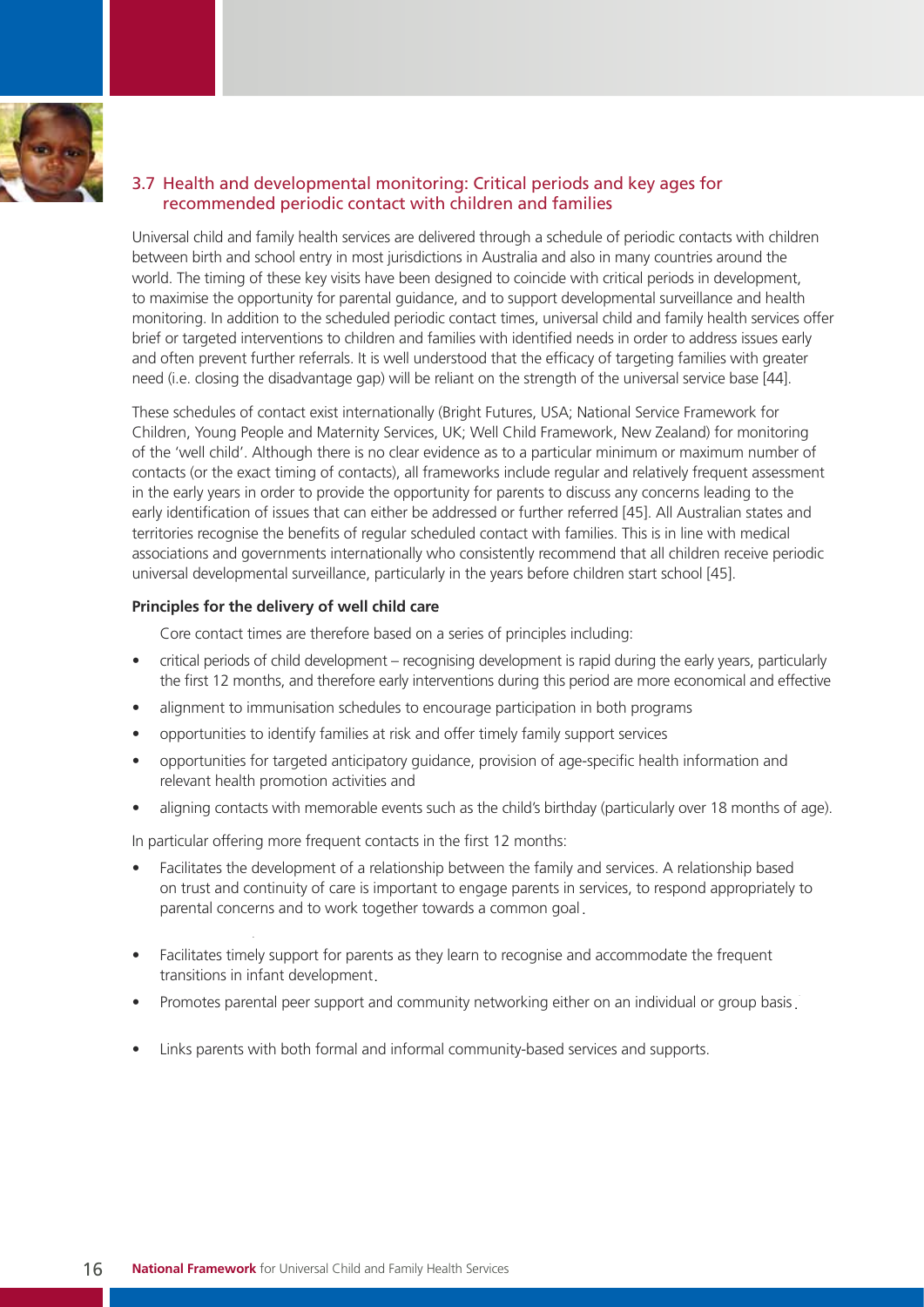

### 3.7 Health and developmental monitoring: Critical periods and key ages for recommended periodic contact with children and families

Universal child and family health services are delivered through a schedule of periodic contacts with children between birth and school entry in most jurisdictions in Australia and also in many countries around the world. The timing of these key visits have been designed to coincide with critical periods in development, to maximise the opportunity for parental guidance, and to support developmental surveillance and health monitoring. In addition to the scheduled periodic contact times, universal child and family health services offer brief or targeted interventions to children and families with identified needs in order to address issues early and often prevent further referrals. It is well understood that the efficacy of targeting families with greater need (i.e. closing the disadvantage gap) will be reliant on the strength of the universal service base [44].

These schedules of contact exist internationally (Bright Futures, USA; National Service Framework for Children, Young People and Maternity Services, UK; Well Child Framework, New Zealand) for monitoring of the 'well child'. Although there is no clear evidence as to a particular minimum or maximum number of contacts (or the exact timing of contacts), all frameworks include regular and relatively frequent assessment in the early years in order to provide the opportunity for parents to discuss any concerns leading to the early identification of issues that can either be addressed or further referred [45]. All Australian states and territories recognise the benefits of regular scheduled contact with families. This is in line with medical associations and governments internationally who consistently recommend that all children receive periodic universal developmental surveillance, particularly in the years before children start school [45].

#### **Principles for the delivery of well child care**

Core contact times are therefore based on a series of principles including:

- critical periods of child development recognising development is rapid during the early years, particularly the first 12 months, and therefore early interventions during this period are more economical and effective
- alignment to immunisation schedules to encourage participation in both programs
- opportunities to identify families at risk and offer timely family support services
- opportunities for targeted anticipatory guidance, provision of age-specific health information and relevant health promotion activities and
- aligning contacts with memorable events such as the child's birthday (particularly over 18 months of age).

In particular offering more frequent contacts in the first 12 months:

- Facilitates the development of a relationship between the family and services. A relationship based on trust and continuity of care is important to engage parents in services, to respond appropriately to parental concerns and to work together towards a common goal .
- Facilitates timely support for parents as they learn to recognise and accommodate the frequent transitions in infant development.
- Promotes parental peer support and community networking either on an individual or group basis
- Links parents with both formal and informal community-based services and supports.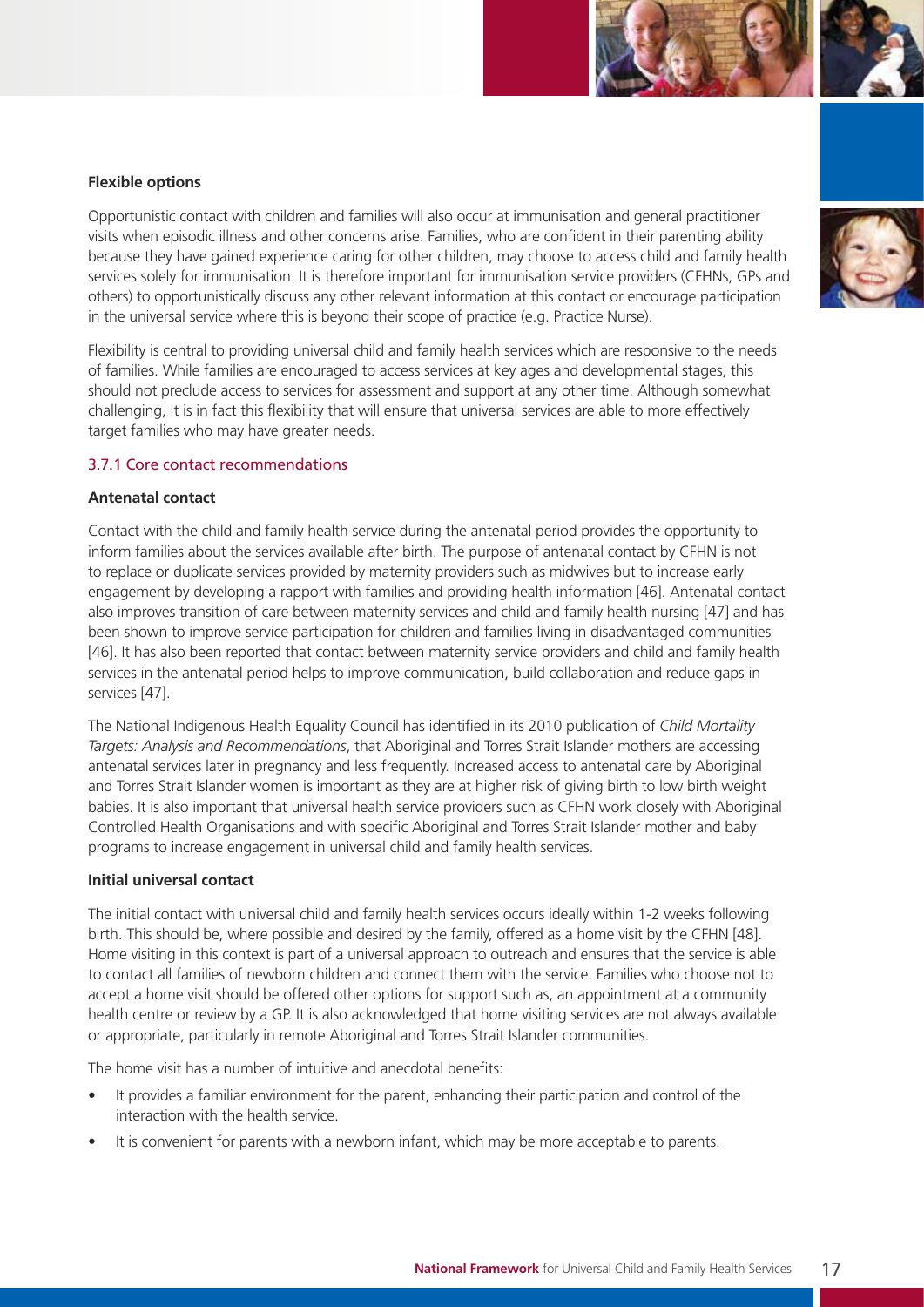

#### **Flexible options**

Opportunistic contact with children and families will also occur at immunisation and general practitioner visits when episodic illness and other concerns arise. Families, who are confident in their parenting ability because they have gained experience caring for other children, may choose to access child and family health services solely for immunisation. It is therefore important for immunisation service providers (CFHNs, GPs and others) to opportunistically discuss any other relevant information at this contact or encourage participation in the universal service where this is beyond their scope of practice (e.g. Practice Nurse).

Flexibility is central to providing universal child and family health services which are responsive to the needs of families. While families are encouraged to access services at key ages and developmental stages, this should not preclude access to services for assessment and support at any other time. Although somewhat challenging, it is in fact this flexibility that will ensure that universal services are able to more effectively target families who may have greater needs.

#### 3.7.1 Core contact recommendations

#### **Antenatal contact**

Contact with the child and family health service during the antenatal period provides the opportunity to inform families about the services available after birth. The purpose of antenatal contact by CFHN is not to replace or duplicate services provided by maternity providers such as midwives but to increase early engagement by developing a rapport with families and providing health information [46]. Antenatal contact also improves transition of care between maternity services and child and family health nursing [47] and has been shown to improve service participation for children and families living in disadvantaged communities [46]. It has also been reported that contact between maternity service providers and child and family health services in the antenatal period helps to improve communication, build collaboration and reduce gaps in services [47].

The National Indigenous Health Equality Council has identified in its 2010 publication of *Child Mortality Targets: Analysis and Recommendations*, that Aboriginal and Torres Strait Islander mothers are accessing antenatal services later in pregnancy and less frequently. Increased access to antenatal care by Aboriginal and Torres Strait Islander women is important as they are at higher risk of giving birth to low birth weight babies. It is also important that universal health service providers such as CFHN work closely with Aboriginal Controlled Health Organisations and with specific Aboriginal and Torres Strait Islander mother and baby programs to increase engagement in universal child and family health services.

#### **Initial universal contact**

The initial contact with universal child and family health services occurs ideally within 1-2 weeks following birth. This should be, where possible and desired by the family, offered as a home visit by the CFHN [48]. Home visiting in this context is part of a universal approach to outreach and ensures that the service is able to contact all families of newborn children and connect them with the service. Families who choose not to accept a home visit should be offered other options for support such as, an appointment at a community health centre or review by a GP. It is also acknowledged that home visiting services are not always available or appropriate, particularly in remote Aboriginal and Torres Strait Islander communities.

The home visit has a number of intuitive and anecdotal benefits:

- It provides a familiar environment for the parent, enhancing their participation and control of the interaction with the health service.
- It is convenient for parents with a newborn infant, which may be more acceptable to parents.

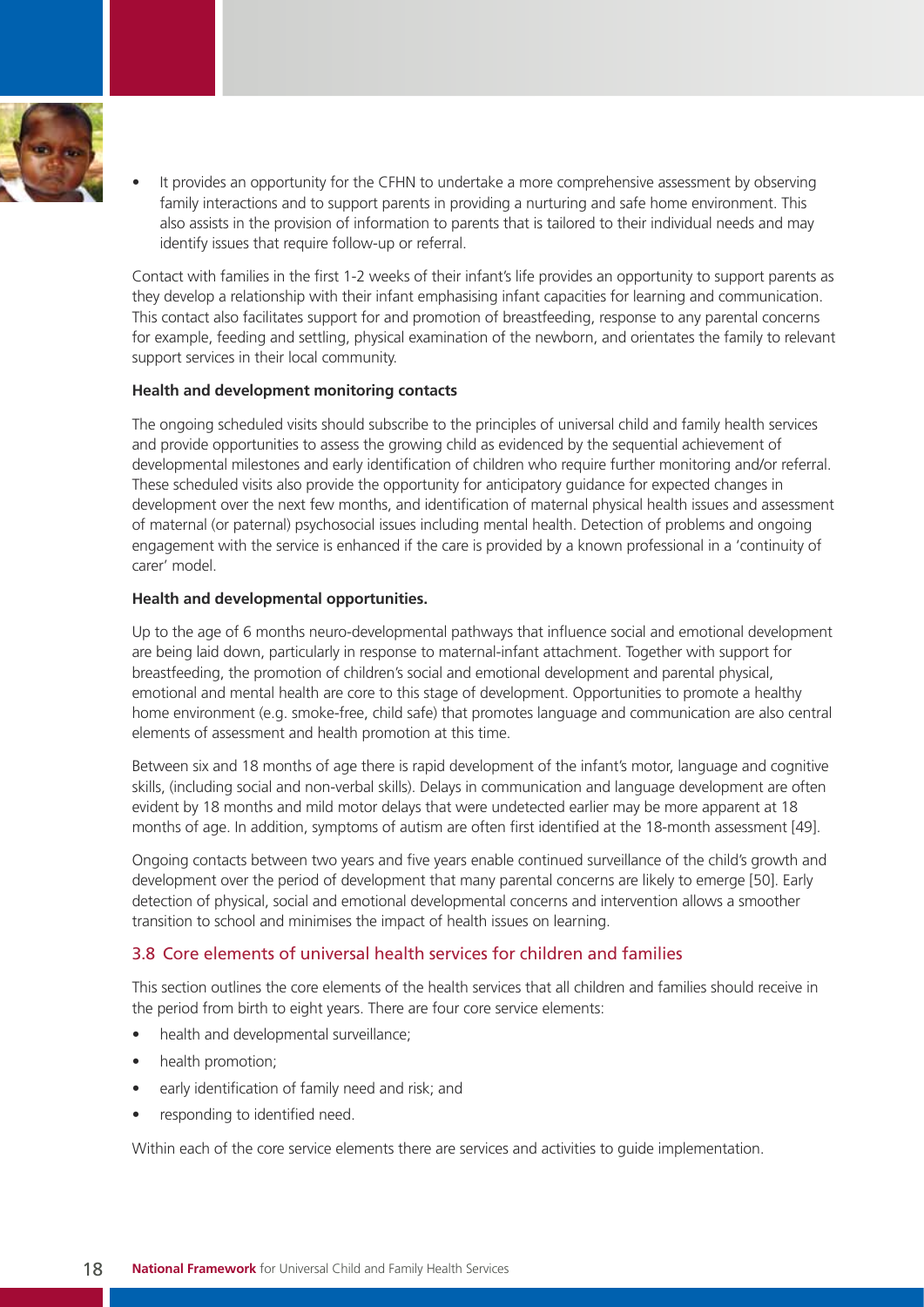

It provides an opportunity for the CFHN to undertake a more comprehensive assessment by observing family interactions and to support parents in providing a nurturing and safe home environment. This also assists in the provision of information to parents that is tailored to their individual needs and may identify issues that require follow-up or referral.

Contact with families in the first 1-2 weeks of their infant's life provides an opportunity to support parents as they develop a relationship with their infant emphasising infant capacities for learning and communication. This contact also facilitates support for and promotion of breastfeeding, response to any parental concerns for example, feeding and settling, physical examination of the newborn, and orientates the family to relevant support services in their local community.

#### **Health and development monitoring contacts**

The ongoing scheduled visits should subscribe to the principles of universal child and family health services and provide opportunities to assess the growing child as evidenced by the sequential achievement of developmental milestones and early identification of children who require further monitoring and/or referral. These scheduled visits also provide the opportunity for anticipatory guidance for expected changes in development over the next few months, and identification of maternal physical health issues and assessment of maternal (or paternal) psychosocial issues including mental health. Detection of problems and ongoing engagement with the service is enhanced if the care is provided by a known professional in a 'continuity of carer' model.

#### **Health and developmental opportunities.**

Up to the age of 6 months neuro-developmental pathways that influence social and emotional development are being laid down, particularly in response to maternal-infant attachment. Together with support for breastfeeding, the promotion of children's social and emotional development and parental physical, emotional and mental health are core to this stage of development. Opportunities to promote a healthy home environment (e.g. smoke-free, child safe) that promotes language and communication are also central elements of assessment and health promotion at this time.

Between six and 18 months of age there is rapid development of the infant's motor, language and cognitive skills, (including social and non-verbal skills). Delays in communication and language development are often evident by 18 months and mild motor delays that were undetected earlier may be more apparent at 18 months of age. In addition, symptoms of autism are often first identified at the 18-month assessment [49].

Ongoing contacts between two years and five years enable continued surveillance of the child's growth and development over the period of development that many parental concerns are likely to emerge [50]. Early detection of physical, social and emotional developmental concerns and intervention allows a smoother transition to school and minimises the impact of health issues on learning.

### 3.8 Core elements of universal health services for children and families

This section outlines the core elements of the health services that all children and families should receive in the period from birth to eight years. There are four core service elements:

- health and developmental surveillance;
- health promotion;
- early identification of family need and risk; and
- responding to identified need.

Within each of the core service elements there are services and activities to guide implementation.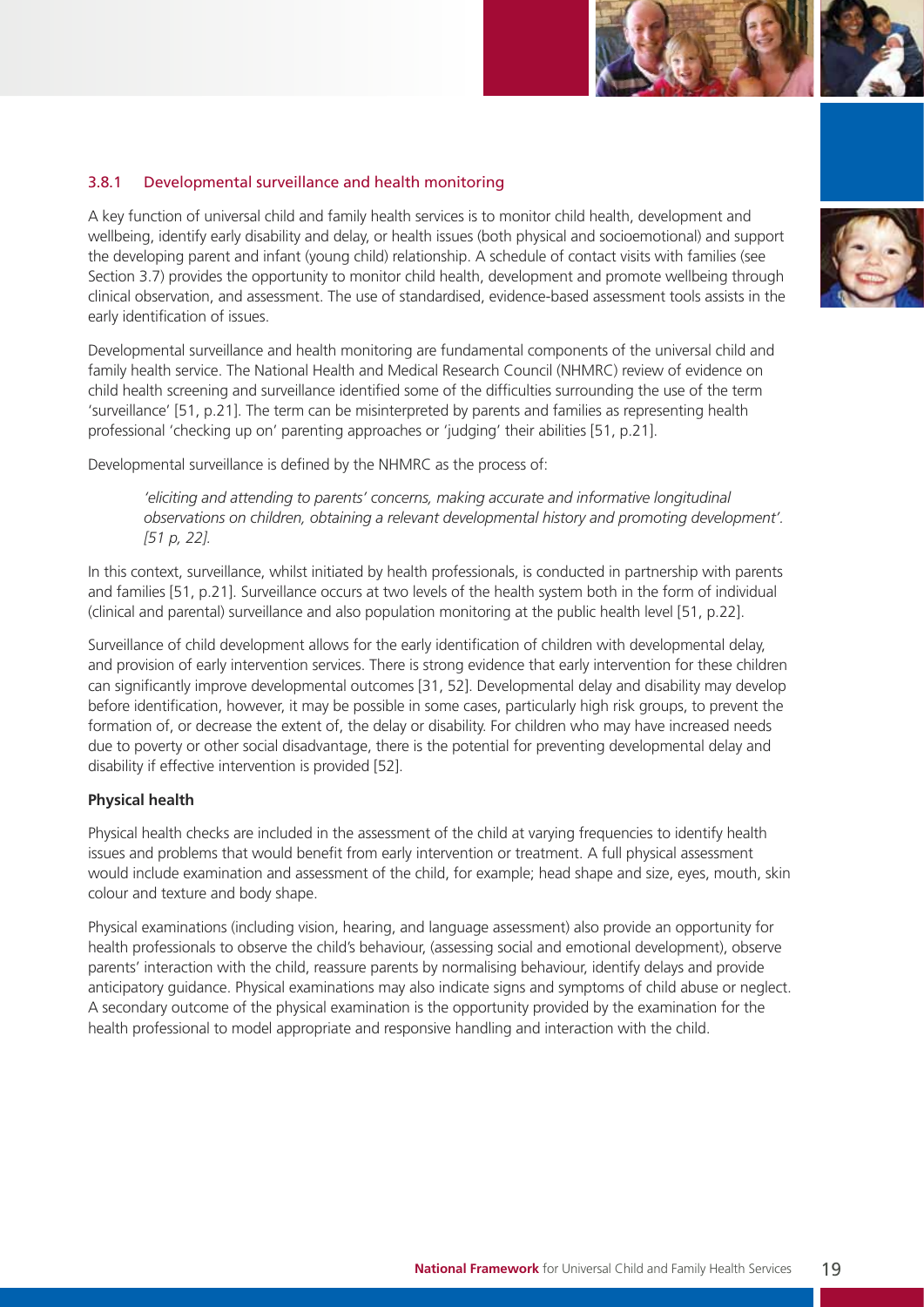

#### 3.8.1 Developmental surveillance and health monitoring

A key function of universal child and family health services is to monitor child health, development and wellbeing, identify early disability and delay, or health issues (both physical and socioemotional) and support the developing parent and infant (young child) relationship. A schedule of contact visits with families (see Section 3.7) provides the opportunity to monitor child health, development and promote wellbeing through clinical observation, and assessment. The use of standardised, evidence-based assessment tools assists in the early identification of issues.

Developmental surveillance and health monitoring are fundamental components of the universal child and family health service. The National Health and Medical Research Council (NHMRC) review of evidence on child health screening and surveillance identified some of the difficulties surrounding the use of the term 'surveillance' [51, p.21]. The term can be misinterpreted by parents and families as representing health professional 'checking up on' parenting approaches or 'judging' their abilities [51, p.21].

Developmental surveillance is defined by the NHMRC as the process of:

 *'eliciting and attending to parents' concerns, making accurate and informative longitudinal observations on children, obtaining a relevant developmental history and promoting development'. [51 p, 22].*

In this context, surveillance, whilst initiated by health professionals, is conducted in partnership with parents and families [51, p.21]. Surveillance occurs at two levels of the health system both in the form of individual (clinical and parental) surveillance and also population monitoring at the public health level [51, p.22].

Surveillance of child development allows for the early identification of children with developmental delay, and provision of early intervention services. There is strong evidence that early intervention for these children can significantly improve developmental outcomes [31, 52]. Developmental delay and disability may develop before identification, however, it may be possible in some cases, particularly high risk groups, to prevent the formation of, or decrease the extent of, the delay or disability. For children who may have increased needs due to poverty or other social disadvantage, there is the potential for preventing developmental delay and disability if effective intervention is provided [52].

#### **Physical health**

Physical health checks are included in the assessment of the child at varying frequencies to identify health issues and problems that would benefit from early intervention or treatment. A full physical assessment would include examination and assessment of the child, for example; head shape and size, eyes, mouth, skin colour and texture and body shape.

Physical examinations (including vision, hearing, and language assessment) also provide an opportunity for health professionals to observe the child's behaviour, (assessing social and emotional development), observe parents' interaction with the child, reassure parents by normalising behaviour, identify delays and provide anticipatory guidance. Physical examinations may also indicate signs and symptoms of child abuse or neglect. A secondary outcome of the physical examination is the opportunity provided by the examination for the health professional to model appropriate and responsive handling and interaction with the child.

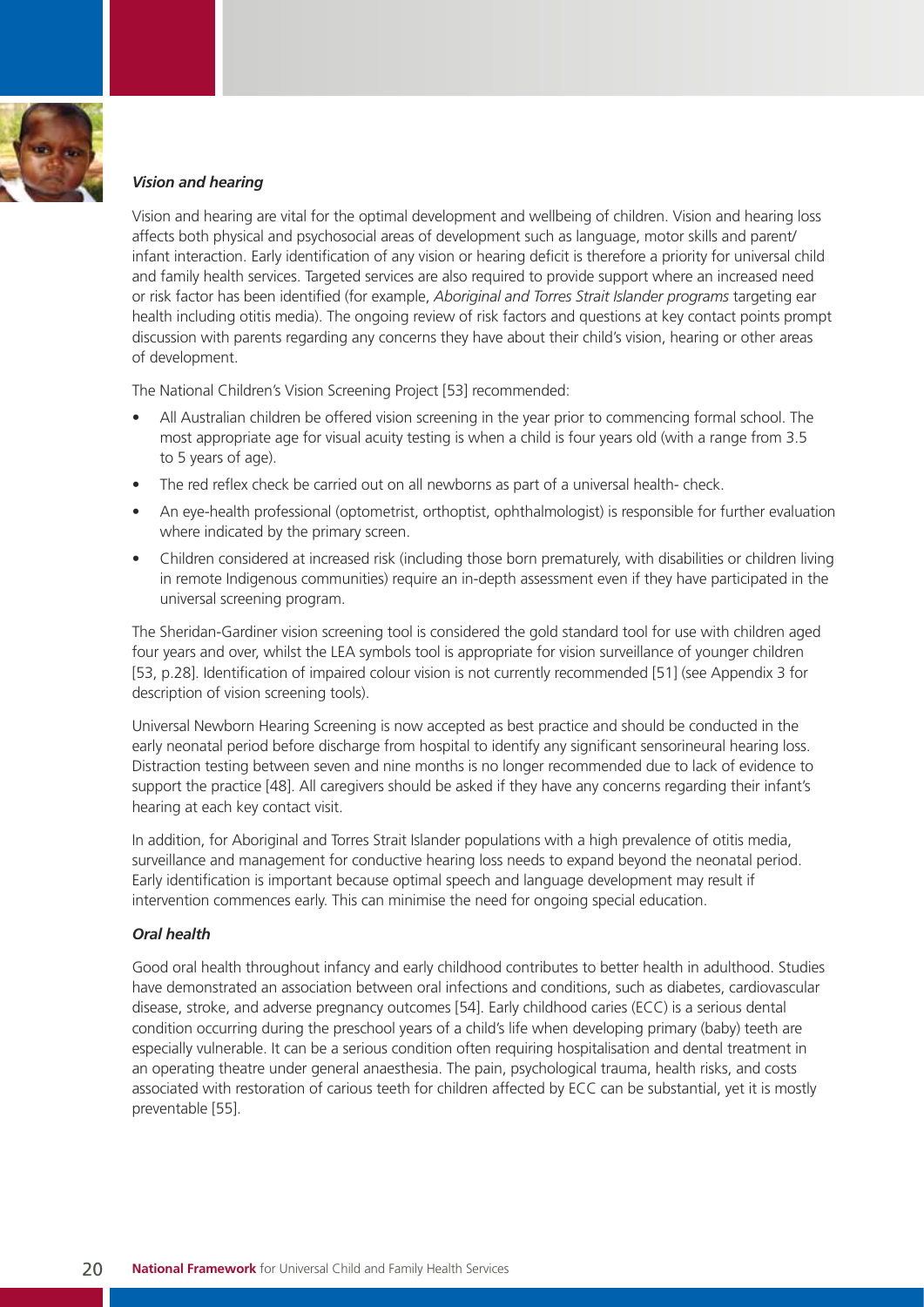

#### *Vision and hearing*

Vision and hearing are vital for the optimal development and wellbeing of children. Vision and hearing loss affects both physical and psychosocial areas of development such as language, motor skills and parent/ infant interaction. Early identification of any vision or hearing deficit is therefore a priority for universal child and family health services. Targeted services are also required to provide support where an increased need or risk factor has been identified (for example, *Aboriginal and Torres Strait Islander programs* targeting ear health including otitis media). The ongoing review of risk factors and questions at key contact points prompt discussion with parents regarding any concerns they have about their child's vision, hearing or other areas of development.

The National Children's Vision Screening Project [53] recommended:

- All Australian children be offered vision screening in the year prior to commencing formal school. The most appropriate age for visual acuity testing is when a child is four years old (with a range from 3.5 to 5 years of age).
- The red reflex check be carried out on all newborns as part of a universal health- check.
- An eye-health professional (optometrist, orthoptist, ophthalmologist) is responsible for further evaluation where indicated by the primary screen.
- Children considered at increased risk (including those born prematurely, with disabilities or children living in remote Indigenous communities) require an in-depth assessment even if they have participated in the universal screening program.

The Sheridan-Gardiner vision screening tool is considered the gold standard tool for use with children aged four years and over, whilst the LEA symbols tool is appropriate for vision surveillance of younger children [53, p.28]. Identification of impaired colour vision is not currently recommended [51] (see Appendix 3 for description of vision screening tools).

Universal Newborn Hearing Screening is now accepted as best practice and should be conducted in the early neonatal period before discharge from hospital to identify any significant sensorineural hearing loss. Distraction testing between seven and nine months is no longer recommended due to lack of evidence to support the practice [48]. All caregivers should be asked if they have any concerns regarding their infant's hearing at each key contact visit.

In addition, for Aboriginal and Torres Strait Islander populations with a high prevalence of otitis media, surveillance and management for conductive hearing loss needs to expand beyond the neonatal period. Early identification is important because optimal speech and language development may result if intervention commences early. This can minimise the need for ongoing special education.

#### *Oral health*

Good oral health throughout infancy and early childhood contributes to better health in adulthood. Studies have demonstrated an association between oral infections and conditions, such as diabetes, cardiovascular disease, stroke, and adverse pregnancy outcomes [54]. Early childhood caries (ECC) is a serious dental condition occurring during the preschool years of a child's life when developing primary (baby) teeth are especially vulnerable. It can be a serious condition often requiring hospitalisation and dental treatment in an operating theatre under general anaesthesia. The pain, psychological trauma, health risks, and costs associated with restoration of carious teeth for children affected by ECC can be substantial, yet it is mostly preventable [55].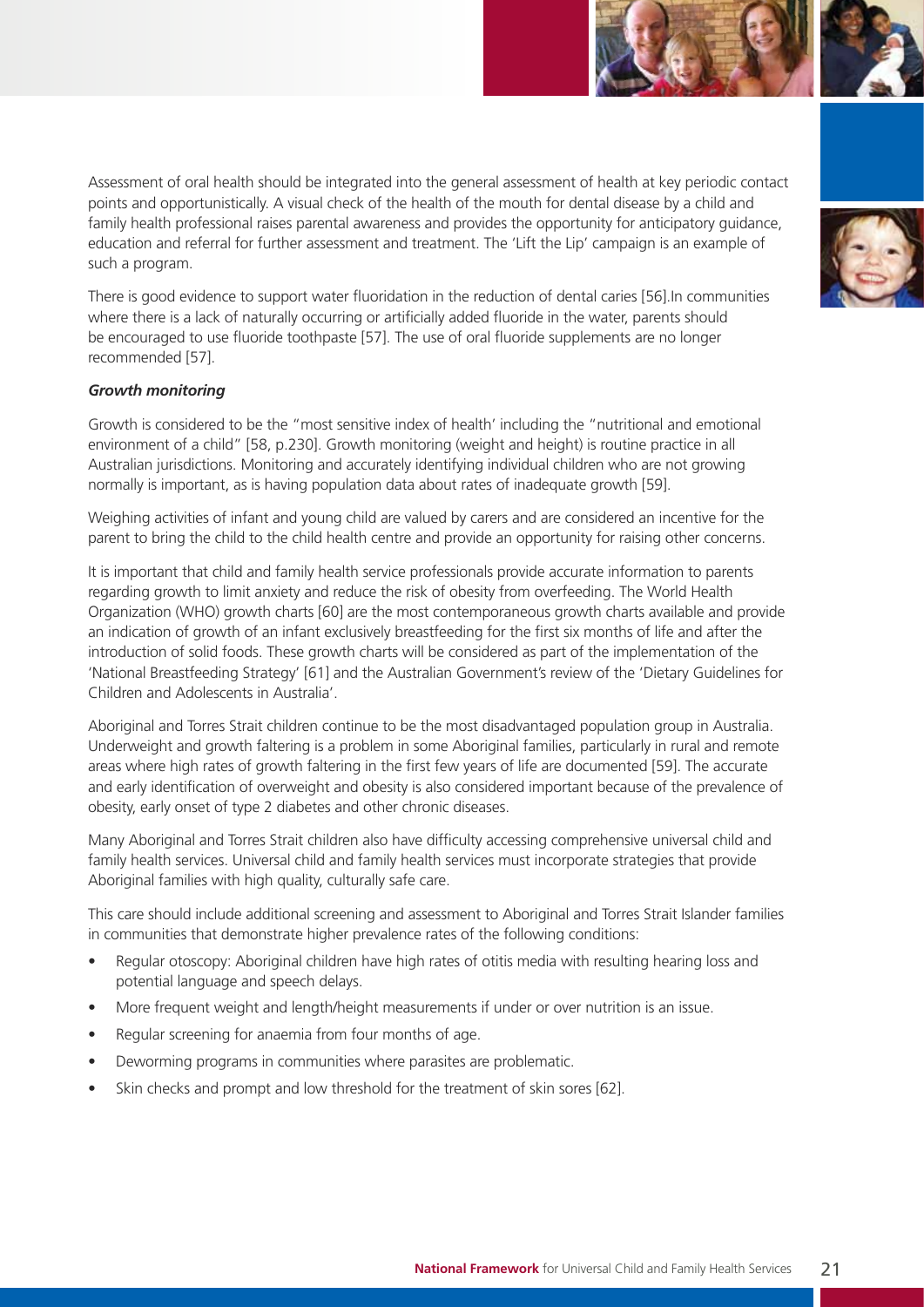

There is good evidence to support water fluoridation in the reduction of dental caries [56].In communities where there is a lack of naturally occurring or artificially added fluoride in the water, parents should be encouraged to use fluoride toothpaste [57]. The use of oral fluoride supplements are no longer recommended [57].

#### *Growth monitoring*

Growth is considered to be the "most sensitive index of health' including the "nutritional and emotional environment of a child" [58, p.230]. Growth monitoring (weight and height) is routine practice in all Australian jurisdictions. Monitoring and accurately identifying individual children who are not growing normally is important, as is having population data about rates of inadequate growth [59].

Weighing activities of infant and young child are valued by carers and are considered an incentive for the parent to bring the child to the child health centre and provide an opportunity for raising other concerns.

It is important that child and family health service professionals provide accurate information to parents regarding growth to limit anxiety and reduce the risk of obesity from overfeeding. The World Health Organization (WHO) growth charts [60] are the most contemporaneous growth charts available and provide an indication of growth of an infant exclusively breastfeeding for the first six months of life and after the introduction of solid foods. These growth charts will be considered as part of the implementation of the 'National Breastfeeding Strategy' [61] and the Australian Government's review of the 'Dietary Guidelines for Children and Adolescents in Australia'.

Aboriginal and Torres Strait children continue to be the most disadvantaged population group in Australia. Underweight and growth faltering is a problem in some Aboriginal families, particularly in rural and remote areas where high rates of growth faltering in the first few years of life are documented [59]. The accurate and early identification of overweight and obesity is also considered important because of the prevalence of obesity, early onset of type 2 diabetes and other chronic diseases.

Many Aboriginal and Torres Strait children also have difficulty accessing comprehensive universal child and family health services. Universal child and family health services must incorporate strategies that provide Aboriginal families with high quality, culturally safe care.

This care should include additional screening and assessment to Aboriginal and Torres Strait Islander families in communities that demonstrate higher prevalence rates of the following conditions:

- Regular otoscopy: Aboriginal children have high rates of otitis media with resulting hearing loss and potential language and speech delays.
- More frequent weight and length/height measurements if under or over nutrition is an issue.
- Regular screening for anaemia from four months of age.
- Deworming programs in communities where parasites are problematic.
- Skin checks and prompt and low threshold for the treatment of skin sores [62].



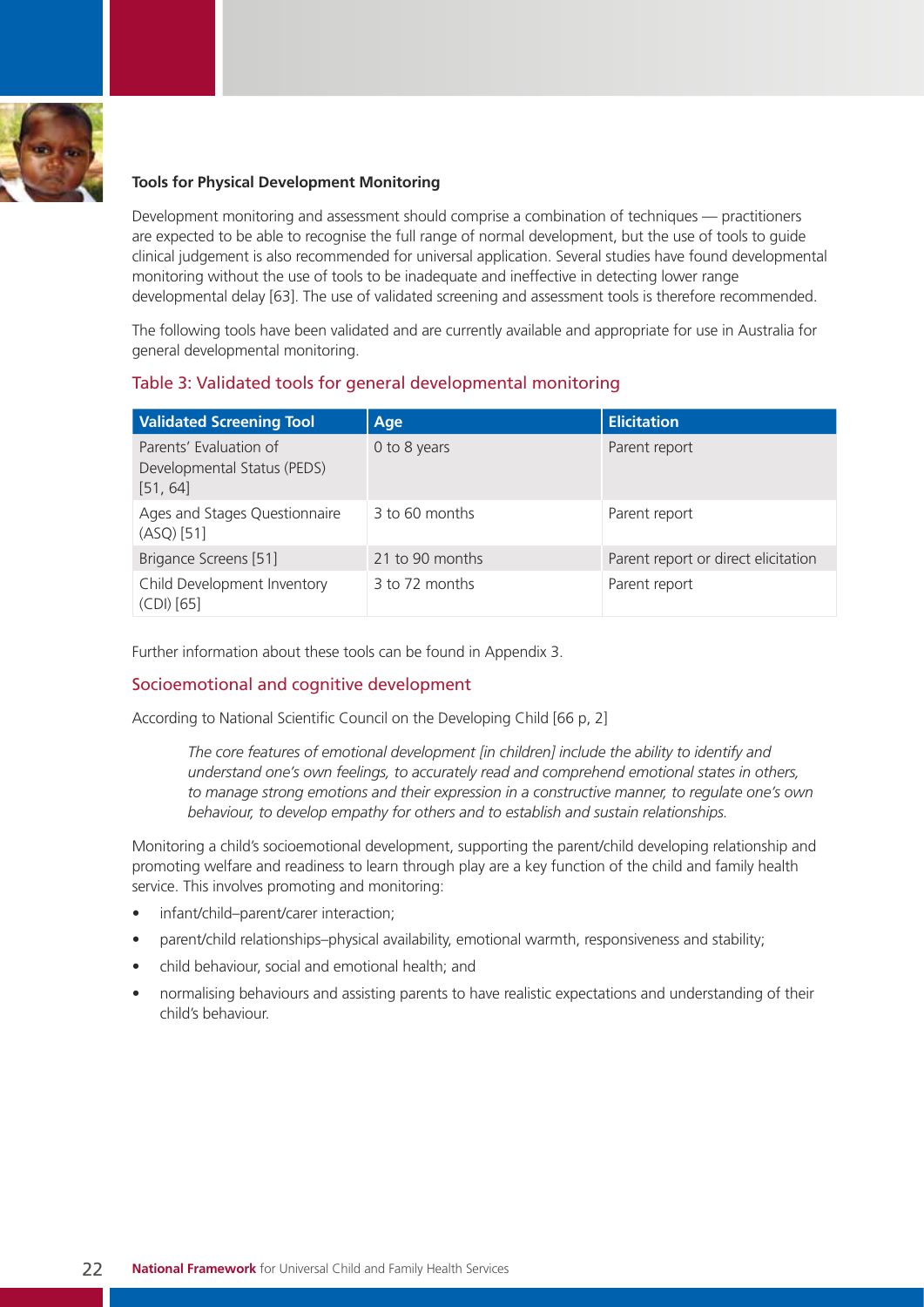

#### **Tools for Physical Development Monitoring**

Development monitoring and assessment should comprise a combination of techniques — practitioners are expected to be able to recognise the full range of normal development, but the use of tools to guide clinical judgement is also recommended for universal application. Several studies have found developmental monitoring without the use of tools to be inadequate and ineffective in detecting lower range developmental delay [63]. The use of validated screening and assessment tools is therefore recommended.

The following tools have been validated and are currently available and appropriate for use in Australia for general developmental monitoring.

### Table 3: Validated tools for general developmental monitoring

| <b>Validated Screening Tool</b>                                   | <b>Age</b>      | <b>Elicitation</b>                  |
|-------------------------------------------------------------------|-----------------|-------------------------------------|
| Parents' Evaluation of<br>Developmental Status (PEDS)<br>[51, 64] | 0 to 8 years    | Parent report                       |
| Ages and Stages Questionnaire<br>$(ASQ)$ [51]                     | 3 to 60 months  | Parent report                       |
| Brigance Screens [51]                                             | 21 to 90 months | Parent report or direct elicitation |
| Child Development Inventory<br>$(CDI)$ [65]                       | 3 to 72 months  | Parent report                       |

Further information about these tools can be found in Appendix 3.

### Socioemotional and cognitive development

According to National Scientific Council on the Developing Child [66 p, 2]

 *The core features of emotional development [in children] include the ability to identify and understand one's own feelings, to accurately read and comprehend emotional states in others, to manage strong emotions and their expression in a constructive manner, to regulate one's own behaviour, to develop empathy for others and to establish and sustain relationships.* 

Monitoring a child's socioemotional development, supporting the parent/child developing relationship and promoting welfare and readiness to learn through play are a key function of the child and family health service. This involves promoting and monitoring:

- infant/child–parent/carer interaction;
- parent/child relationships–physical availability, emotional warmth, responsiveness and stability;
- child behaviour, social and emotional health; and
- normalising behaviours and assisting parents to have realistic expectations and understanding of their child's behaviour.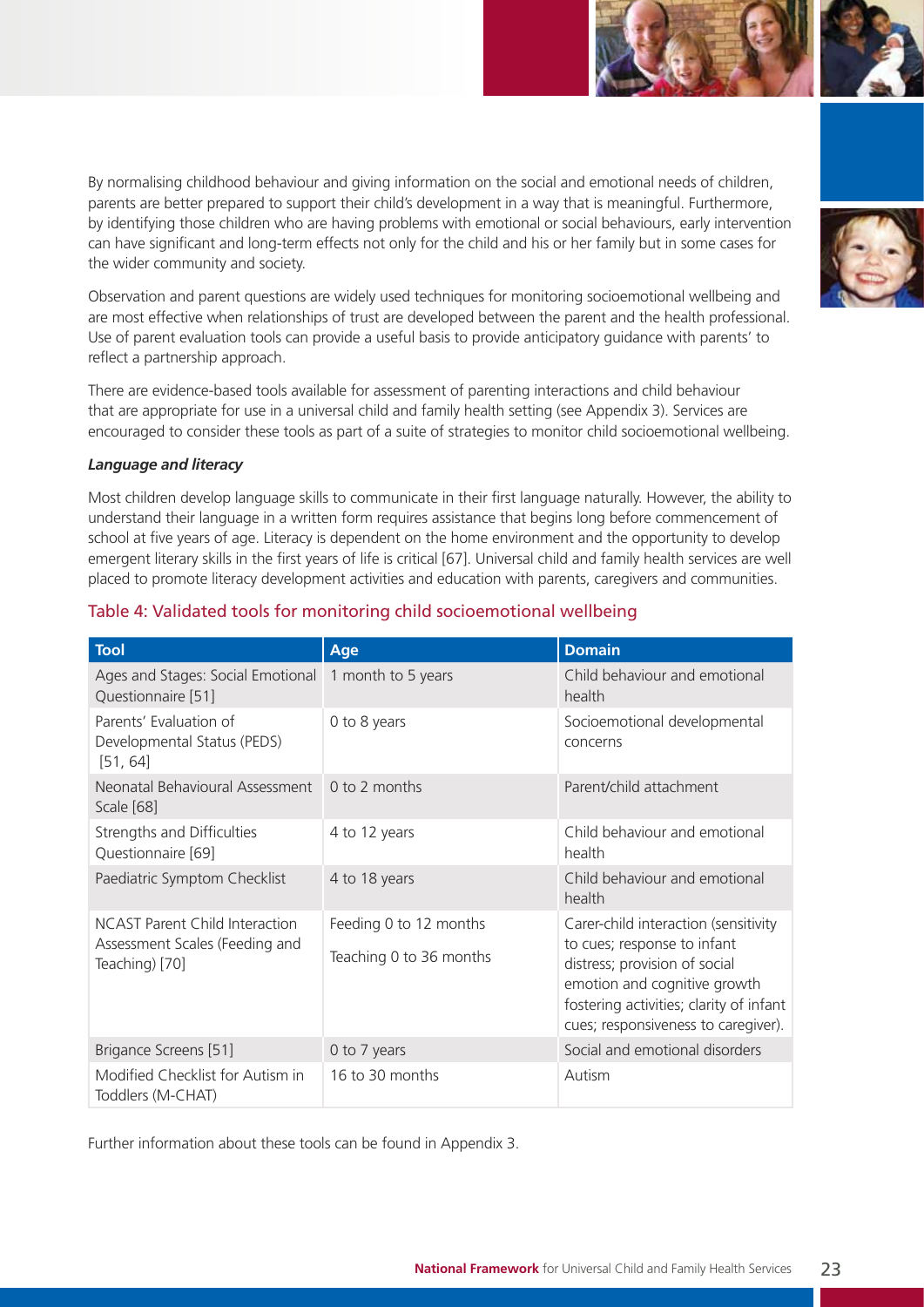By normalising childhood behaviour and giving information on the social and emotional needs of children, parents are better prepared to support their child's development in a way that is meaningful. Furthermore, by identifying those children who are having problems with emotional or social behaviours, early intervention can have significant and long-term effects not only for the child and his or her family but in some cases for the wider community and society.

Observation and parent questions are widely used techniques for monitoring socioemotional wellbeing and are most effective when relationships of trust are developed between the parent and the health professional. Use of parent evaluation tools can provide a useful basis to provide anticipatory guidance with parents' to reflect a partnership approach.

There are evidence-based tools available for assessment of parenting interactions and child behaviour that are appropriate for use in a universal child and family health setting (see Appendix 3). Services are encouraged to consider these tools as part of a suite of strategies to monitor child socioemotional wellbeing.

#### *Language and literacy*

Most children develop language skills to communicate in their first language naturally. However, the ability to understand their language in a written form requires assistance that begins long before commencement of school at five years of age. Literacy is dependent on the home environment and the opportunity to develop emergent literary skills in the first years of life is critical [67]. Universal child and family health services are well placed to promote literacy development activities and education with parents, caregivers and communities.

| <b>Tool</b>                                                                               | Age                                               | <b>Domain</b>                                                                                                                                                                                                          |
|-------------------------------------------------------------------------------------------|---------------------------------------------------|------------------------------------------------------------------------------------------------------------------------------------------------------------------------------------------------------------------------|
| Ages and Stages: Social Emotional<br>Questionnaire [51]                                   | 1 month to 5 years                                | Child behaviour and emotional<br>health                                                                                                                                                                                |
| Parents' Evaluation of<br>Developmental Status (PEDS)<br>[51, 64]                         | 0 to 8 years                                      | Socioemotional developmental<br>concerns                                                                                                                                                                               |
| Neonatal Behavioural Assessment<br><b>Scale</b> [68]                                      | 0 to 2 months                                     | Parent/child attachment                                                                                                                                                                                                |
| Strengths and Difficulties<br>Questionnaire [69]                                          | 4 to 12 years                                     | Child behaviour and emotional<br>health                                                                                                                                                                                |
| Paediatric Symptom Checklist                                                              | 4 to 18 years                                     | Child behaviour and emotional<br>health                                                                                                                                                                                |
| <b>NCAST Parent Child Interaction</b><br>Assessment Scales (Feeding and<br>Teaching) [70] | Feeding 0 to 12 months<br>Teaching 0 to 36 months | Carer-child interaction (sensitivity<br>to cues; response to infant<br>distress; provision of social<br>emotion and cognitive growth<br>fostering activities; clarity of infant<br>cues; responsiveness to caregiver). |
| Brigance Screens [51]                                                                     | 0 to 7 years                                      | Social and emotional disorders                                                                                                                                                                                         |
| Modified Checklist for Autism in<br>Toddlers (M-CHAT)                                     | 16 to 30 months                                   | Autism                                                                                                                                                                                                                 |

### Table 4: Validated tools for monitoring child socioemotional wellbeing

Further information about these tools can be found in Appendix 3.

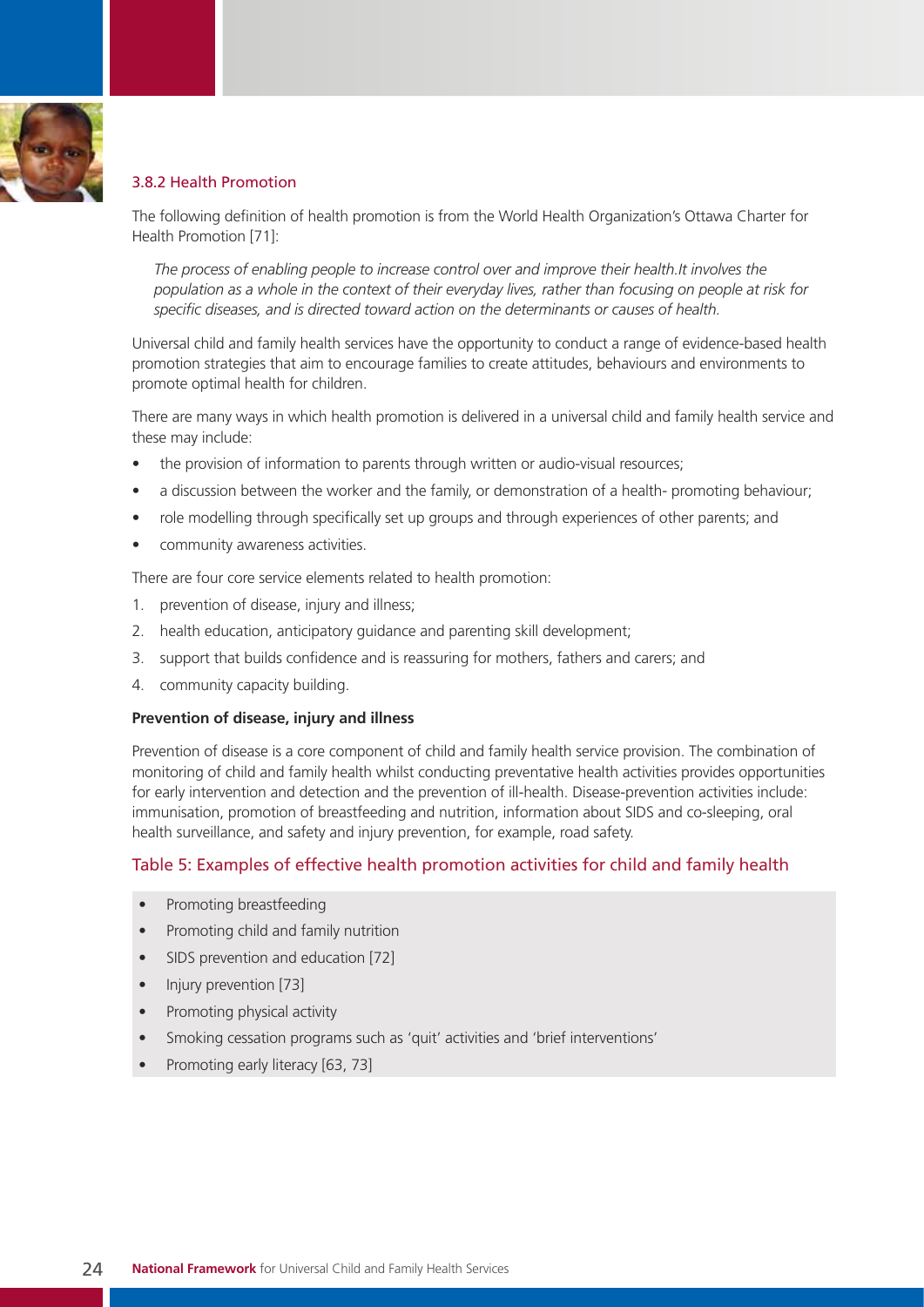

#### 3.8.2 Health Promotion

The following definition of health promotion is from the World Health Organization's Ottawa Charter for Health Promotion [71]:

*The process of enabling people to increase control over and improve their health.It involves the population as a whole in the context of their everyday lives, rather than focusing on people at risk for specific diseases, and is directed toward action on the determinants or causes of health.*

Universal child and family health services have the opportunity to conduct a range of evidence-based health promotion strategies that aim to encourage families to create attitudes, behaviours and environments to promote optimal health for children.

There are many ways in which health promotion is delivered in a universal child and family health service and these may include:

- the provision of information to parents through written or audio-visual resources;
- a discussion between the worker and the family, or demonstration of a health- promoting behaviour;
- role modelling through specifically set up groups and through experiences of other parents; and
- community awareness activities.

There are four core service elements related to health promotion:

- 1. prevention of disease, injury and illness;
- 2. health education, anticipatory guidance and parenting skill development;
- 3. support that builds confidence and is reassuring for mothers, fathers and carers; and
- 4. community capacity building.

#### **Prevention of disease, injury and illness**

Prevention of disease is a core component of child and family health service provision. The combination of monitoring of child and family health whilst conducting preventative health activities provides opportunities for early intervention and detection and the prevention of ill-health. Disease-prevention activities include: immunisation, promotion of breastfeeding and nutrition, information about SIDS and co-sleeping, oral health surveillance, and safety and injury prevention, for example, road safety.

#### Table 5: Examples of effective health promotion activities for child and family health

- Promoting breastfeeding
- Promoting child and family nutrition
- SIDS prevention and education [72]
- Injury prevention [73]
- Promoting physical activity
- Smoking cessation programs such as 'quit' activities and 'brief interventions'
- Promoting early literacy [63, 73]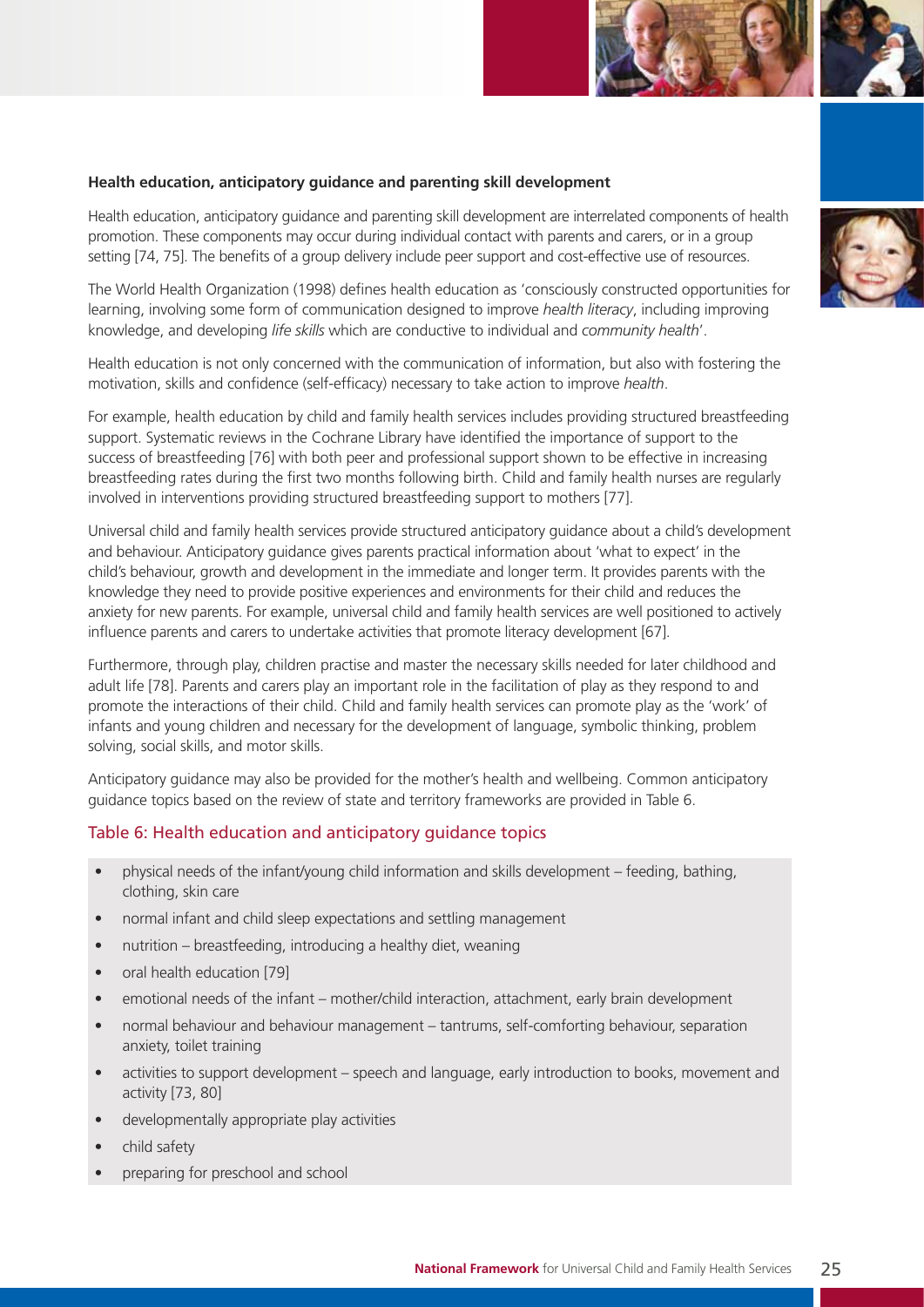

#### **Health education, anticipatory guidance and parenting skill development**

Health education, anticipatory guidance and parenting skill development are interrelated components of health promotion. These components may occur during individual contact with parents and carers, or in a group setting [74, 75]. The benefits of a group delivery include peer support and cost-effective use of resources.

The World Health Organization (1998) defines health education as 'consciously constructed opportunities for learning, involving some form of communication designed to improve *health literacy*, including improving knowledge, and developing *life skills* which are conductive to individual and *community health*'.

Health education is not only concerned with the communication of information, but also with fostering the motivation, skills and confidence (self-efficacy) necessary to take action to improve *health*.

For example, health education by child and family health services includes providing structured breastfeeding support. Systematic reviews in the Cochrane Library have identified the importance of support to the success of breastfeeding [76] with both peer and professional support shown to be effective in increasing breastfeeding rates during the first two months following birth. Child and family health nurses are regularly involved in interventions providing structured breastfeeding support to mothers [77].

Universal child and family health services provide structured anticipatory guidance about a child's development and behaviour. Anticipatory guidance gives parents practical information about 'what to expect' in the child's behaviour, growth and development in the immediate and longer term. It provides parents with the knowledge they need to provide positive experiences and environments for their child and reduces the anxiety for new parents. For example, universal child and family health services are well positioned to actively influence parents and carers to undertake activities that promote literacy development [67].

Furthermore, through play, children practise and master the necessary skills needed for later childhood and adult life [78]. Parents and carers play an important role in the facilitation of play as they respond to and promote the interactions of their child. Child and family health services can promote play as the 'work' of infants and young children and necessary for the development of language, symbolic thinking, problem solving, social skills, and motor skills.

Anticipatory guidance may also be provided for the mother's health and wellbeing. Common anticipatory guidance topics based on the review of state and territory frameworks are provided in Table 6.

### Table 6: Health education and anticipatory guidance topics

- physical needs of the infant/young child information and skills development feeding, bathing, clothing, skin care
- normal infant and child sleep expectations and settling management
- nutrition breastfeeding, introducing a healthy diet, weaning
- oral health education [79]
- emotional needs of the infant mother/child interaction, attachment, early brain development
- normal behaviour and behaviour management tantrums, self-comforting behaviour, separation anxiety, toilet training
- activities to support development speech and language, early introduction to books, movement and activity [73, 80]
- developmentally appropriate play activities
- child safety
- preparing for preschool and school

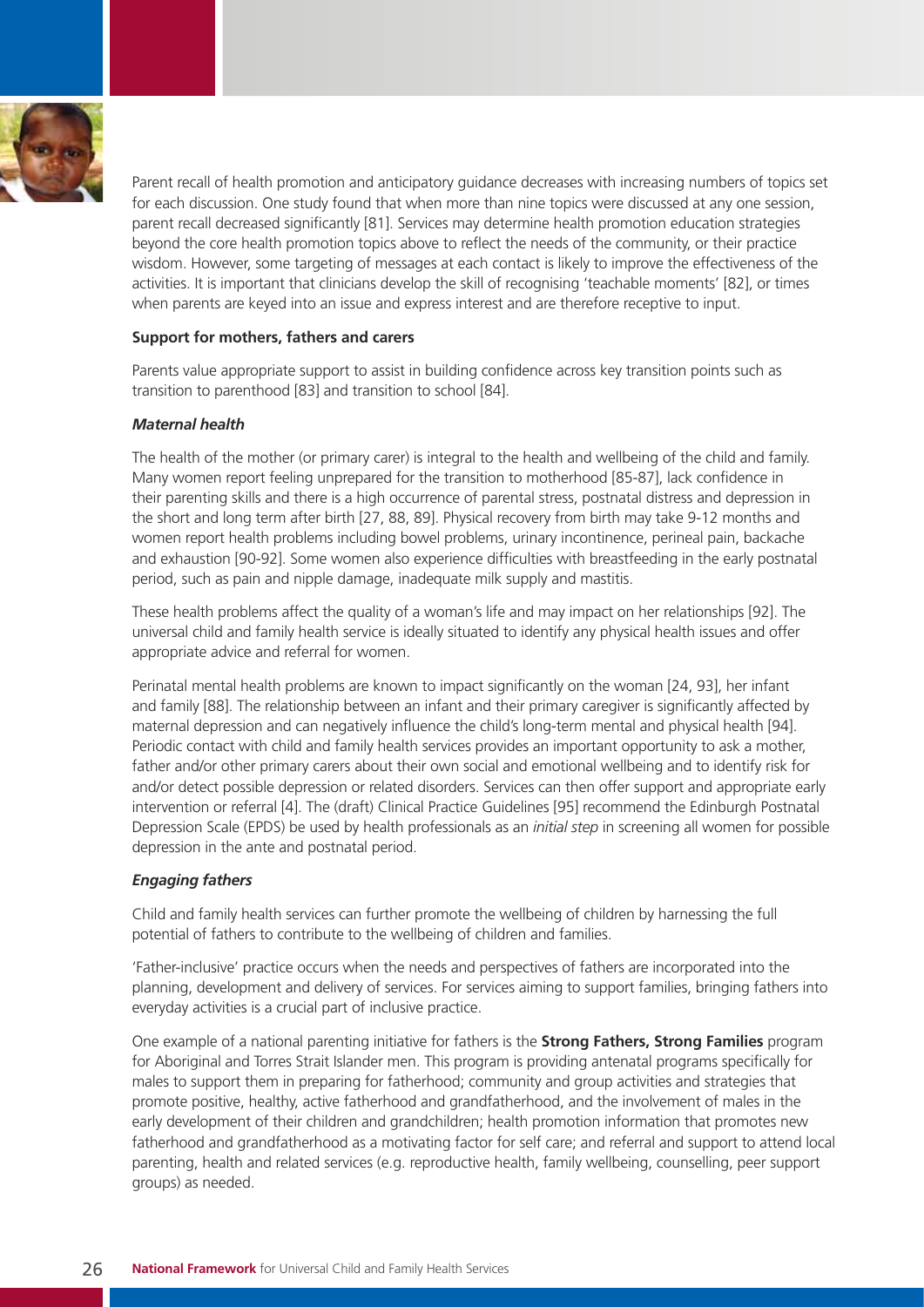

Parent recall of health promotion and anticipatory guidance decreases with increasing numbers of topics set for each discussion. One study found that when more than nine topics were discussed at any one session, parent recall decreased significantly [81]. Services may determine health promotion education strategies beyond the core health promotion topics above to reflect the needs of the community, or their practice wisdom. However, some targeting of messages at each contact is likely to improve the effectiveness of the activities. It is important that clinicians develop the skill of recognising 'teachable moments' [82], or times when parents are keyed into an issue and express interest and are therefore receptive to input.

#### **Support for mothers, fathers and carers**

Parents value appropriate support to assist in building confidence across key transition points such as transition to parenthood [83] and transition to school [84].

#### *Maternal health*

The health of the mother (or primary carer) is integral to the health and wellbeing of the child and family. Many women report feeling unprepared for the transition to motherhood [85-87], lack confidence in their parenting skills and there is a high occurrence of parental stress, postnatal distress and depression in the short and long term after birth [27, 88, 89]. Physical recovery from birth may take 9-12 months and women report health problems including bowel problems, urinary incontinence, perineal pain, backache and exhaustion [90-92]. Some women also experience difficulties with breastfeeding in the early postnatal period, such as pain and nipple damage, inadequate milk supply and mastitis.

These health problems affect the quality of a woman's life and may impact on her relationships [92]. The universal child and family health service is ideally situated to identify any physical health issues and offer appropriate advice and referral for women.

Perinatal mental health problems are known to impact significantly on the woman [24, 93], her infant and family [88]. The relationship between an infant and their primary caregiver is significantly affected by maternal depression and can negatively influence the child's long-term mental and physical health [94]. Periodic contact with child and family health services provides an important opportunity to ask a mother, father and/or other primary carers about their own social and emotional wellbeing and to identify risk for and/or detect possible depression or related disorders. Services can then offer support and appropriate early intervention or referral [4]. The (draft) Clinical Practice Guidelines [95] recommend the Edinburgh Postnatal Depression Scale (EPDS) be used by health professionals as an *initial step* in screening all women for possible depression in the ante and postnatal period.

#### *Engaging fathers*

Child and family health services can further promote the wellbeing of children by harnessing the full potential of fathers to contribute to the wellbeing of children and families.

'Father-inclusive' practice occurs when the needs and perspectives of fathers are incorporated into the planning, development and delivery of services. For services aiming to support families, bringing fathers into everyday activities is a crucial part of inclusive practice.

One example of a national parenting initiative for fathers is the **Strong Fathers, Strong Families** program for Aboriginal and Torres Strait Islander men. This program is providing antenatal programs specifically for males to support them in preparing for fatherhood; community and group activities and strategies that promote positive, healthy, active fatherhood and grandfatherhood, and the involvement of males in the early development of their children and grandchildren; health promotion information that promotes new fatherhood and grandfatherhood as a motivating factor for self care; and referral and support to attend local parenting, health and related services (e.g. reproductive health, family wellbeing, counselling, peer support groups) as needed.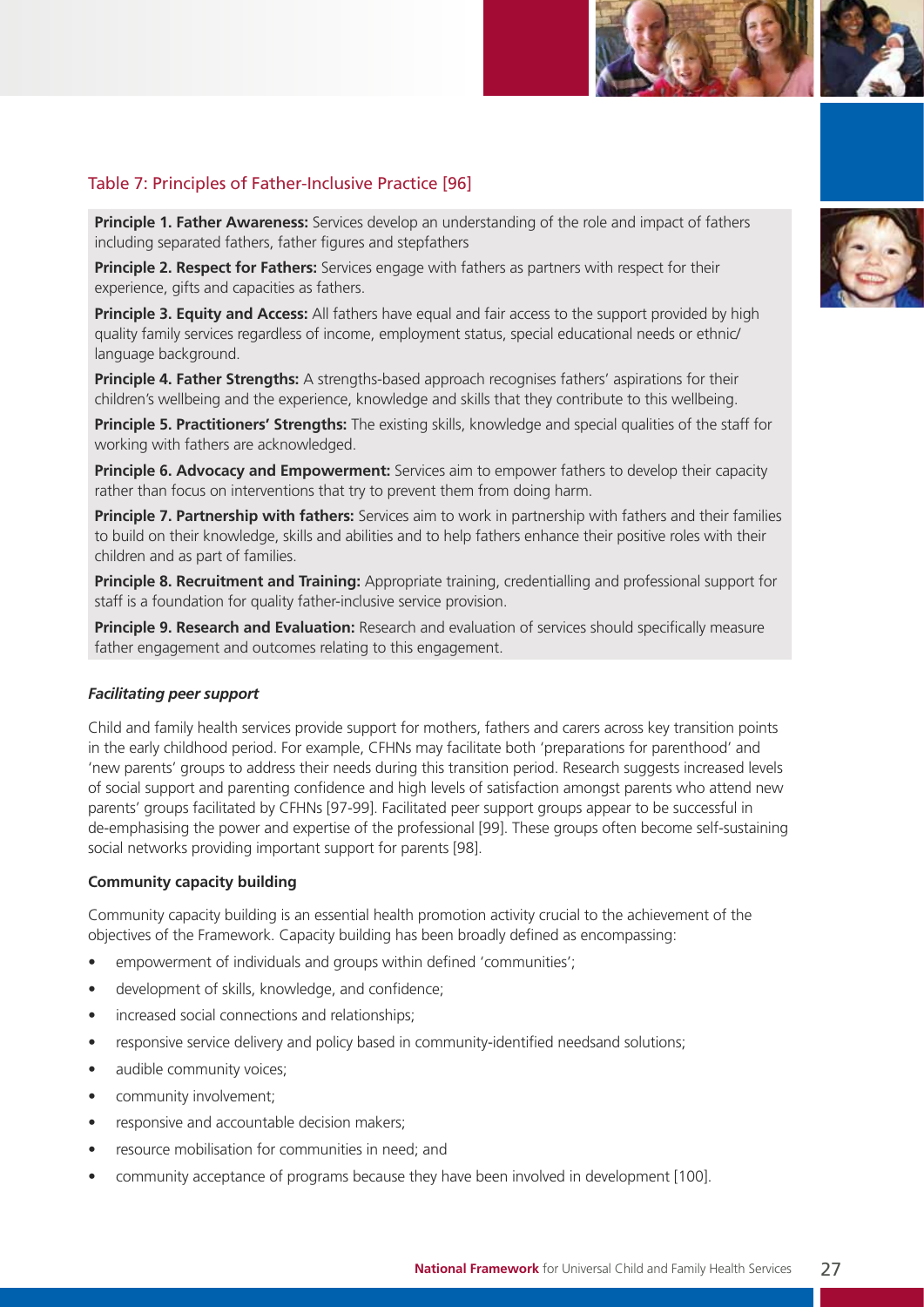

### Table 7: Principles of Father-Inclusive Practice [96]

**Principle 1. Father Awareness:** Services develop an understanding of the role and impact of fathers including separated fathers, father figures and stepfathers

**Principle 2. Respect for Fathers:** Services engage with fathers as partners with respect for their experience, gifts and capacities as fathers.

**Principle 3. Equity and Access:** All fathers have equal and fair access to the support provided by high quality family services regardless of income, employment status, special educational needs or ethnic/ language background.

**Principle 4. Father Strengths:** A strengths-based approach recognises fathers' aspirations for their children's wellbeing and the experience, knowledge and skills that they contribute to this wellbeing.

**Principle 5. Practitioners' Strengths:** The existing skills, knowledge and special qualities of the staff for working with fathers are acknowledged.

**Principle 6. Advocacy and Empowerment:** Services aim to empower fathers to develop their capacity rather than focus on interventions that try to prevent them from doing harm.

**Principle 7. Partnership with fathers:** Services aim to work in partnership with fathers and their families to build on their knowledge, skills and abilities and to help fathers enhance their positive roles with their children and as part of families.

**Principle 8. Recruitment and Training:** Appropriate training, credentialling and professional support for staff is a foundation for quality father-inclusive service provision.

**Principle 9. Research and Evaluation:** Research and evaluation of services should specifically measure father engagement and outcomes relating to this engagement.

#### *Facilitating peer support*

Child and family health services provide support for mothers, fathers and carers across key transition points in the early childhood period. For example, CFHNs may facilitate both 'preparations for parenthood' and 'new parents' groups to address their needs during this transition period. Research suggests increased levels of social support and parenting confidence and high levels of satisfaction amongst parents who attend new parents' groups facilitated by CFHNs [97-99]. Facilitated peer support groups appear to be successful in de-emphasising the power and expertise of the professional [99]. These groups often become self-sustaining social networks providing important support for parents [98].

#### **Community capacity building**

Community capacity building is an essential health promotion activity crucial to the achievement of the objectives of the Framework. Capacity building has been broadly defined as encompassing:

- empowerment of individuals and groups within defined 'communities':
- development of skills, knowledge, and confidence;
- increased social connections and relationships:
- responsive service delivery and policy based in community-identified needsand solutions;
- audible community voices:
- community involvement;
- responsive and accountable decision makers:
- resource mobilisation for communities in need; and
- community acceptance of programs because they have been involved in development [100].

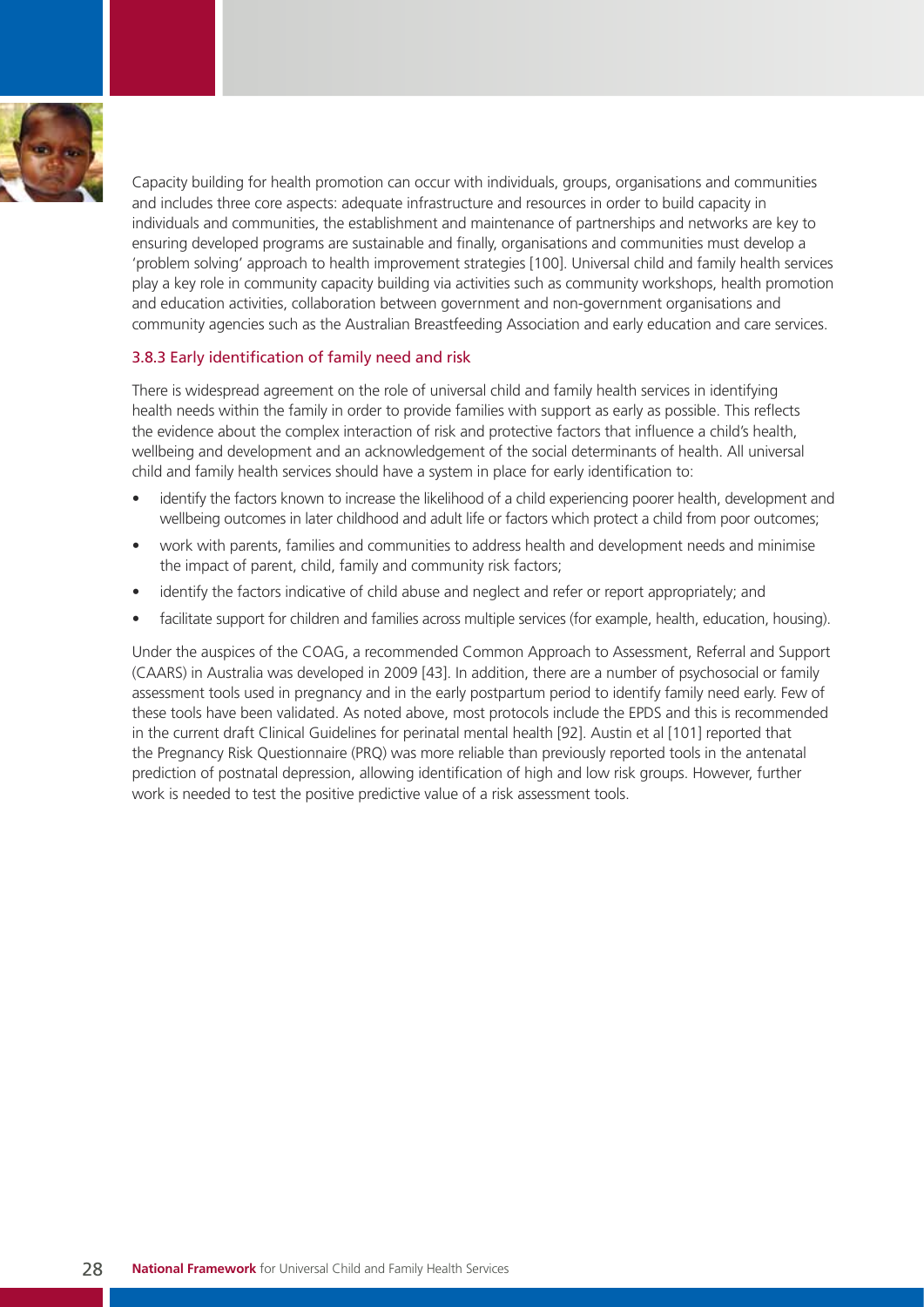

Capacity building for health promotion can occur with individuals, groups, organisations and communities and includes three core aspects: adequate infrastructure and resources in order to build capacity in individuals and communities, the establishment and maintenance of partnerships and networks are key to ensuring developed programs are sustainable and finally, organisations and communities must develop a 'problem solving' approach to health improvement strategies [100]. Universal child and family health services play a key role in community capacity building via activities such as community workshops, health promotion and education activities, collaboration between government and non-government organisations and community agencies such as the Australian Breastfeeding Association and early education and care services.

#### 3.8.3 Early identification of family need and risk

There is widespread agreement on the role of universal child and family health services in identifying health needs within the family in order to provide families with support as early as possible. This reflects the evidence about the complex interaction of risk and protective factors that influence a child's health, wellbeing and development and an acknowledgement of the social determinants of health. All universal child and family health services should have a system in place for early identification to:

- identify the factors known to increase the likelihood of a child experiencing poorer health, development and wellbeing outcomes in later childhood and adult life or factors which protect a child from poor outcomes;
- work with parents, families and communities to address health and development needs and minimise the impact of parent, child, family and community risk factors;
- identify the factors indicative of child abuse and neglect and refer or report appropriately; and
- facilitate support for children and families across multiple services (for example, health, education, housing).

Under the auspices of the COAG, a recommended Common Approach to Assessment, Referral and Support (CAARS) in Australia was developed in 2009 [43]. In addition, there are a number of psychosocial or family assessment tools used in pregnancy and in the early postpartum period to identify family need early. Few of these tools have been validated. As noted above, most protocols include the EPDS and this is recommended in the current draft Clinical Guidelines for perinatal mental health [92]. Austin et al [101] reported that the Pregnancy Risk Questionnaire (PRQ) was more reliable than previously reported tools in the antenatal prediction of postnatal depression, allowing identification of high and low risk groups. However, further work is needed to test the positive predictive value of a risk assessment tools.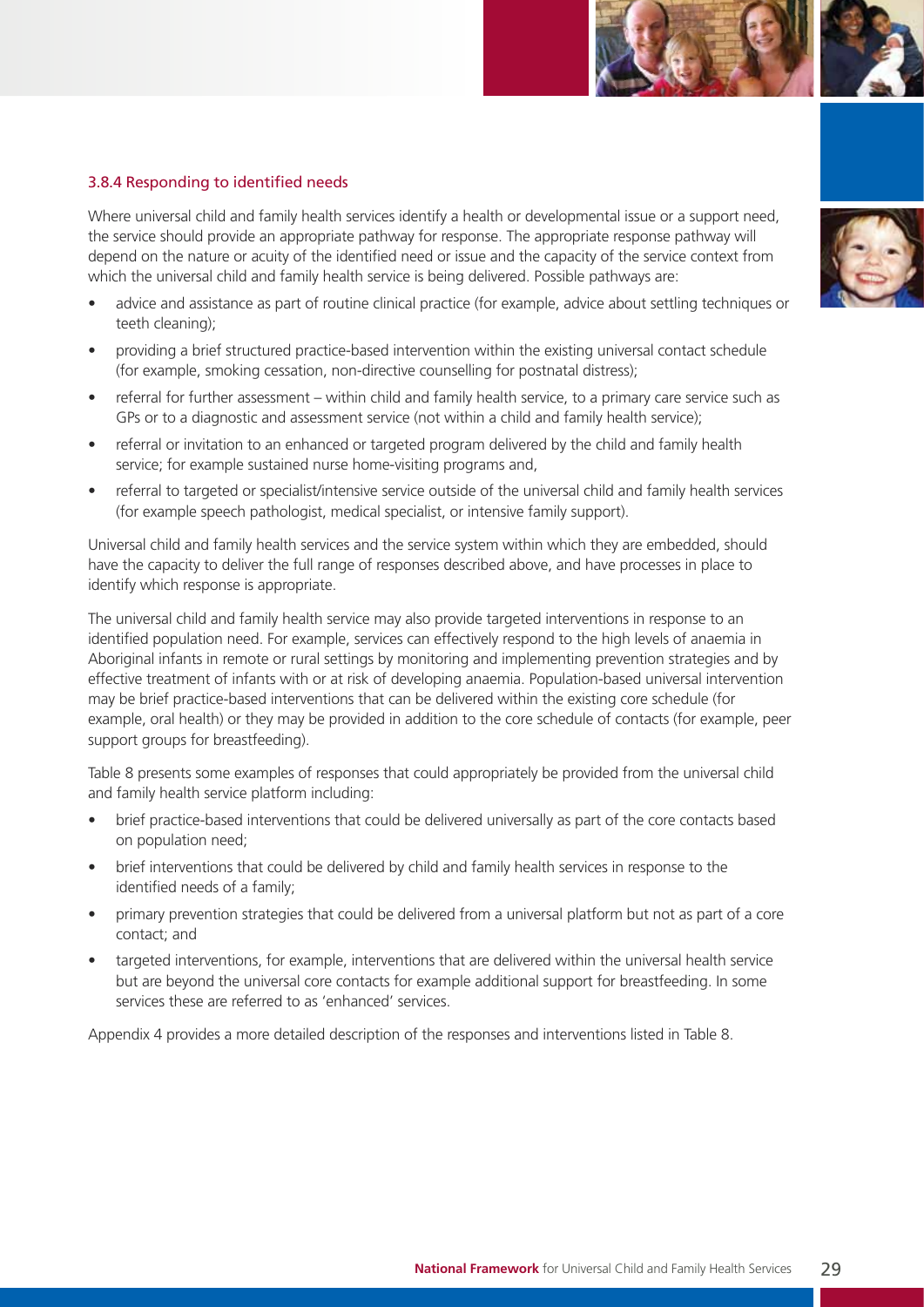

#### 3.8.4 Responding to identified needs

Where universal child and family health services identify a health or developmental issue or a support need, the service should provide an appropriate pathway for response. The appropriate response pathway will depend on the nature or acuity of the identified need or issue and the capacity of the service context from which the universal child and family health service is being delivered. Possible pathways are:

- advice and assistance as part of routine clinical practice (for example, advice about settling techniques or teeth cleaning);
- providing a brief structured practice-based intervention within the existing universal contact schedule (for example, smoking cessation, non-directive counselling for postnatal distress);
- referral for further assessment within child and family health service, to a primary care service such as GPs or to a diagnostic and assessment service (not within a child and family health service);
- referral or invitation to an enhanced or targeted program delivered by the child and family health service; for example sustained nurse home-visiting programs and,
- referral to targeted or specialist/intensive service outside of the universal child and family health services (for example speech pathologist, medical specialist, or intensive family support).

Universal child and family health services and the service system within which they are embedded, should have the capacity to deliver the full range of responses described above, and have processes in place to identify which response is appropriate.

The universal child and family health service may also provide targeted interventions in response to an identified population need. For example, services can effectively respond to the high levels of anaemia in Aboriginal infants in remote or rural settings by monitoring and implementing prevention strategies and by effective treatment of infants with or at risk of developing anaemia. Population-based universal intervention may be brief practice-based interventions that can be delivered within the existing core schedule (for example, oral health) or they may be provided in addition to the core schedule of contacts (for example, peer support groups for breastfeeding).

Table 8 presents some examples of responses that could appropriately be provided from the universal child and family health service platform including:

- brief practice-based interventions that could be delivered universally as part of the core contacts based on population need;
- brief interventions that could be delivered by child and family health services in response to the identified needs of a family;
- primary prevention strategies that could be delivered from a universal platform but not as part of a core contact; and
- targeted interventions, for example, interventions that are delivered within the universal health service but are beyond the universal core contacts for example additional support for breastfeeding. In some services these are referred to as 'enhanced' services.

Appendix 4 provides a more detailed description of the responses and interventions listed in Table 8.

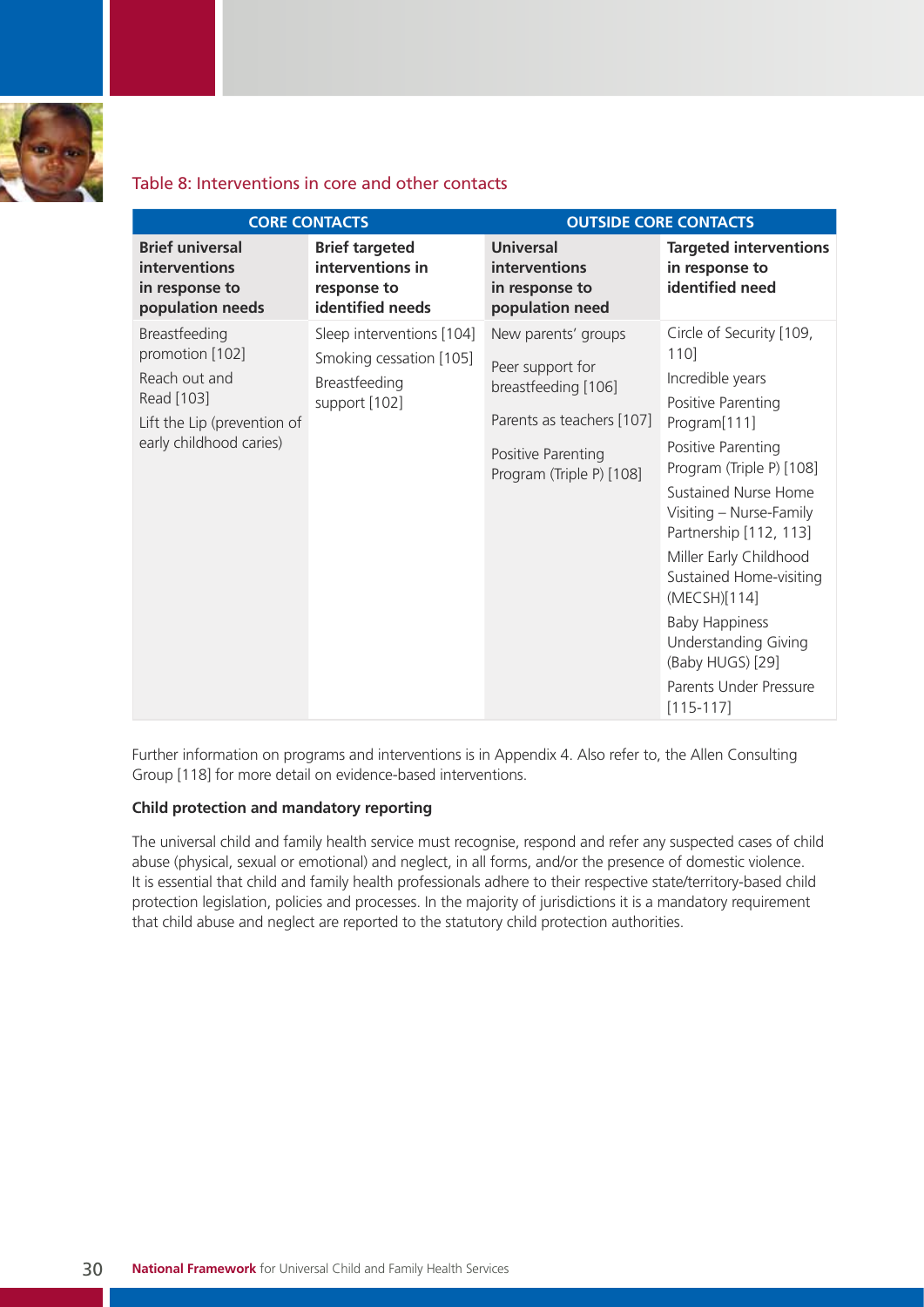

### Table 8: Interventions in core and other contacts

|                                                                                                                           | <b>CORE CONTACTS</b>                                                                   | <b>OUTSIDE CORE CONTACTS</b>                                                                                                                  |                                                                                                                                                                                                                                                                                                                                                                                                                             |  |
|---------------------------------------------------------------------------------------------------------------------------|----------------------------------------------------------------------------------------|-----------------------------------------------------------------------------------------------------------------------------------------------|-----------------------------------------------------------------------------------------------------------------------------------------------------------------------------------------------------------------------------------------------------------------------------------------------------------------------------------------------------------------------------------------------------------------------------|--|
| <b>Brief universal</b><br><b>interventions</b><br>in response to<br>population needs                                      | <b>Brief targeted</b><br>interventions in<br>response to<br>identified needs           | <b>Universal</b><br><b>interventions</b><br>in response to<br>population need                                                                 | <b>Targeted interventions</b><br>in response to<br>identified need                                                                                                                                                                                                                                                                                                                                                          |  |
| Breastfeeding<br>promotion [102]<br>Reach out and<br>Read [103]<br>Lift the Lip (prevention of<br>early childhood caries) | Sleep interventions [104]<br>Smoking cessation [105]<br>Breastfeeding<br>support [102] | New parents' groups<br>Peer support for<br>breastfeeding [106]<br>Parents as teachers [107]<br>Positive Parenting<br>Program (Triple P) [108] | Circle of Security [109,<br>110<br>Incredible years<br>Positive Parenting<br>Program[111]<br>Positive Parenting<br>Program (Triple P) [108]<br><b>Sustained Nurse Home</b><br>Visiting - Nurse-Family<br>Partnership [112, 113]<br>Miller Early Childhood<br>Sustained Home-visiting<br>(MECSH)[114]<br><b>Baby Happiness</b><br><b>Understanding Giving</b><br>(Baby HUGS) [29]<br>Parents Under Pressure<br>$[115 - 117]$ |  |

Further information on programs and interventions is in Appendix 4. Also refer to, the Allen Consulting Group [118] for more detail on evidence-based interventions.

#### **Child protection and mandatory reporting**

The universal child and family health service must recognise, respond and refer any suspected cases of child abuse (physical, sexual or emotional) and neglect, in all forms, and/or the presence of domestic violence. It is essential that child and family health professionals adhere to their respective state/territory-based child protection legislation, policies and processes. In the majority of jurisdictions it is a mandatory requirement that child abuse and neglect are reported to the statutory child protection authorities.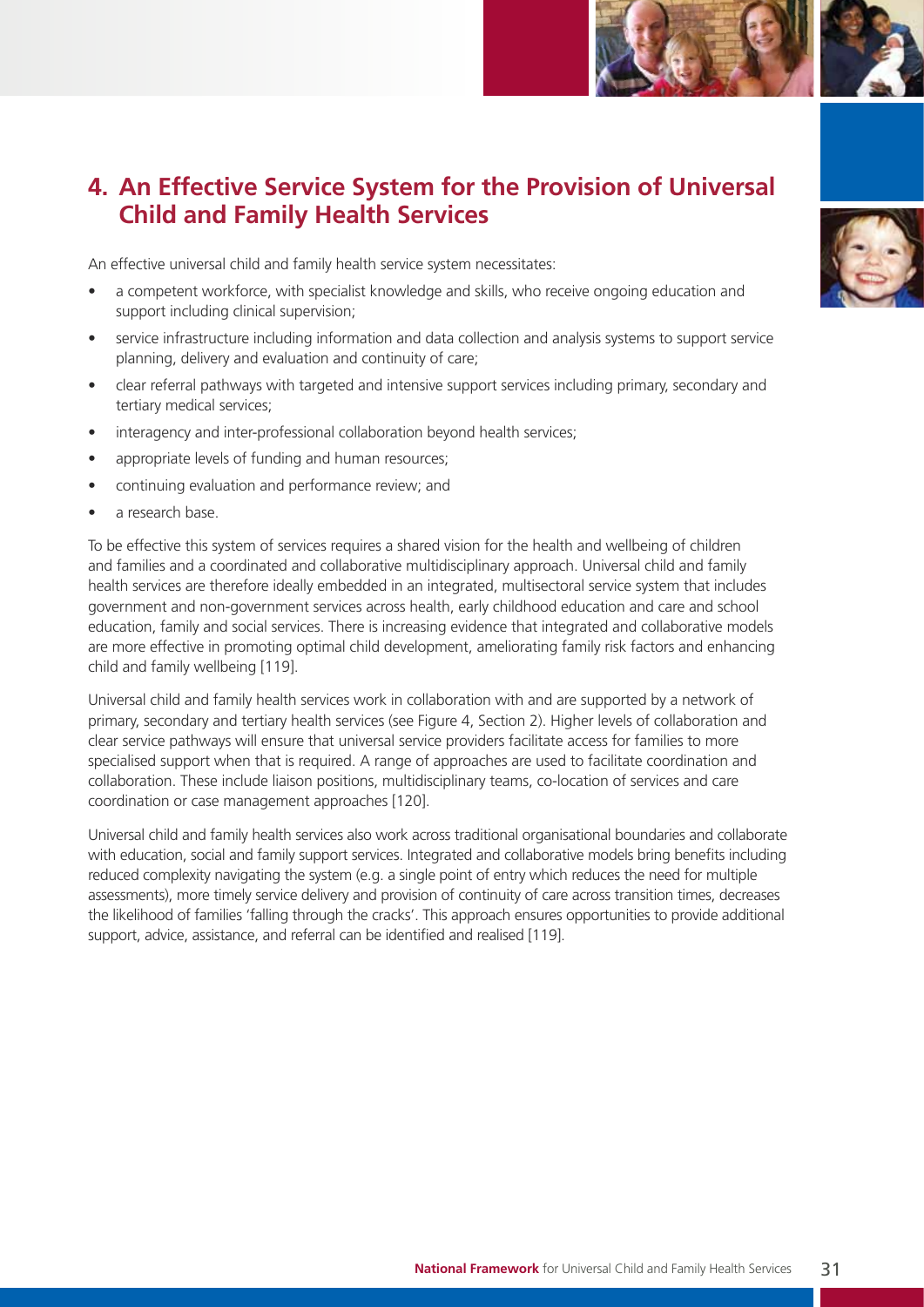

## **4. An Effective Service System for the Provision of Universal Child and Family Health Services**

An effective universal child and family health service system necessitates:

- a competent workforce, with specialist knowledge and skills, who receive ongoing education and support including clinical supervision;
- service infrastructure including information and data collection and analysis systems to support service planning, delivery and evaluation and continuity of care;
- clear referral pathways with targeted and intensive support services including primary, secondary and tertiary medical services;
- interagency and inter-professional collaboration beyond health services;
- appropriate levels of funding and human resources;
- continuing evaluation and performance review; and
- a research base.

To be effective this system of services requires a shared vision for the health and wellbeing of children and families and a coordinated and collaborative multidisciplinary approach. Universal child and family health services are therefore ideally embedded in an integrated, multisectoral service system that includes government and non-government services across health, early childhood education and care and school education, family and social services. There is increasing evidence that integrated and collaborative models are more effective in promoting optimal child development, ameliorating family risk factors and enhancing child and family wellbeing [119].

Universal child and family health services work in collaboration with and are supported by a network of primary, secondary and tertiary health services (see Figure 4, Section 2). Higher levels of collaboration and clear service pathways will ensure that universal service providers facilitate access for families to more specialised support when that is required. A range of approaches are used to facilitate coordination and collaboration. These include liaison positions, multidisciplinary teams, co-location of services and care coordination or case management approaches [120].

Universal child and family health services also work across traditional organisational boundaries and collaborate with education, social and family support services. Integrated and collaborative models bring benefits including reduced complexity navigating the system (e.g. a single point of entry which reduces the need for multiple assessments), more timely service delivery and provision of continuity of care across transition times, decreases the likelihood of families 'falling through the cracks'. This approach ensures opportunities to provide additional support, advice, assistance, and referral can be identified and realised [119].

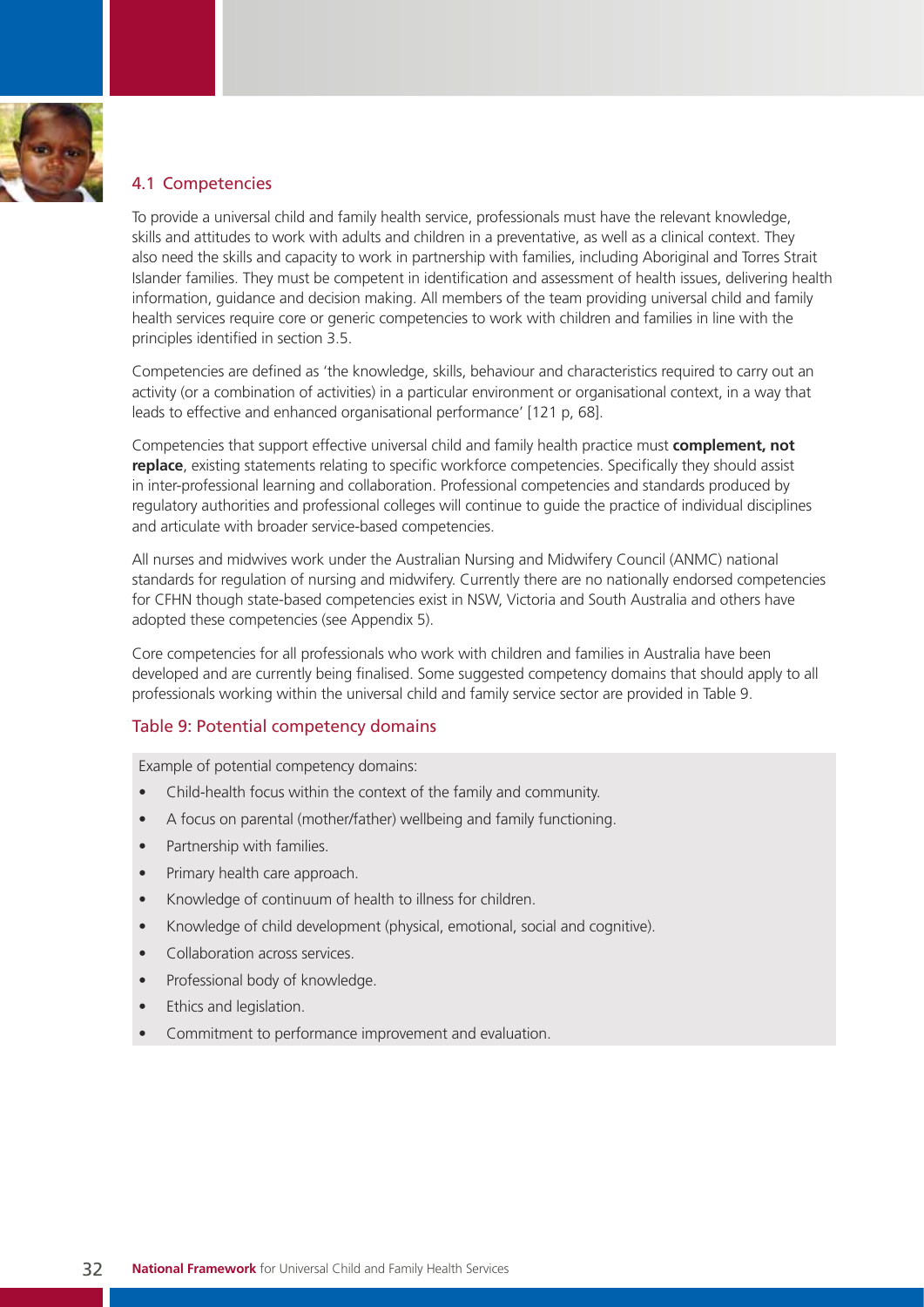

## 4.1 Competencies

To provide a universal child and family health service, professionals must have the relevant knowledge, skills and attitudes to work with adults and children in a preventative, as well as a clinical context. They also need the skills and capacity to work in partnership with families, including Aboriginal and Torres Strait Islander families. They must be competent in identification and assessment of health issues, delivering health information, guidance and decision making. All members of the team providing universal child and family health services require core or generic competencies to work with children and families in line with the principles identified in section 3.5.

Competencies are defined as 'the knowledge, skills, behaviour and characteristics required to carry out an activity (or a combination of activities) in a particular environment or organisational context, in a way that leads to effective and enhanced organisational performance' [121 p, 68].

Competencies that support effective universal child and family health practice must **complement, not replace**, existing statements relating to specific workforce competencies. Specifically they should assist in inter-professional learning and collaboration. Professional competencies and standards produced by regulatory authorities and professional colleges will continue to guide the practice of individual disciplines and articulate with broader service-based competencies.

All nurses and midwives work under the Australian Nursing and Midwifery Council (ANMC) national standards for regulation of nursing and midwifery. Currently there are no nationally endorsed competencies for CFHN though state-based competencies exist in NSW, Victoria and South Australia and others have adopted these competencies (see Appendix 5).

Core competencies for all professionals who work with children and families in Australia have been developed and are currently being finalised. Some suggested competency domains that should apply to all professionals working within the universal child and family service sector are provided in Table 9.

## Table 9: Potential competency domains

Example of potential competency domains:

- Child-health focus within the context of the family and community.
- A focus on parental (mother/father) wellbeing and family functioning.
- Partnership with families.
- Primary health care approach.
- Knowledge of continuum of health to illness for children.
- Knowledge of child development (physical, emotional, social and cognitive).
- Collaboration across services.
- Professional body of knowledge.
- Ethics and legislation.
- Commitment to performance improvement and evaluation.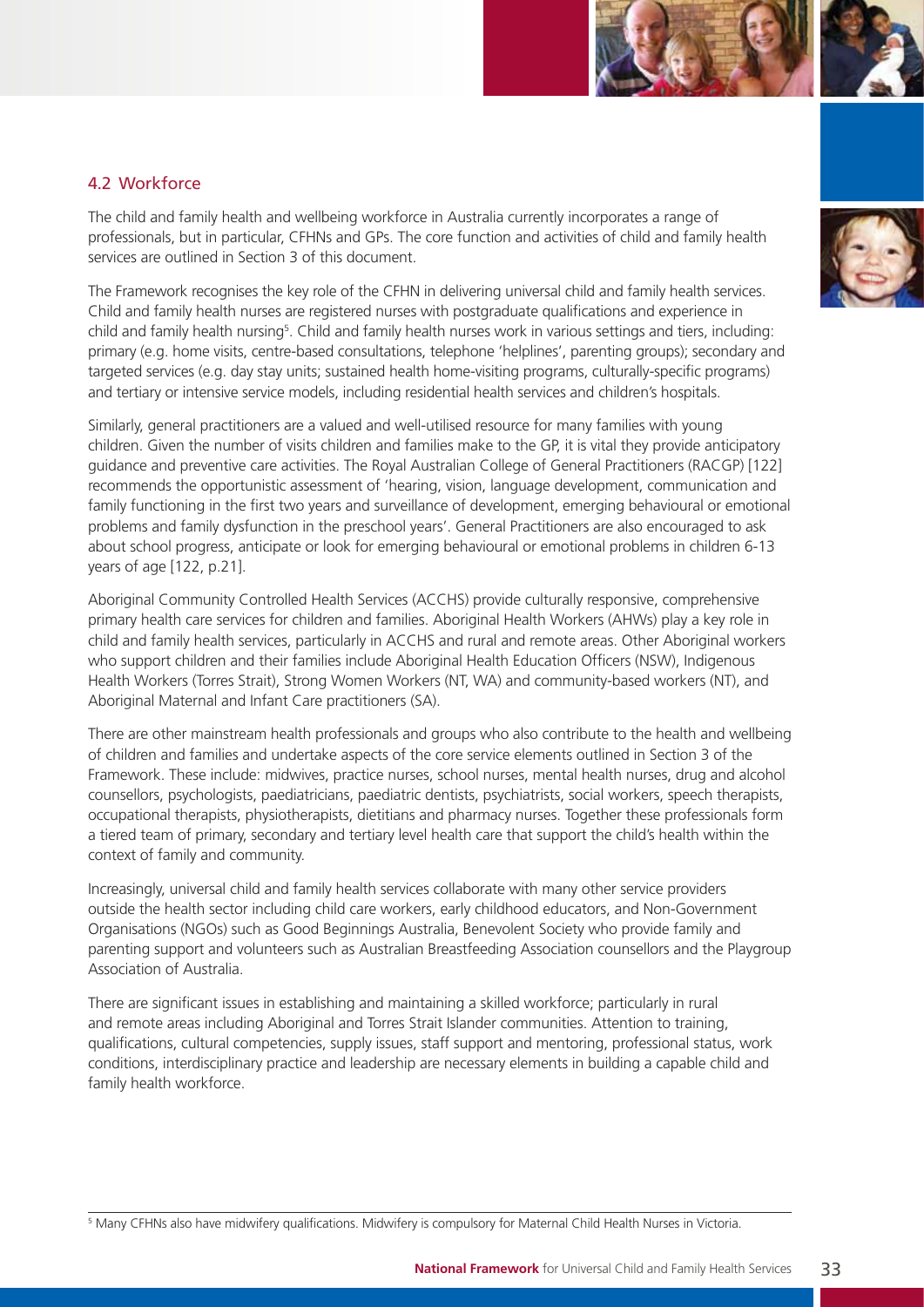

## 4.2 Workforce

The child and family health and wellbeing workforce in Australia currently incorporates a range of professionals, but in particular, CFHNs and GPs. The core function and activities of child and family health services are outlined in Section 3 of this document.

The Framework recognises the key role of the CFHN in delivering universal child and family health services. Child and family health nurses are registered nurses with postgraduate qualifications and experience in child and family health nursing<sup>5</sup>. Child and family health nurses work in various settings and tiers, including: primary (e.g. home visits, centre-based consultations, telephone 'helplines', parenting groups); secondary and targeted services (e.g. day stay units; sustained health home-visiting programs, culturally-specific programs) and tertiary or intensive service models, including residential health services and children's hospitals.

Similarly, general practitioners are a valued and well-utilised resource for many families with young children. Given the number of visits children and families make to the GP, it is vital they provide anticipatory guidance and preventive care activities. The Royal Australian College of General Practitioners (RACGP) [122] recommends the opportunistic assessment of 'hearing, vision, language development, communication and family functioning in the first two years and surveillance of development, emerging behavioural or emotional problems and family dysfunction in the preschool years'. General Practitioners are also encouraged to ask about school progress, anticipate or look for emerging behavioural or emotional problems in children 6-13 years of age [122, p.21].

Aboriginal Community Controlled Health Services (ACCHS) provide culturally responsive, comprehensive primary health care services for children and families. Aboriginal Health Workers (AHWs) play a key role in child and family health services, particularly in ACCHS and rural and remote areas. Other Aboriginal workers who support children and their families include Aboriginal Health Education Officers (NSW), Indigenous Health Workers (Torres Strait), Strong Women Workers (NT, WA) and community-based workers (NT), and Aboriginal Maternal and Infant Care practitioners (SA).

There are other mainstream health professionals and groups who also contribute to the health and wellbeing of children and families and undertake aspects of the core service elements outlined in Section 3 of the Framework. These include: midwives, practice nurses, school nurses, mental health nurses, drug and alcohol counsellors, psychologists, paediatricians, paediatric dentists, psychiatrists, social workers, speech therapists, occupational therapists, physiotherapists, dietitians and pharmacy nurses. Together these professionals form a tiered team of primary, secondary and tertiary level health care that support the child's health within the context of family and community.

Increasingly, universal child and family health services collaborate with many other service providers outside the health sector including child care workers, early childhood educators, and Non-Government Organisations (NGOs) such as Good Beginnings Australia, Benevolent Society who provide family and parenting support and volunteers such as Australian Breastfeeding Association counsellors and the Playgroup Association of Australia.

There are significant issues in establishing and maintaining a skilled workforce; particularly in rural and remote areas including Aboriginal and Torres Strait Islander communities. Attention to training, qualifications, cultural competencies, supply issues, staff support and mentoring, professional status, work conditions, interdisciplinary practice and leadership are necessary elements in building a capable child and family health workforce.

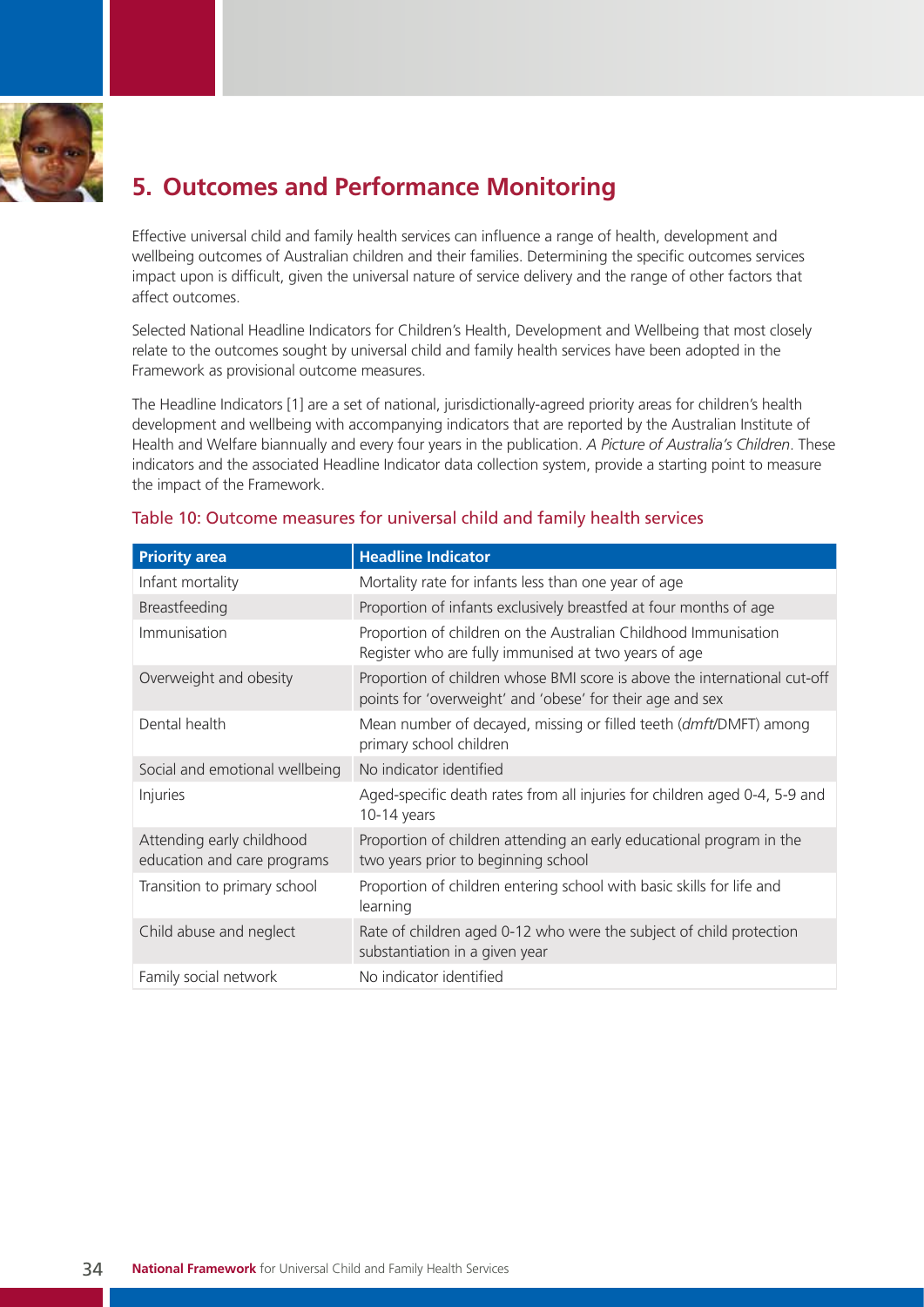

## **5. Outcomes and Performance Monitoring**

Effective universal child and family health services can influence a range of health, development and wellbeing outcomes of Australian children and their families. Determining the specific outcomes services impact upon is difficult, given the universal nature of service delivery and the range of other factors that affect outcomes.

Selected National Headline Indicators for Children's Health, Development and Wellbeing that most closely relate to the outcomes sought by universal child and family health services have been adopted in the Framework as provisional outcome measures.

The Headline Indicators [1] are a set of national, jurisdictionally-agreed priority areas for children's health development and wellbeing with accompanying indicators that are reported by the Australian Institute of Health and Welfare biannually and every four years in the publication. *A Picture of Australia's Children*. These indicators and the associated Headline Indicator data collection system, provide a starting point to measure the impact of the Framework.

| <b>Priority area</b>                                     | <b>Headline Indicator</b>                                                                                                              |
|----------------------------------------------------------|----------------------------------------------------------------------------------------------------------------------------------------|
| Infant mortality                                         | Mortality rate for infants less than one year of age                                                                                   |
| Breastfeeding                                            | Proportion of infants exclusively breastfed at four months of age                                                                      |
| Immunisation                                             | Proportion of children on the Australian Childhood Immunisation<br>Register who are fully immunised at two years of age                |
| Overweight and obesity                                   | Proportion of children whose BMI score is above the international cut-off<br>points for 'overweight' and 'obese' for their age and sex |
| Dental health                                            | Mean number of decayed, missing or filled teeth (dmft/DMFT) among<br>primary school children                                           |
| Social and emotional wellbeing                           | No indicator identified                                                                                                                |
| Injuries                                                 | Aged-specific death rates from all injuries for children aged 0-4, 5-9 and<br>$10-14$ years                                            |
| Attending early childhood<br>education and care programs | Proportion of children attending an early educational program in the<br>two years prior to beginning school                            |
| Transition to primary school                             | Proportion of children entering school with basic skills for life and<br>learning                                                      |
| Child abuse and neglect                                  | Rate of children aged 0-12 who were the subject of child protection<br>substantiation in a given year                                  |
| Family social network                                    | No indicator identified                                                                                                                |

### Table 10: Outcome measures for universal child and family health services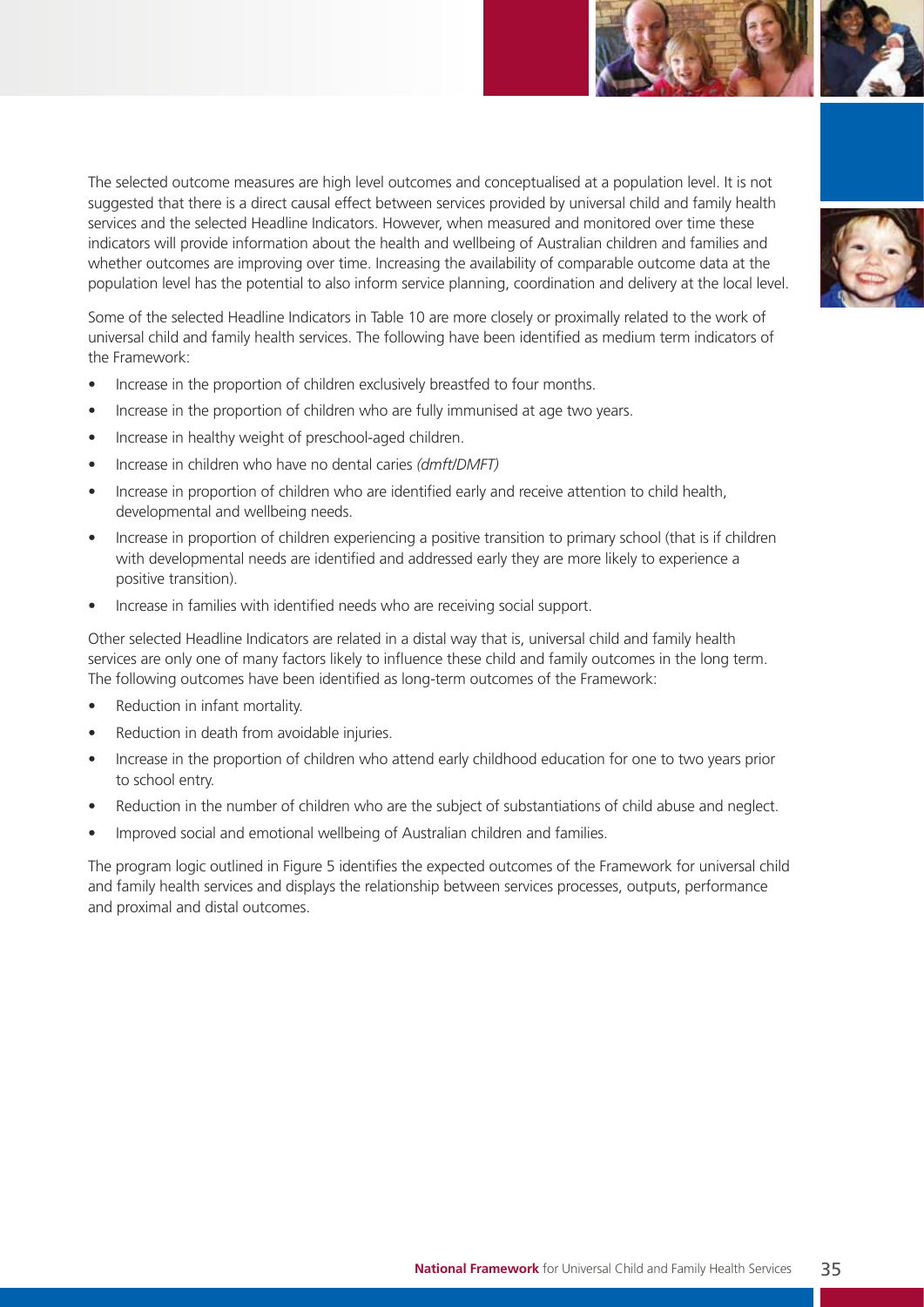The selected outcome measures are high level outcomes and conceptualised at a population level. It is not suggested that there is a direct causal effect between services provided by universal child and family health services and the selected Headline Indicators. However, when measured and monitored over time these indicators will provide information about the health and wellbeing of Australian children and families and whether outcomes are improving over time. Increasing the availability of comparable outcome data at the population level has the potential to also inform service planning, coordination and delivery at the local level.

Some of the selected Headline Indicators in Table 10 are more closely or proximally related to the work of universal child and family health services. The following have been identified as medium term indicators of the Framework:

- Increase in the proportion of children exclusively breastfed to four months.
- Increase in the proportion of children who are fully immunised at age two years.
- Increase in healthy weight of preschool-aged children.
- • Increase in children who have no dental caries *(dmft/DMFT)*
- Increase in proportion of children who are identified early and receive attention to child health, developmental and wellbeing needs.
- Increase in proportion of children experiencing a positive transition to primary school (that is if children with developmental needs are identified and addressed early they are more likely to experience a positive transition).
- Increase in families with identified needs who are receiving social support.

Other selected Headline Indicators are related in a distal way that is, universal child and family health services are only one of many factors likely to influence these child and family outcomes in the long term. The following outcomes have been identified as long-term outcomes of the Framework:

- Reduction in infant mortality.
- Reduction in death from avoidable injuries.
- Increase in the proportion of children who attend early childhood education for one to two years prior to school entry.
- Reduction in the number of children who are the subject of substantiations of child abuse and neglect.
- Improved social and emotional wellbeing of Australian children and families.

The program logic outlined in Figure 5 identifies the expected outcomes of the Framework for universal child and family health services and displays the relationship between services processes, outputs, performance and proximal and distal outcomes.



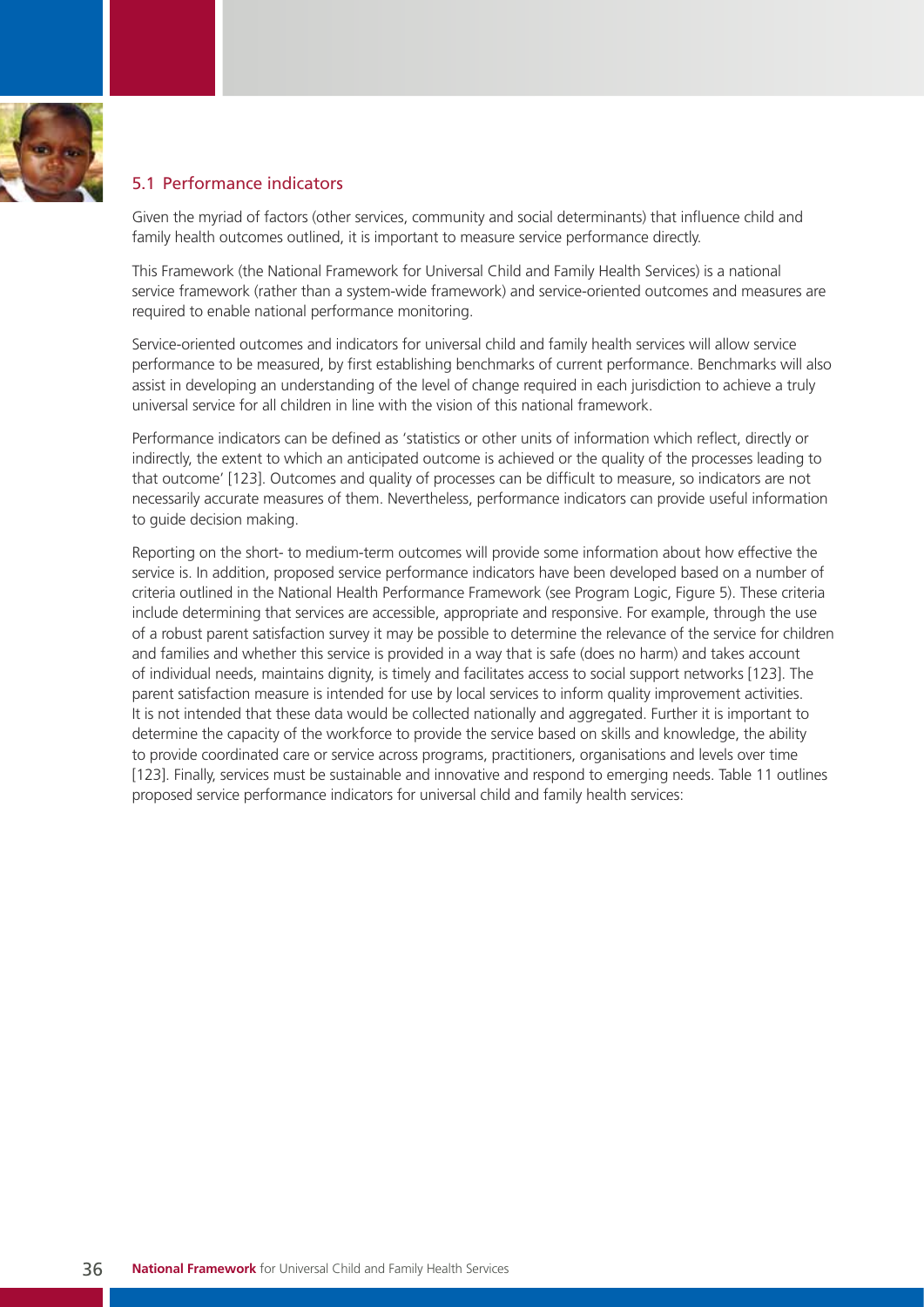

## 5.1 Performance indicators

Given the myriad of factors (other services, community and social determinants) that influence child and family health outcomes outlined, it is important to measure service performance directly.

This Framework (the National Framework for Universal Child and Family Health Services) is a national service framework (rather than a system-wide framework) and service-oriented outcomes and measures are required to enable national performance monitoring.

Service-oriented outcomes and indicators for universal child and family health services will allow service performance to be measured, by first establishing benchmarks of current performance. Benchmarks will also assist in developing an understanding of the level of change required in each jurisdiction to achieve a truly universal service for all children in line with the vision of this national framework.

Performance indicators can be defined as 'statistics or other units of information which reflect, directly or indirectly, the extent to which an anticipated outcome is achieved or the quality of the processes leading to that outcome' [123]. Outcomes and quality of processes can be difficult to measure, so indicators are not necessarily accurate measures of them. Nevertheless, performance indicators can provide useful information to guide decision making.

Reporting on the short- to medium-term outcomes will provide some information about how effective the service is. In addition, proposed service performance indicators have been developed based on a number of criteria outlined in the National Health Performance Framework (see Program Logic, Figure 5). These criteria include determining that services are accessible, appropriate and responsive. For example, through the use of a robust parent satisfaction survey it may be possible to determine the relevance of the service for children and families and whether this service is provided in a way that is safe (does no harm) and takes account of individual needs, maintains dignity, is timely and facilitates access to social support networks [123]. The parent satisfaction measure is intended for use by local services to inform quality improvement activities. It is not intended that these data would be collected nationally and aggregated. Further it is important to determine the capacity of the workforce to provide the service based on skills and knowledge, the ability to provide coordinated care or service across programs, practitioners, organisations and levels over time [123]. Finally, services must be sustainable and innovative and respond to emerging needs. Table 11 outlines proposed service performance indicators for universal child and family health services: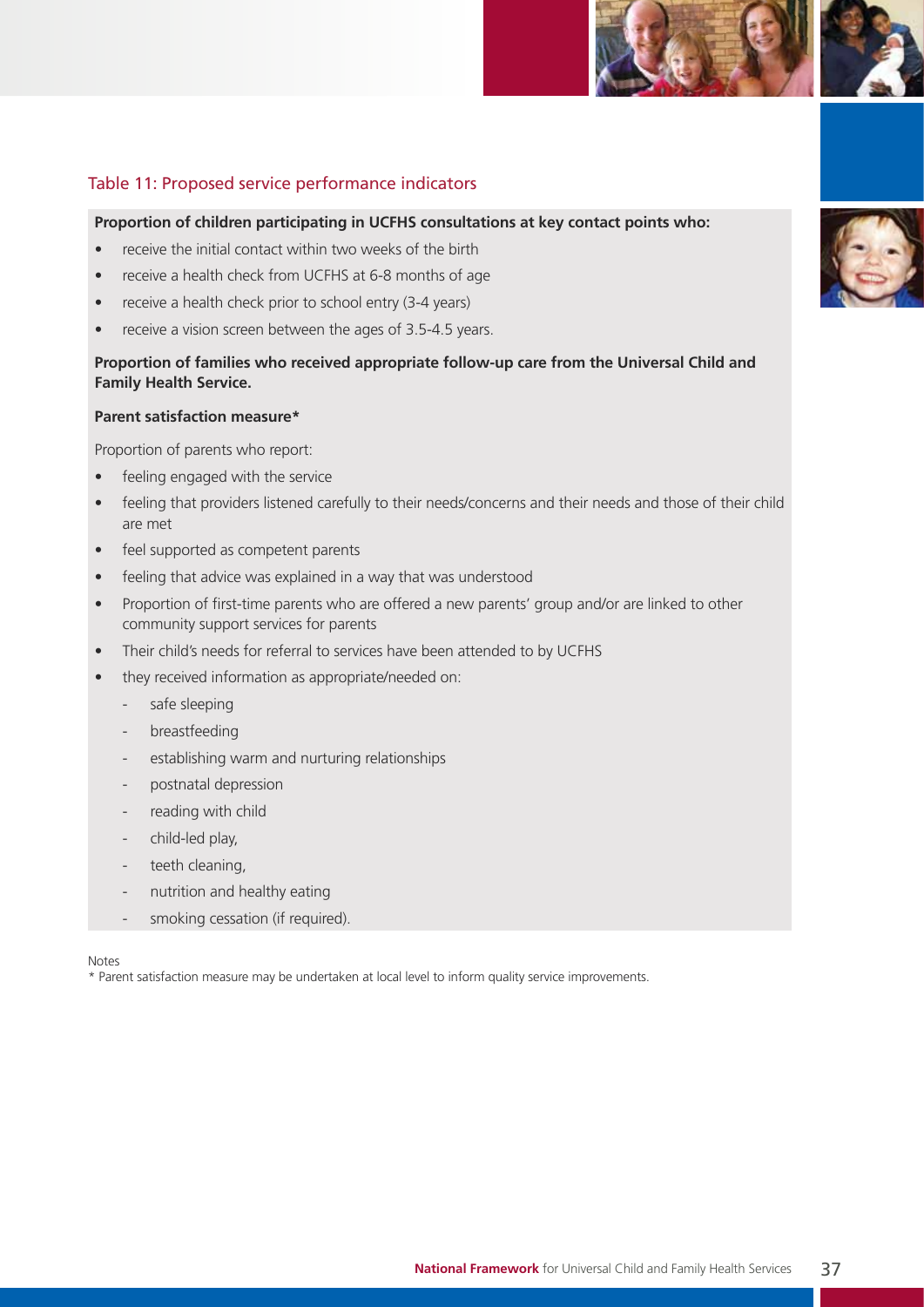

## Table 11: Proposed service performance indicators

#### **Proportion of children participating in UCFHS consultations at key contact points who:**

- receive the initial contact within two weeks of the birth
- receive a health check from UCFHS at 6-8 months of age
- receive a health check prior to school entry (3-4 years)
- receive a vision screen between the ages of 3.5-4.5 years.

### **Proportion of families who received appropriate follow-up care from the Universal Child and Family Health Service.**

#### **Parent satisfaction measure\***

Proportion of parents who report:

- feeling engaged with the service
- feeling that providers listened carefully to their needs/concerns and their needs and those of their child are met
- • feel supported as competent parents
- feeling that advice was explained in a way that was understood
- Proportion of first-time parents who are offered a new parents' group and/or are linked to other community support services for parents
- Their child's needs for referral to services have been attended to by UCFHS
- they received information as appropriate/needed on:
	- safe sleeping
	- breastfeeding
	- establishing warm and nurturing relationships
	- postnatal depression
	- reading with child
	- child-led play,
	- teeth cleaning,
	- nutrition and healthy eating
	- smoking cessation (if required).

Notes

\* Parent satisfaction measure may be undertaken at local level to inform quality service improvements.

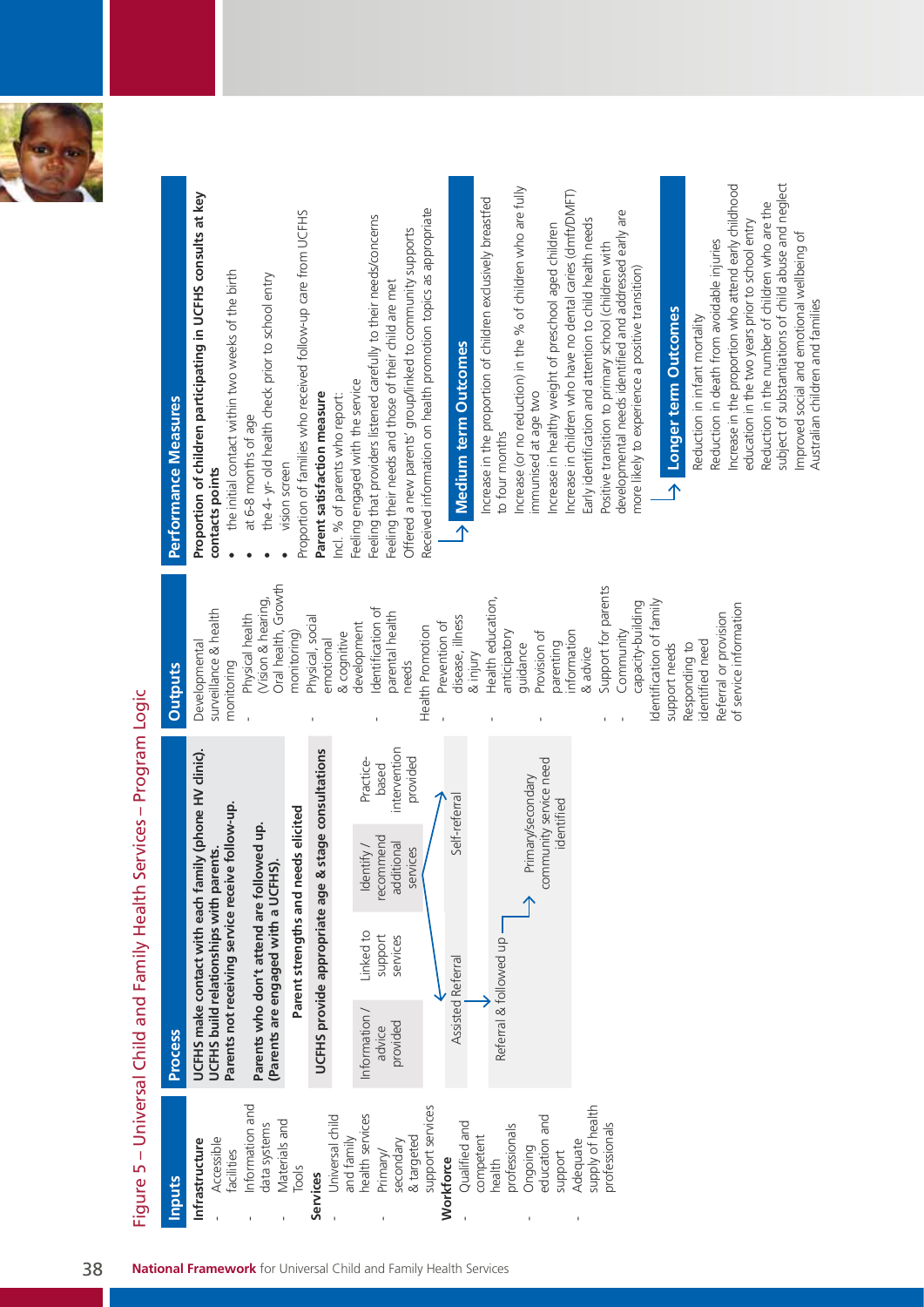

|                                                                                                                                                                                                                                                                                                                                         | intervention<br>provided<br>Practice-<br>based    |                                                                              |  |  |
|-----------------------------------------------------------------------------------------------------------------------------------------------------------------------------------------------------------------------------------------------------------------------------------------------------------------------------------------|---------------------------------------------------|------------------------------------------------------------------------------|--|--|
| UCFHS provide appropriate age & stage consultations<br>UCFHS make contact with each family (phone HV clinic).<br>UCFHS build relationships with parents.<br>Parents not receiving service receive follow-up.<br>Parent strengths and needs elicited<br>Parents who don't attend are followed up.<br>(Parents are engaged with a UCFHS). | recommend<br>additional<br>services<br>Identify / | • Primary/secondary<br>community service need<br>identified<br>Self-referral |  |  |
|                                                                                                                                                                                                                                                                                                                                         | Linked to<br>support<br>services                  | Referral                                                                     |  |  |
| Process                                                                                                                                                                                                                                                                                                                                 | Information /<br>advice<br>provided               | Referral & followed up<br>Assisted                                           |  |  |

# Performance Measures **Performance Measures**

# **Proportion of children participating in UCFHS consults at key**  Proportion of children participating in UCFHS consults at key **contacts points**  contacts points

the initial contact within two weeks of the birth • the initial contact within two weeks of the birth

- at 6-8 months of age at 6-8 months of age
- the 4- yr- old health check prior to school entry • the 4- yr- old health check prior to school entry
	- vision screen • vision screen

Proportion of families who received follow-up care from UCFHS Proportion of families who received follow-up care from UCFHS

# **Parent satisfaction measure**  Parent satisfaction measure

Incl. % of parents who report: Incl. % of parents who report:

Received information on health promotion topics as appropriate Received information on health promotion topics as appropriate Feeling that providers listened carefully to their needs/concerns Feeling that providers listened carefully to their needs/concerns Offered a new parents' group/linked to community supports Offered a new parents' group/linked to community supports Feeling their needs and those of their child are met Feeling their needs and those of their child are met Feeling engaged with the service Feeling engaged with the service

## **Medium term Outcomes Medium term Outcomes**  $\overline{\mathbb{1}}$

Increase in the proportion of children exclusively breastfed Increase in the proportion of children exclusively breastfed to four months to four months

Increase (or no reduction) in the % of children who are fully ncrease (or no reduction) in the % of children who are fully immunised at age two immunised at age two

Increase in children who have no dental caries (dmft/DMFT) Increase in children who have no dental caries (dmft/DMFT) developmental needs identified and addressed early are developmental needs identified and addressed early are Early identification and attention to child health needs Early identification and attention to child health needs Increase in healthy weight of preschool aged children Increase in healthy weight of preschool aged children Positive transition to primary school (children with Positive transition to primary school (children with more likely to experience a positive transition) more likely to experience a positive transition)

## **Longer term Outcomes Longer term Outcomes**

 $\overline{\mathbf{1}}$ 

subject of substantiations of child abuse and neglect Increase in the proportion who attend early childhood Increase in the proportion who attend early childhood subject of substantiations of child abuse and neglect Reduction in the number of children who are the Reduction in the number of children who are the education in the two years prior to school entry education in the two years prior to school entry Improved social and emotional wellbeing of Improved social and emotional wellbeing of Reduction in death from avoidable injuries Reduction in death from avoidable injuries Australian children and families Australian children and families Reduction in infant mortality Reduction in infant mortality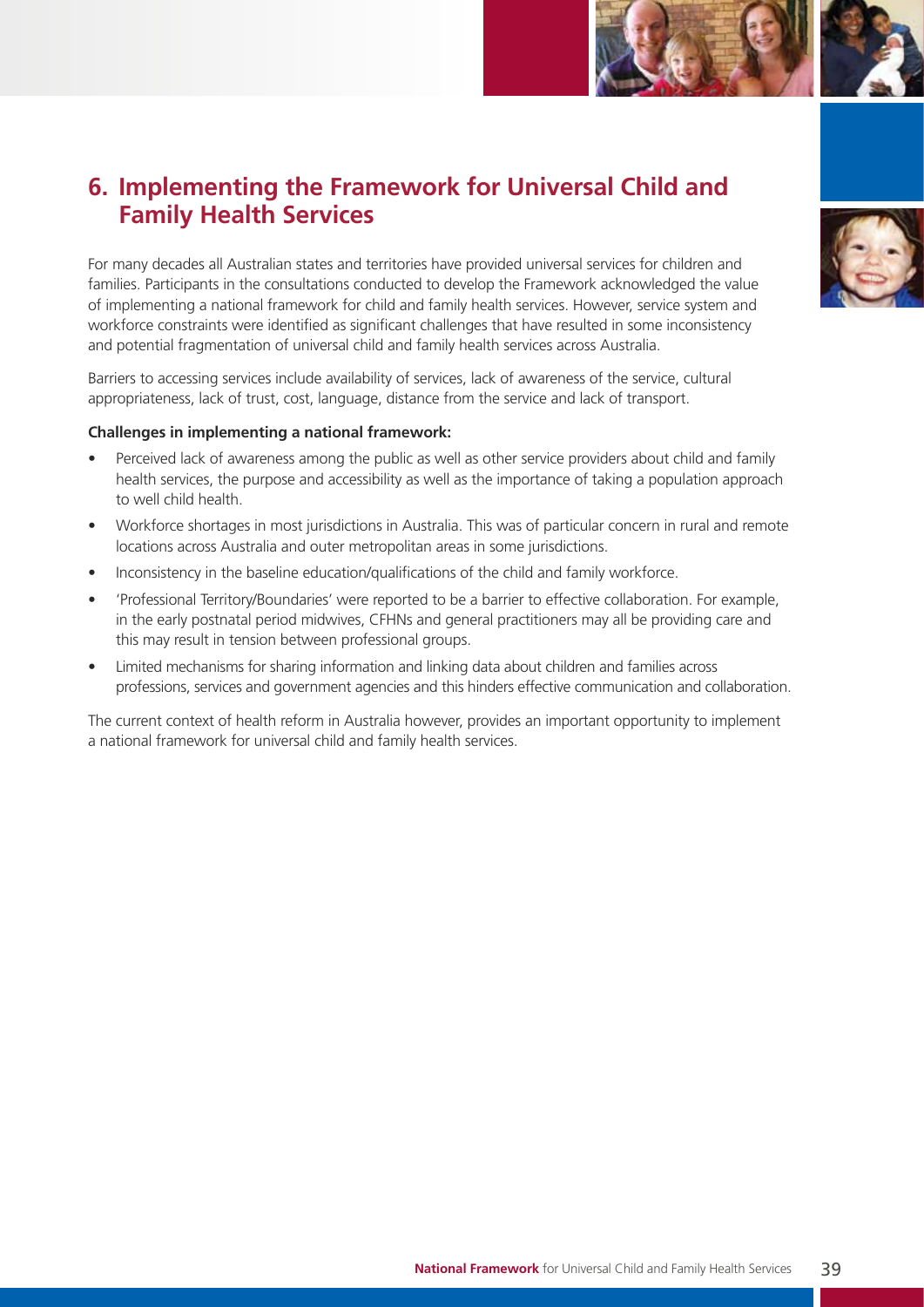## **6. Implementing the Framework for Universal Child and Family Health Services**

For many decades all Australian states and territories have provided universal services for children and families. Participants in the consultations conducted to develop the Framework acknowledged the value of implementing a national framework for child and family health services. However, service system and workforce constraints were identified as significant challenges that have resulted in some inconsistency and potential fragmentation of universal child and family health services across Australia.

Barriers to accessing services include availability of services, lack of awareness of the service, cultural appropriateness, lack of trust, cost, language, distance from the service and lack of transport.

#### **Challenges in implementing a national framework:**

- Perceived lack of awareness among the public as well as other service providers about child and family health services, the purpose and accessibility as well as the importance of taking a population approach to well child health.
- Workforce shortages in most jurisdictions in Australia. This was of particular concern in rural and remote locations across Australia and outer metropolitan areas in some jurisdictions.
- Inconsistency in the baseline education/qualifications of the child and family workforce.
- 'Professional Territory/Boundaries' were reported to be a barrier to effective collaboration. For example, in the early postnatal period midwives, CFHNs and general practitioners may all be providing care and this may result in tension between professional groups.
- Limited mechanisms for sharing information and linking data about children and families across professions, services and government agencies and this hinders effective communication and collaboration.

The current context of health reform in Australia however, provides an important opportunity to implement a national framework for universal child and family health services.

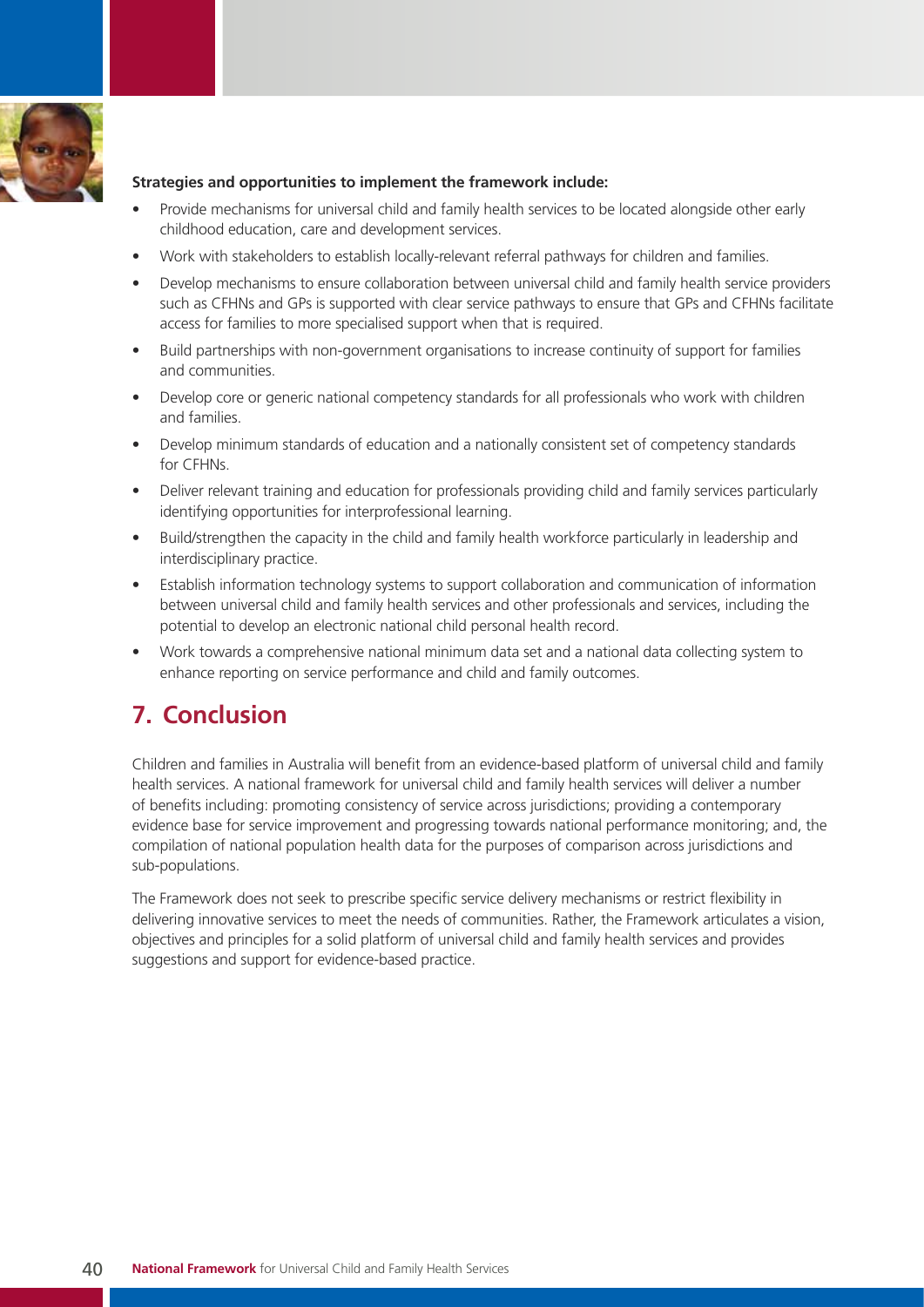

### **Strategies and opportunities to implement the framework include:**

- Provide mechanisms for universal child and family health services to be located alongside other early childhood education, care and development services.
- Work with stakeholders to establish locally-relevant referral pathways for children and families.
- Develop mechanisms to ensure collaboration between universal child and family health service providers such as CFHNs and GPs is supported with clear service pathways to ensure that GPs and CFHNs facilitate access for families to more specialised support when that is required.
- Build partnerships with non-government organisations to increase continuity of support for families and communities.
- Develop core or generic national competency standards for all professionals who work with children and families.
- Develop minimum standards of education and a nationally consistent set of competency standards for CFHNs.
- Deliver relevant training and education for professionals providing child and family services particularly identifying opportunities for interprofessional learning.
- Build/strengthen the capacity in the child and family health workforce particularly in leadership and interdisciplinary practice.
- Establish information technology systems to support collaboration and communication of information between universal child and family health services and other professionals and services, including the potential to develop an electronic national child personal health record.
- Work towards a comprehensive national minimum data set and a national data collecting system to enhance reporting on service performance and child and family outcomes.

## **7. Conclusion**

Children and families in Australia will benefit from an evidence-based platform of universal child and family health services. A national framework for universal child and family health services will deliver a number of benefits including: promoting consistency of service across jurisdictions; providing a contemporary evidence base for service improvement and progressing towards national performance monitoring; and, the compilation of national population health data for the purposes of comparison across jurisdictions and sub-populations.

The Framework does not seek to prescribe specific service delivery mechanisms or restrict flexibility in delivering innovative services to meet the needs of communities. Rather, the Framework articulates a vision, objectives and principles for a solid platform of universal child and family health services and provides suggestions and support for evidence-based practice.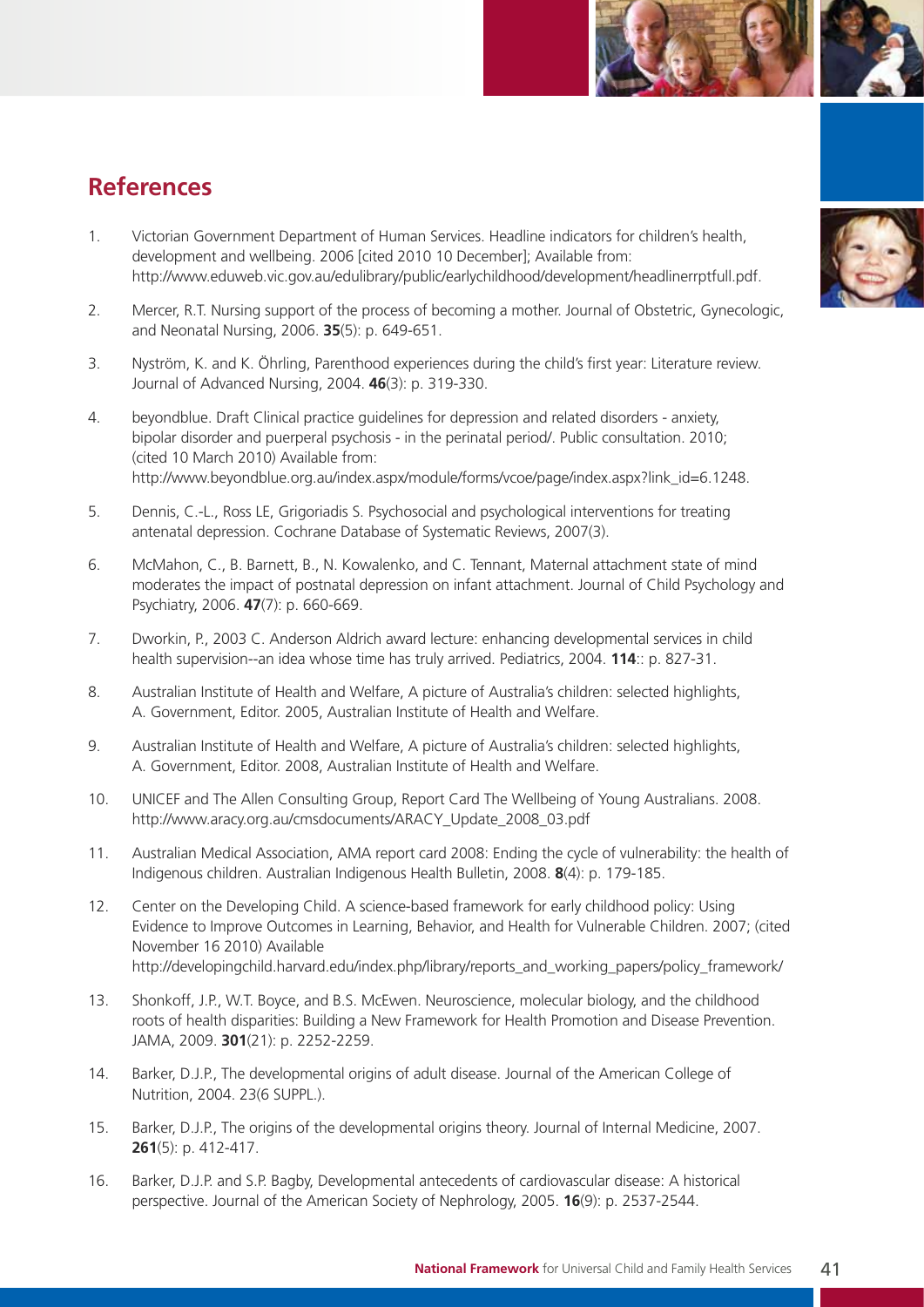

## **References**

- 1. Victorian Government Department of Human Services. Headline indicators for children's health, development and wellbeing. 2006 [cited 2010 10 December]; Available from: http://www.eduweb.vic.gov.au/edulibrary/public/earlychildhood/development/headlinerrptfull.pdf.
- 2. Mercer, R.T. Nursing support of the process of becoming a mother. Journal of Obstetric, Gynecologic, and Neonatal Nursing, 2006. **35**(5): p. 649-651.
- 3. Nyström, K. and K. Öhrling, Parenthood experiences during the child's first year: Literature review. Journal of Advanced Nursing, 2004. **46**(3): p. 319-330.
- 4. beyondblue. Draft Clinical practice guidelines for depression and related disorders anxiety, bipolar disorder and puerperal psychosis - in the perinatal period/. Public consultation. 2010; (cited 10 March 2010) Available from: http://www.beyondblue.org.au/index.aspx/module/forms/vcoe/page/index.aspx?link\_id=6.1248.
- 5. Dennis, C.-L., Ross LE, Grigoriadis S. Psychosocial and psychological interventions for treating antenatal depression. Cochrane Database of Systematic Reviews, 2007(3).
- 6. McMahon, C., B. Barnett, B., N. Kowalenko, and C. Tennant, Maternal attachment state of mind moderates the impact of postnatal depression on infant attachment. Journal of Child Psychology and Psychiatry, 2006. **47**(7): p. 660-669.
- 7. Dworkin, P., 2003 C. Anderson Aldrich award lecture: enhancing developmental services in child health supervision--an idea whose time has truly arrived. Pediatrics, 2004. **114**:: p. 827-31.
- 8. Australian Institute of Health and Welfare, A picture of Australia's children: selected highlights, A. Government, Editor. 2005, Australian Institute of Health and Welfare.
- 9. Australian Institute of Health and Welfare, A picture of Australia's children: selected highlights, A. Government, Editor. 2008, Australian Institute of Health and Welfare.
- 10. UNICEF and The Allen Consulting Group, Report Card The Wellbeing of Young Australians. 2008. http://www.aracy.org.au/cmsdocuments/ARACY\_Update\_2008\_03.pdf
- 11. Australian Medical Association, AMA report card 2008: Ending the cycle of vulnerability: the health of Indigenous children. Australian Indigenous Health Bulletin, 2008. **8**(4): p. 179-185.
- 12. Center on the Developing Child. A science-based framework for early childhood policy: Using Evidence to Improve Outcomes in Learning, Behavior, and Health for Vulnerable Children. 2007; (cited November 16 2010) Available http://developingchild.harvard.edu/index.php/library/reports\_and\_working\_papers/policy\_framework/
- 13. Shonkoff, J.P., W.T. Boyce, and B.S. McEwen. Neuroscience, molecular biology, and the childhood roots of health disparities: Building a New Framework for Health Promotion and Disease Prevention. JAMA, 2009. **301**(21): p. 2252-2259.
- 14. Barker, D.J.P., The developmental origins of adult disease. Journal of the American College of Nutrition, 2004. 23(6 SUPPL.).
- 15. Barker, D.J.P., The origins of the developmental origins theory. Journal of Internal Medicine, 2007. **261**(5): p. 412-417.
- 16. Barker, D.J.P. and S.P. Bagby, Developmental antecedents of cardiovascular disease: A historical perspective. Journal of the American Society of Nephrology, 2005. **16**(9): p. 2537-2544.

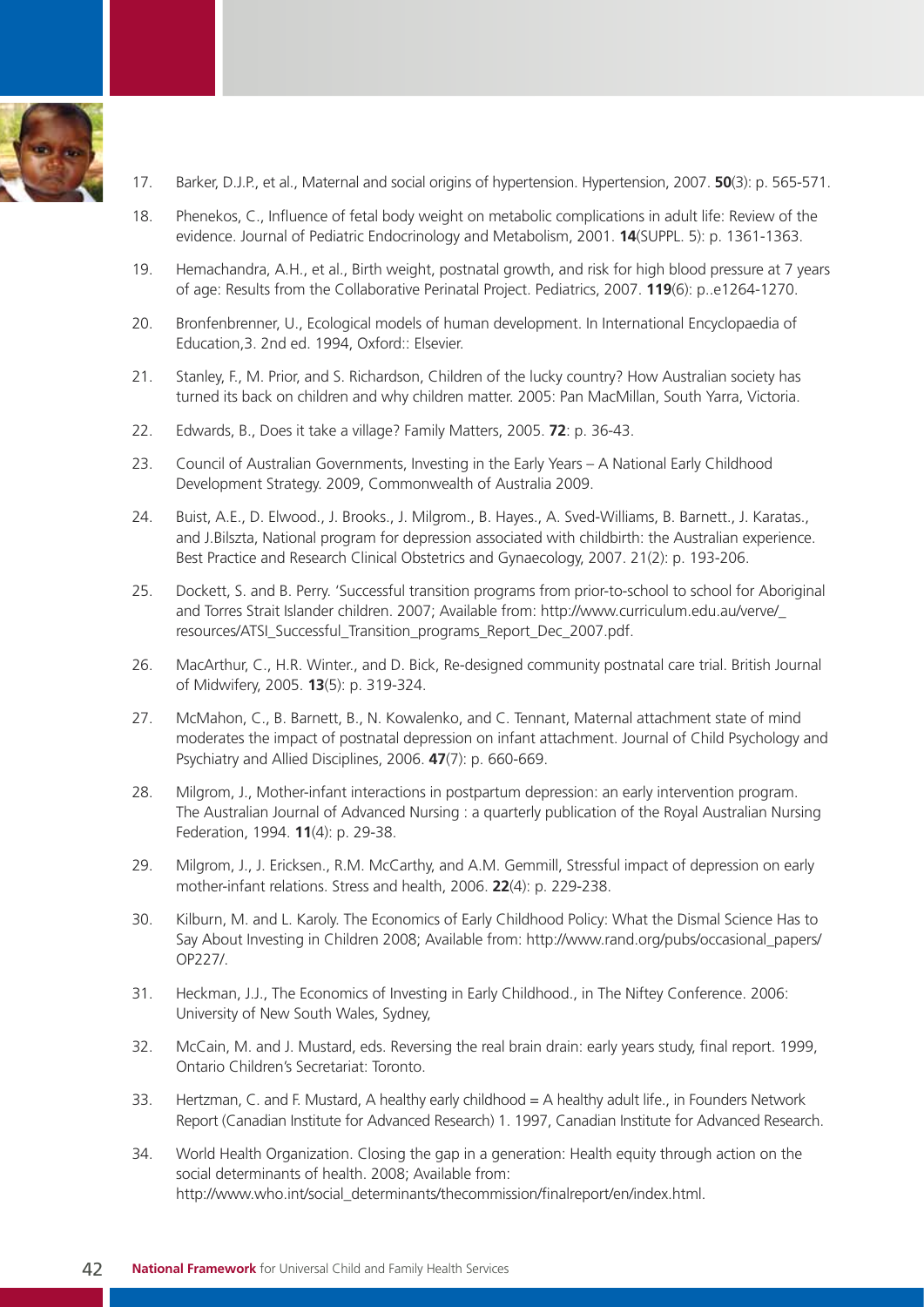

- 17. Barker, D.J.P., et al., Maternal and social origins of hypertension. Hypertension, 2007. **50**(3): p. 565-571.
- 18. Phenekos, C., Influence of fetal body weight on metabolic complications in adult life: Review of the evidence. Journal of Pediatric Endocrinology and Metabolism, 2001. **14**(SUPPL. 5): p. 1361-1363.
- 19. Hemachandra, A.H., et al., Birth weight, postnatal growth, and risk for high blood pressure at 7 years of age: Results from the Collaborative Perinatal Project. Pediatrics, 2007. **119**(6): p..e1264-1270.
- 20. Bronfenbrenner, U., Ecological models of human development. In International Encyclopaedia of Education,3. 2nd ed. 1994, Oxford:: Elsevier.
- 21. Stanley, F., M. Prior, and S. Richardson, Children of the lucky country? How Australian society has turned its back on children and why children matter. 2005: Pan MacMillan, South Yarra, Victoria.
- 22. Edwards, B., Does it take a village? Family Matters, 2005. **72**: p. 36-43.
- 23. Council of Australian Governments, Investing in the Early Years A National Early Childhood Development Strategy. 2009, Commonwealth of Australia 2009.
- 24. Buist, A.E., D. Elwood., J. Brooks., J. Milgrom., B. Hayes., A. Sved-Williams, B. Barnett., J. Karatas., and J.Bilszta, National program for depression associated with childbirth: the Australian experience. Best Practice and Research Clinical Obstetrics and Gynaecology, 2007. 21(2): p. 193-206.
- 25. Dockett, S. and B. Perry. 'Successful transition programs from prior-to-school to school for Aboriginal and Torres Strait Islander children. 2007; Available from: http://www.curriculum.edu.au/verve/\_ resources/ATSI\_Successful\_Transition\_programs\_Report\_Dec\_2007.pdf.
- 26. MacArthur, C., H.R. Winter., and D. Bick, Re-designed community postnatal care trial. British Journal of Midwifery, 2005. **13**(5): p. 319-324.
- 27. McMahon, C., B. Barnett, B., N. Kowalenko, and C. Tennant, Maternal attachment state of mind moderates the impact of postnatal depression on infant attachment. Journal of Child Psychology and Psychiatry and Allied Disciplines, 2006. **47**(7): p. 660-669.
- 28. Milgrom, J., Mother-infant interactions in postpartum depression: an early intervention program. The Australian Journal of Advanced Nursing : a quarterly publication of the Royal Australian Nursing Federation, 1994. **11**(4): p. 29-38.
- 29. Milgrom, J., J. Ericksen., R.M. McCarthy, and A.M. Gemmill, Stressful impact of depression on early mother-infant relations. Stress and health, 2006. **22**(4): p. 229-238.
- 30. Kilburn, M. and L. Karoly. The Economics of Early Childhood Policy: What the Dismal Science Has to Say About Investing in Children 2008; Available from: http://www.rand.org/pubs/occasional\_papers/ OP227/.
- 31. Heckman, J.J., The Economics of Investing in Early Childhood., in The Niftey Conference. 2006: University of New South Wales, Sydney,
- 32. McCain, M. and J. Mustard, eds. Reversing the real brain drain: early years study, final report. 1999, Ontario Children's Secretariat: Toronto.
- 33. Hertzman, C. and F. Mustard, A healthy early childhood = A healthy adult life., in Founders Network Report (Canadian Institute for Advanced Research) 1. 1997, Canadian Institute for Advanced Research.
- 34. World Health Organization. Closing the gap in a generation: Health equity through action on the social determinants of health. 2008; Available from: http://www.who.int/social\_determinants/thecommission/finalreport/en/index.html.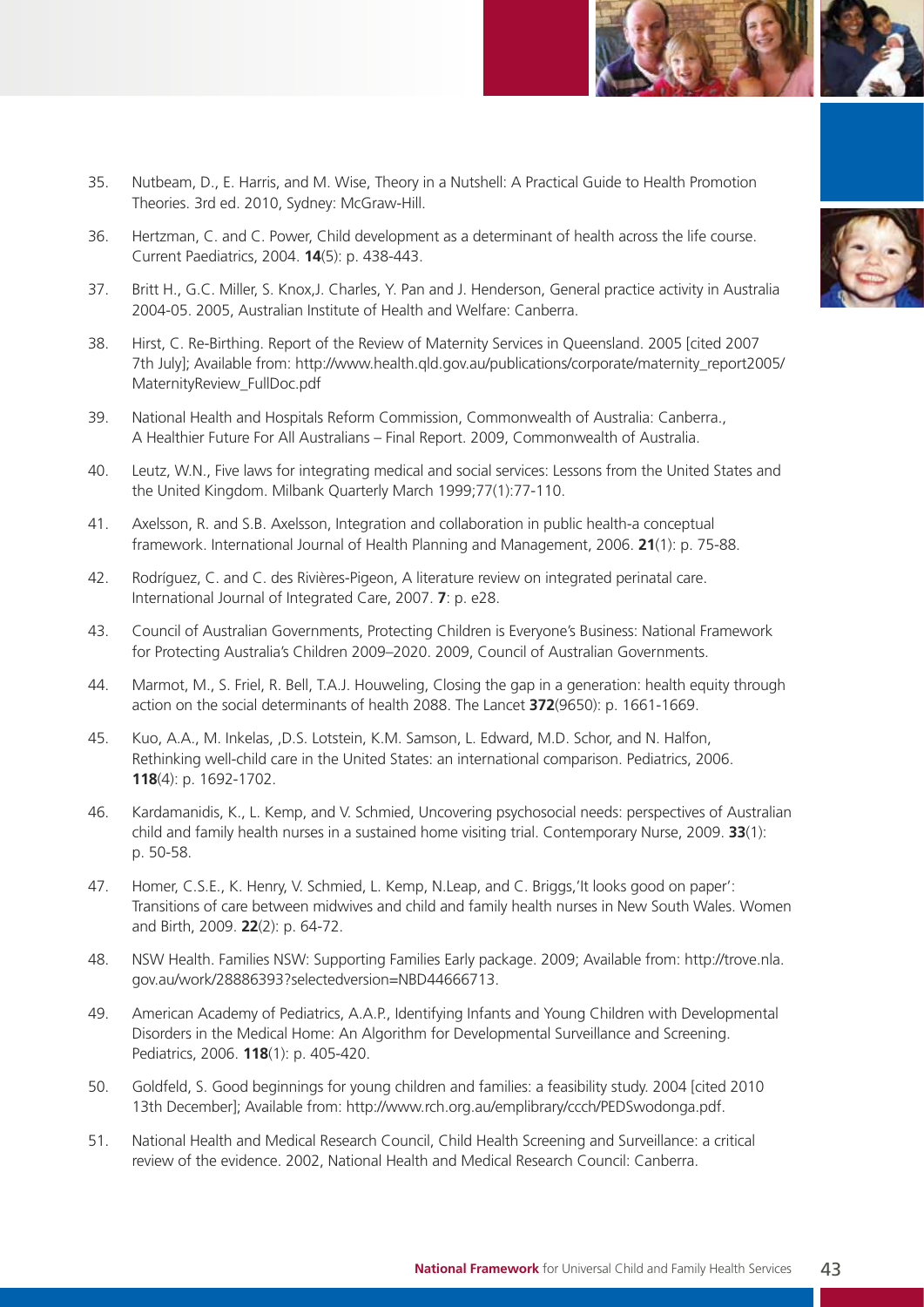

- 35. Nutbeam, D., E. Harris, and M. Wise, Theory in a Nutshell: A Practical Guide to Health Promotion Theories. 3rd ed. 2010, Sydney: McGraw-Hill.
- 36. Hertzman, C. and C. Power, Child development as a determinant of health across the life course. Current Paediatrics, 2004. **14**(5): p. 438-443.
- 37. Britt H., G.C. Miller, S. Knox,J. Charles, Y. Pan and J. Henderson, General practice activity in Australia 2004-05. 2005, Australian Institute of Health and Welfare: Canberra.
- 38. Hirst, C. Re-Birthing. Report of the Review of Maternity Services in Queensland. 2005 [cited 2007 7th July]; Available from: http://www.health.qld.gov.au/publications/corporate/maternity\_report2005/ MaternityReview\_FullDoc.pdf
- 39. National Health and Hospitals Reform Commission, Commonwealth of Australia: Canberra., A Healthier Future For All Australians – Final Report. 2009, Commonwealth of Australia.
- 40. Leutz, W.N., Five laws for integrating medical and social services: Lessons from the United States and the United Kingdom. Milbank Quarterly March 1999;77(1):77-110.
- 41. Axelsson, R. and S.B. Axelsson, Integration and collaboration in public health-a conceptual framework. International Journal of Health Planning and Management, 2006. **21**(1): p. 75-88.
- 42. Rodríguez, C. and C. des Rivières-Pigeon, A literature review on integrated perinatal care. International Journal of Integrated Care, 2007. **7**: p. e28.
- 43. Council of Australian Governments, Protecting Children is Everyone's Business: National Framework for Protecting Australia's Children 2009–2020. 2009, Council of Australian Governments.
- 44. Marmot, M., S. Friel, R. Bell, T.A.J. Houweling, Closing the gap in a generation: health equity through action on the social determinants of health 2088. The Lancet **372**(9650): p. 1661-1669.
- 45. Kuo, A.A., M. Inkelas, ,D.S. Lotstein, K.M. Samson, L. Edward, M.D. Schor, and N. Halfon, Rethinking well-child care in the United States: an international comparison. Pediatrics, 2006. **118**(4): p. 1692-1702.
- 46. Kardamanidis, K., L. Kemp, and V. Schmied, Uncovering psychosocial needs: perspectives of Australian child and family health nurses in a sustained home visiting trial. Contemporary Nurse, 2009. **33**(1): p. 50-58.
- 47. Homer, C.S.E., K. Henry, V. Schmied, L. Kemp, N.Leap, and C. Briggs,'It looks good on paper': Transitions of care between midwives and child and family health nurses in New South Wales. Women and Birth, 2009. **22**(2): p. 64-72.
- 48. NSW Health. Families NSW: Supporting Families Early package. 2009; Available from: http://trove.nla. gov.au/work/28886393?selectedversion=NBD44666713.
- 49. American Academy of Pediatrics, A.A.P., Identifying Infants and Young Children with Developmental Disorders in the Medical Home: An Algorithm for Developmental Surveillance and Screening. Pediatrics, 2006. **118**(1): p. 405-420.
- 50. Goldfeld, S. Good beginnings for young children and families: a feasibility study. 2004 [cited 2010 13th December]; Available from: http://www.rch.org.au/emplibrary/ccch/PEDSwodonga.pdf.
- 51. National Health and Medical Research Council, Child Health Screening and Surveillance: a critical review of the evidence. 2002, National Health and Medical Research Council: Canberra.

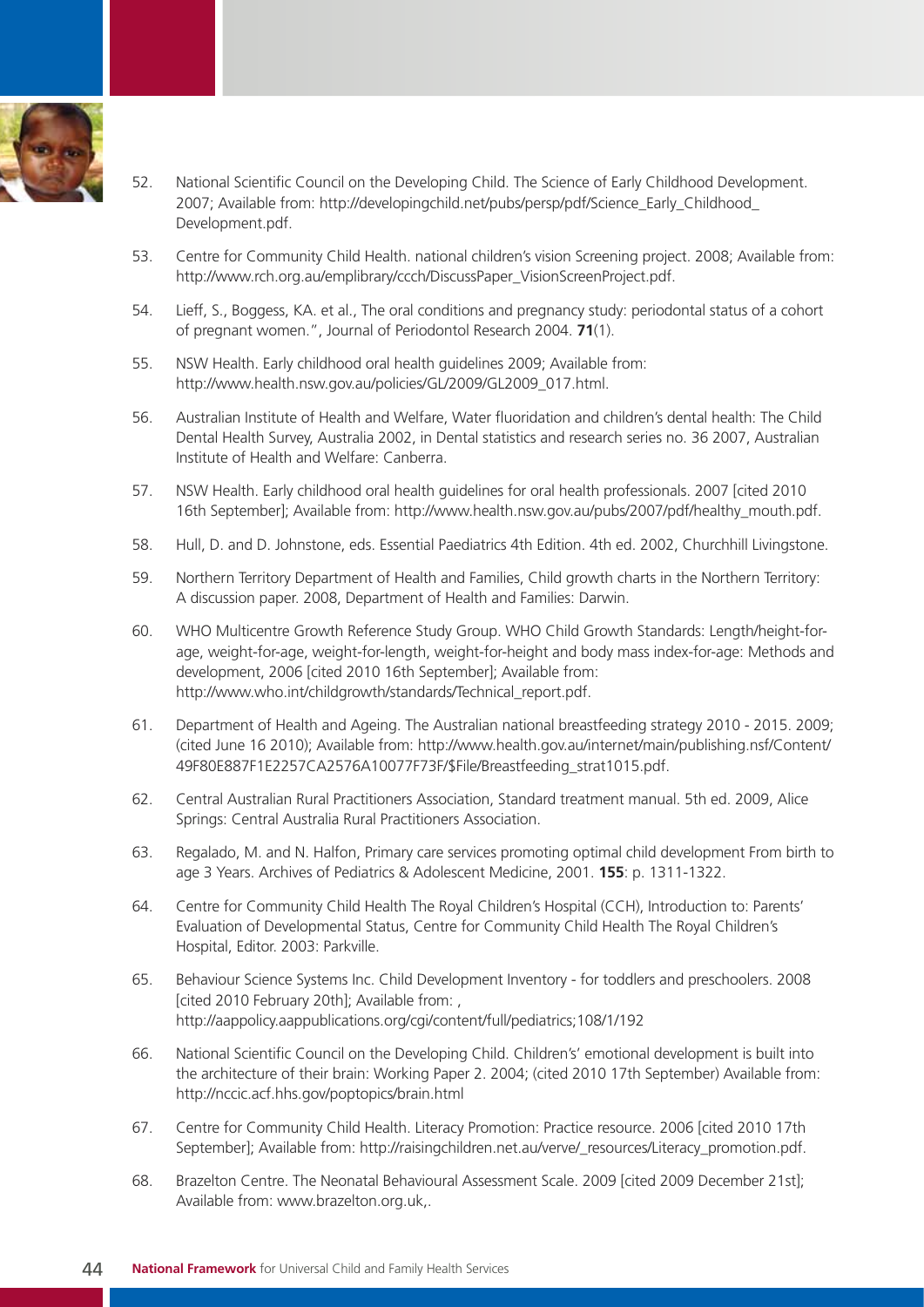

- 52. National Scientific Council on the Developing Child. The Science of Early Childhood Development. 2007; Available from: http://developingchild.net/pubs/persp/pdf/Science\_Early\_Childhood\_ Development.pdf.
- 53. Centre for Community Child Health. national children's vision Screening project. 2008; Available from: http://www.rch.org.au/emplibrary/ccch/DiscussPaper\_VisionScreenProject.pdf.
- 54. Lieff, S., Boggess, KA. et al., The oral conditions and pregnancy study: periodontal status of a cohort of pregnant women.", Journal of Periodontol Research 2004. **71**(1).
- 55. NSW Health. Early childhood oral health guidelines 2009; Available from: http://www.health.nsw.gov.au/policies/GL/2009/GL2009\_017.html.
- 56. Australian Institute of Health and Welfare, Water fluoridation and children's dental health: The Child Dental Health Survey, Australia 2002, in Dental statistics and research series no. 36 2007, Australian Institute of Health and Welfare: Canberra.
- 57. NSW Health. Early childhood oral health guidelines for oral health professionals. 2007 [cited 2010 16th September]; Available from: http://www.health.nsw.gov.au/pubs/2007/pdf/healthy\_mouth.pdf.
- 58. Hull, D. and D. Johnstone, eds. Essential Paediatrics 4th Edition. 4th ed. 2002, Churchhill Livingstone.
- 59. Northern Territory Department of Health and Families, Child growth charts in the Northern Territory: A discussion paper. 2008, Department of Health and Families: Darwin.
- 60. WHO Multicentre Growth Reference Study Group. WHO Child Growth Standards: Length/height-forage, weight-for-age, weight-for-length, weight-for-height and body mass index-for-age: Methods and development, 2006 [cited 2010 16th September]; Available from: http://www.who.int/childgrowth/standards/Technical\_report.pdf.
- 61. Department of Health and Ageing. The Australian national breastfeeding strategy 2010 2015. 2009; (cited June 16 2010); Available from: http://www.health.gov.au/internet/main/publishing.nsf/Content/ 49F80E887F1E2257CA2576A10077F73F/\$File/Breastfeeding\_strat1015.pdf.
- 62. Central Australian Rural Practitioners Association, Standard treatment manual. 5th ed. 2009, Alice Springs: Central Australia Rural Practitioners Association.
- 63. Regalado, M. and N. Halfon, Primary care services promoting optimal child development From birth to age 3 Years. Archives of Pediatrics & Adolescent Medicine, 2001. **155**: p. 1311-1322.
- 64. Centre for Community Child Health The Royal Children's Hospital (CCH), Introduction to: Parents' Evaluation of Developmental Status, Centre for Community Child Health The Royal Children's Hospital, Editor. 2003: Parkville.
- 65. Behaviour Science Systems Inc. Child Development Inventory for toddlers and preschoolers. 2008 [cited 2010 February 20th]; Available from: , http://aappolicy.aappublications.org/cgi/content/full/pediatrics;108/1/192
- 66. National Scientific Council on the Developing Child. Children's' emotional development is built into the architecture of their brain: Working Paper 2. 2004; (cited 2010 17th September) Available from: http://nccic.acf.hhs.gov/poptopics/brain.html
- 67. Centre for Community Child Health. Literacy Promotion: Practice resource. 2006 [cited 2010 17th September]; Available from: http://raisingchildren.net.au/verve/\_resources/Literacy\_promotion.pdf.
- 68. Brazelton Centre. The Neonatal Behavioural Assessment Scale. 2009 [cited 2009 December 21st]; Available from: www.brazelton.org.uk,.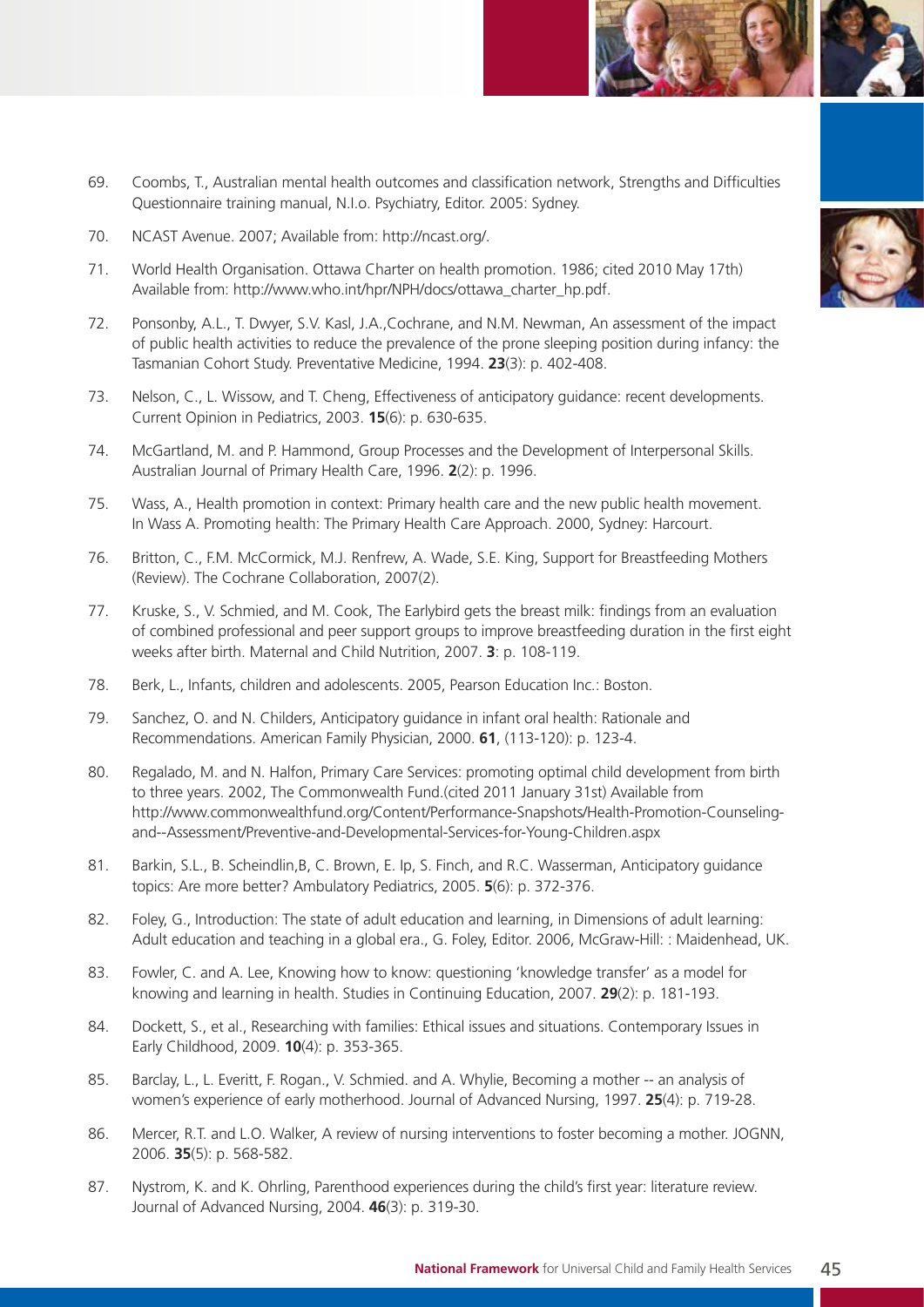

- 69. Coombs, T., Australian mental health outcomes and classification network, Strengths and Difficulties Questionnaire training manual, N.I.o. Psychiatry, Editor. 2005: Sydney.
- 70. NCAST Avenue. 2007; Available from: http://ncast.org/.
- 71. World Health Organisation. Ottawa Charter on health promotion. 1986; cited 2010 May 17th) Available from: http://www.who.int/hpr/NPH/docs/ottawa\_charter\_hp.pdf.
- 72. Ponsonby, A.L., T. Dwyer, S.V. Kasl, J.A.,Cochrane, and N.M. Newman, An assessment of the impact of public health activities to reduce the prevalence of the prone sleeping position during infancy: the Tasmanian Cohort Study. Preventative Medicine, 1994. **23**(3): p. 402-408.
- 73. Nelson, C., L. Wissow, and T. Cheng, Effectiveness of anticipatory guidance: recent developments. Current Opinion in Pediatrics, 2003. **15**(6): p. 630-635.
- 74. McGartland, M. and P. Hammond, Group Processes and the Development of Interpersonal Skills. Australian Journal of Primary Health Care, 1996. **2**(2): p. 1996.
- 75. Wass, A., Health promotion in context: Primary health care and the new public health movement. In Wass A. Promoting health: The Primary Health Care Approach. 2000, Sydney: Harcourt.
- 76. Britton, C., F.M. McCormick, M.J. Renfrew, A. Wade, S.E. King, Support for Breastfeeding Mothers (Review). The Cochrane Collaboration, 2007(2).
- 77. Kruske, S., V. Schmied, and M. Cook, The Earlybird gets the breast milk: findings from an evaluation of combined professional and peer support groups to improve breastfeeding duration in the first eight weeks after birth. Maternal and Child Nutrition, 2007. **3**: p. 108-119.
- 78. Berk, L., Infants, children and adolescents. 2005, Pearson Education Inc.: Boston.
- 79. Sanchez, O. and N. Childers, Anticipatory guidance in infant oral health: Rationale and Recommendations. American Family Physician, 2000. **61**, (113-120): p. 123-4.
- 80. Regalado, M. and N. Halfon, Primary Care Services: promoting optimal child development from birth to three years. 2002, The Commonwealth Fund.(cited 2011 January 31st) Available from http://www.commonwealthfund.org/Content/Performance-Snapshots/Health-Promotion-Counselingand--Assessment/Preventive-and-Developmental-Services-for-Young-Children.aspx
- 81. Barkin, S.L., B. Scheindlin,B, C. Brown, E. Ip, S. Finch, and R.C. Wasserman, Anticipatory guidance topics: Are more better? Ambulatory Pediatrics, 2005. **5**(6): p. 372-376.
- 82. Foley, G., Introduction: The state of adult education and learning, in Dimensions of adult learning: Adult education and teaching in a global era., G. Foley, Editor. 2006, McGraw-Hill: : Maidenhead, UK.
- 83. Fowler, C. and A. Lee, Knowing how to know: questioning 'knowledge transfer' as a model for knowing and learning in health. Studies in Continuing Education, 2007. **29**(2): p. 181-193.
- 84. Dockett, S., et al., Researching with families: Ethical issues and situations. Contemporary Issues in Early Childhood, 2009. **10**(4): p. 353-365.
- 85. Barclay, L., L. Everitt, F. Rogan., V. Schmied. and A. Whylie, Becoming a mother -- an analysis of women's experience of early motherhood. Journal of Advanced Nursing, 1997. **25**(4): p. 719-28.
- 86. Mercer, R.T. and L.O. Walker, A review of nursing interventions to foster becoming a mother. JOGNN, 2006. **35**(5): p. 568-582.
- 87. Nystrom, K. and K. Ohrling, Parenthood experiences during the child's first year: literature review. Journal of Advanced Nursing, 2004. **46**(3): p. 319-30.

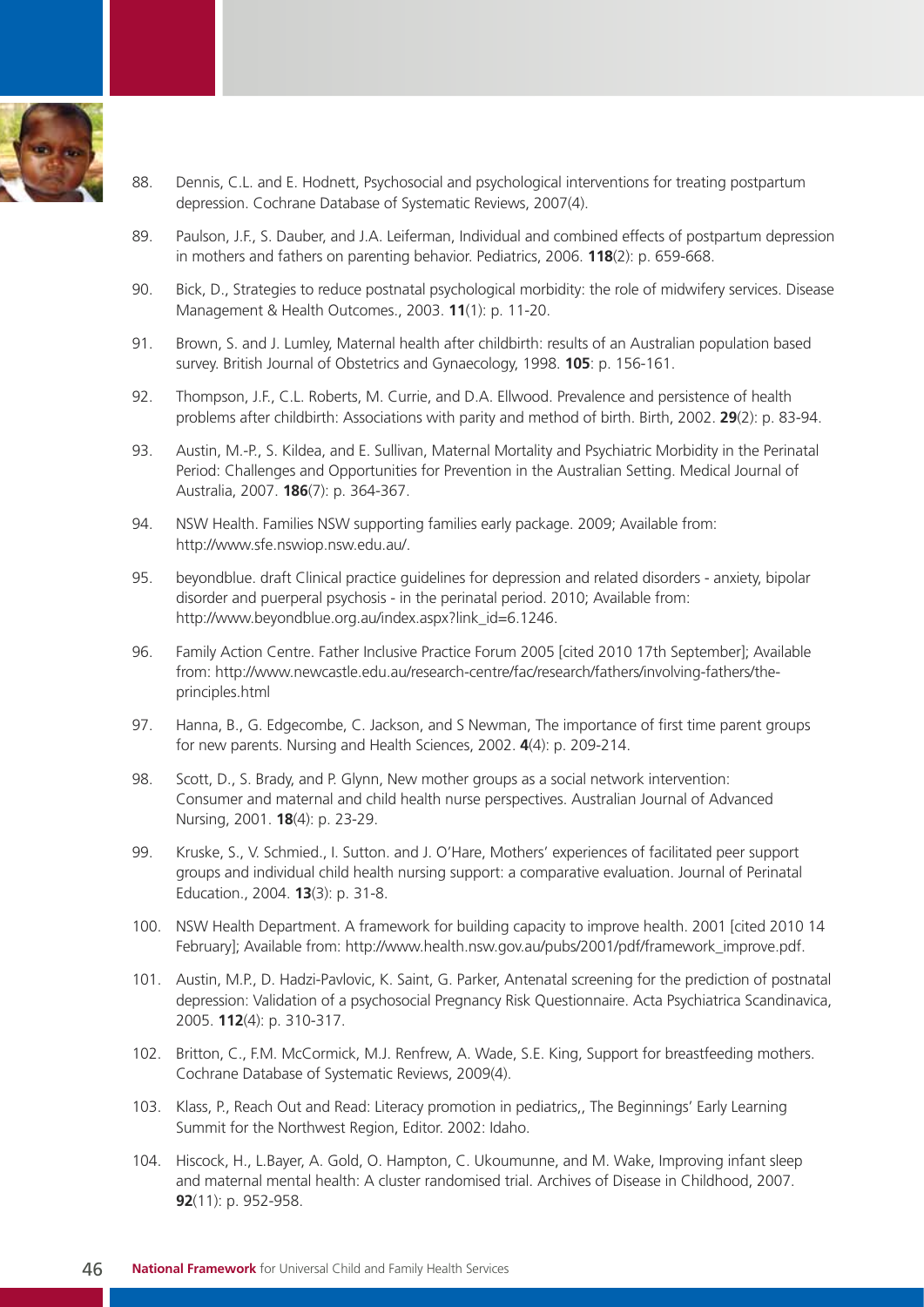

- 88. Dennis, C.L. and E. Hodnett, Psychosocial and psychological interventions for treating postpartum depression. Cochrane Database of Systematic Reviews, 2007(4).
- 89. Paulson, J.F., S. Dauber, and J.A. Leiferman, Individual and combined effects of postpartum depression in mothers and fathers on parenting behavior. Pediatrics, 2006. **118**(2): p. 659-668.
- 90. Bick, D., Strategies to reduce postnatal psychological morbidity: the role of midwifery services. Disease Management & Health Outcomes., 2003. **11**(1): p. 11-20.
- 91. Brown, S. and J. Lumley, Maternal health after childbirth: results of an Australian population based survey. British Journal of Obstetrics and Gynaecology, 1998. **105**: p. 156-161.
- 92. Thompson, J.F., C.L. Roberts, M. Currie, and D.A. Ellwood. Prevalence and persistence of health problems after childbirth: Associations with parity and method of birth. Birth, 2002. **29**(2): p. 83-94.
- 93. Austin, M.-P., S. Kildea, and E. Sullivan, Maternal Mortality and Psychiatric Morbidity in the Perinatal Period: Challenges and Opportunities for Prevention in the Australian Setting. Medical Journal of Australia, 2007. **186**(7): p. 364-367.
- 94. NSW Health. Families NSW supporting families early package. 2009; Available from: http://www.sfe.nswiop.nsw.edu.au/.
- 95. beyondblue. draft Clinical practice guidelines for depression and related disorders anxiety, bipolar disorder and puerperal psychosis - in the perinatal period. 2010; Available from: http://www.beyondblue.org.au/index.aspx?link\_id=6.1246.
- 96. Family Action Centre. Father Inclusive Practice Forum 2005 [cited 2010 17th September]; Available from: http://www.newcastle.edu.au/research-centre/fac/research/fathers/involving-fathers/theprinciples.html
- 97. Hanna, B., G. Edgecombe, C. Jackson, and S Newman, The importance of first time parent groups for new parents. Nursing and Health Sciences, 2002. **4**(4): p. 209-214.
- 98. Scott, D., S. Brady, and P. Glynn, New mother groups as a social network intervention: Consumer and maternal and child health nurse perspectives. Australian Journal of Advanced Nursing, 2001. **18**(4): p. 23-29.
- 99. Kruske, S., V. Schmied., I. Sutton. and J. O'Hare, Mothers' experiences of facilitated peer support groups and individual child health nursing support: a comparative evaluation. Journal of Perinatal Education., 2004. **13**(3): p. 31-8.
- 100. NSW Health Department. A framework for building capacity to improve health. 2001 [cited 2010 14 February]; Available from: http://www.health.nsw.gov.au/pubs/2001/pdf/framework\_improve.pdf.
- 101. Austin, M.P., D. Hadzi-Pavlovic, K. Saint, G. Parker, Antenatal screening for the prediction of postnatal depression: Validation of a psychosocial Pregnancy Risk Questionnaire. Acta Psychiatrica Scandinavica, 2005. **112**(4): p. 310-317.
- 102. Britton, C., F.M. McCormick, M.J. Renfrew, A. Wade, S.E. King, Support for breastfeeding mothers. Cochrane Database of Systematic Reviews, 2009(4).
- 103. Klass, P., Reach Out and Read: Literacy promotion in pediatrics,, The Beginnings' Early Learning Summit for the Northwest Region, Editor. 2002: Idaho.
- 104. Hiscock, H., L.Bayer, A. Gold, O. Hampton, C. Ukoumunne, and M. Wake, Improving infant sleep and maternal mental health: A cluster randomised trial. Archives of Disease in Childhood, 2007. **92**(11): p. 952-958.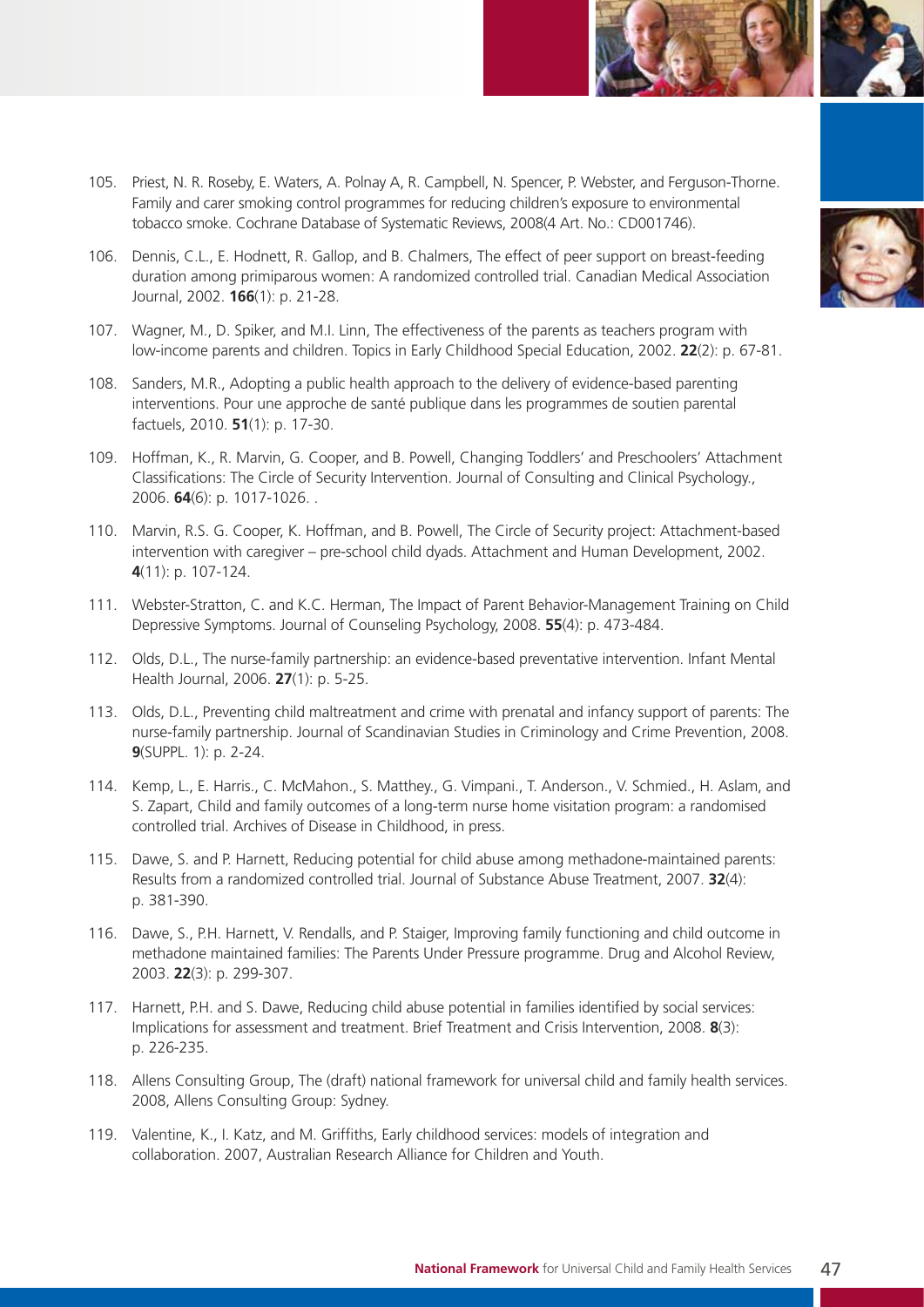

- 105. Priest, N. R. Roseby, E. Waters, A. Polnay A, R. Campbell, N. Spencer, P. Webster, and Ferguson-Thorne. Family and carer smoking control programmes for reducing children's exposure to environmental tobacco smoke. Cochrane Database of Systematic Reviews, 2008(4 Art. No.: CD001746).
- 106. Dennis, C.L., E. Hodnett, R. Gallop, and B. Chalmers, The effect of peer support on breast-feeding duration among primiparous women: A randomized controlled trial. Canadian Medical Association Journal, 2002. **166**(1): p. 21-28.
- 107. Wagner, M., D. Spiker, and M.I. Linn, The effectiveness of the parents as teachers program with low-income parents and children. Topics in Early Childhood Special Education, 2002. **22**(2): p. 67-81.
- 108. Sanders, M.R., Adopting a public health approach to the delivery of evidence-based parenting interventions. Pour une approche de santé publique dans les programmes de soutien parental factuels, 2010. **51**(1): p. 17-30.
- 109. Hoffman, K., R. Marvin, G. Cooper, and B. Powell, Changing Toddlers' and Preschoolers' Attachment Classifications: The Circle of Security Intervention. Journal of Consulting and Clinical Psychology., 2006. **64**(6): p. 1017-1026. .
- 110. Marvin, R.S. G. Cooper, K. Hoffman, and B. Powell, The Circle of Security project: Attachment-based intervention with caregiver – pre-school child dyads. Attachment and Human Development, 2002. **4**(11): p. 107-124.
- 111. Webster-Stratton, C. and K.C. Herman, The Impact of Parent Behavior-Management Training on Child Depressive Symptoms. Journal of Counseling Psychology, 2008. **55**(4): p. 473-484.
- 112. Olds, D.L., The nurse-family partnership: an evidence-based preventative intervention. Infant Mental Health Journal, 2006. **27**(1): p. 5-25.
- 113. Olds, D.L., Preventing child maltreatment and crime with prenatal and infancy support of parents: The nurse-family partnership. Journal of Scandinavian Studies in Criminology and Crime Prevention, 2008. **9**(SUPPL. 1): p. 2-24.
- 114. Kemp, L., E. Harris., C. McMahon., S. Matthey., G. Vimpani., T. Anderson., V. Schmied., H. Aslam, and S. Zapart, Child and family outcomes of a long-term nurse home visitation program: a randomised controlled trial. Archives of Disease in Childhood, in press.
- 115. Dawe, S. and P. Harnett, Reducing potential for child abuse among methadone-maintained parents: Results from a randomized controlled trial. Journal of Substance Abuse Treatment, 2007. **32**(4): p. 381-390.
- 116. Dawe, S., P.H. Harnett, V. Rendalls, and P. Staiger, Improving family functioning and child outcome in methadone maintained families: The Parents Under Pressure programme. Drug and Alcohol Review, 2003. **22**(3): p. 299-307.
- 117. Harnett, P.H. and S. Dawe, Reducing child abuse potential in families identified by social services: Implications for assessment and treatment. Brief Treatment and Crisis Intervention, 2008. **8**(3): p. 226-235.
- 118. Allens Consulting Group, The (draft) national framework for universal child and family health services. 2008, Allens Consulting Group: Sydney.
- 119. Valentine, K., I. Katz, and M. Griffiths, Early childhood services: models of integration and collaboration. 2007, Australian Research Alliance for Children and Youth.

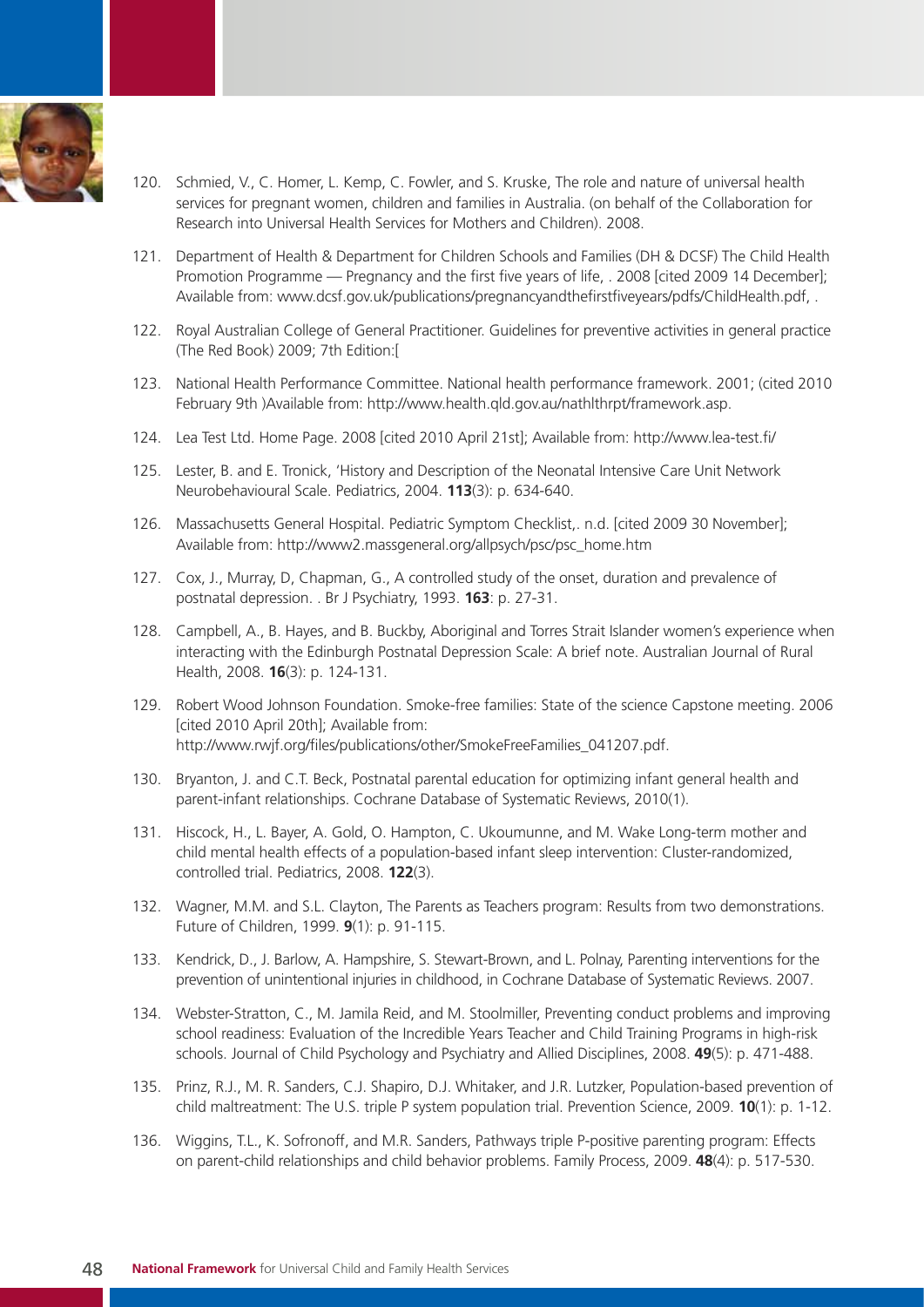

- 120. Schmied, V., C. Homer, L. Kemp, C. Fowler, and S. Kruske, The role and nature of universal health services for pregnant women, children and families in Australia. (on behalf of the Collaboration for Research into Universal Health Services for Mothers and Children). 2008.
- 121. Department of Health & Department for Children Schools and Families (DH & DCSF) The Child Health Promotion Programme — Pregnancy and the first five years of life, . 2008 [cited 2009 14 December]; Available from: www.dcsf.gov.uk/publications/pregnancyandthefirstfiveyears/pdfs/ChildHealth.pdf, .
- 122. Royal Australian College of General Practitioner. Guidelines for preventive activities in general practice (The Red Book) 2009; 7th Edition:[
- 123. National Health Performance Committee. National health performance framework. 2001; (cited 2010 February 9th )Available from: http://www.health.qld.gov.au/nathlthrpt/framework.asp.
- 124. Lea Test Ltd. Home Page. 2008 [cited 2010 April 21st]; Available from: http://www.lea-test.fi/
- 125. Lester, B. and E. Tronick, 'History and Description of the Neonatal Intensive Care Unit Network Neurobehavioural Scale. Pediatrics, 2004. **113**(3): p. 634-640.
- 126. Massachusetts General Hospital. Pediatric Symptom Checklist,. n.d. [cited 2009 30 November]; Available from: http://www2.massgeneral.org/allpsych/psc/psc\_home.htm
- 127. Cox, J., Murray, D, Chapman, G., A controlled study of the onset, duration and prevalence of postnatal depression. . Br J Psychiatry, 1993. **163**: p. 27-31.
- 128. Campbell, A., B. Hayes, and B. Buckby, Aboriginal and Torres Strait Islander women's experience when interacting with the Edinburgh Postnatal Depression Scale: A brief note. Australian Journal of Rural Health, 2008. **16**(3): p. 124-131.
- 129. Robert Wood Johnson Foundation. Smoke-free families: State of the science Capstone meeting. 2006 [cited 2010 April 20th]; Available from: http://www.rwjf.org/files/publications/other/SmokeFreeFamilies\_041207.pdf.
- 130. Bryanton, J. and C.T. Beck, Postnatal parental education for optimizing infant general health and parent-infant relationships. Cochrane Database of Systematic Reviews, 2010(1).
- 131. Hiscock, H., L. Bayer, A. Gold, O. Hampton, C. Ukoumunne, and M. Wake Long-term mother and child mental health effects of a population-based infant sleep intervention: Cluster-randomized, controlled trial. Pediatrics, 2008. **122**(3).
- 132. Wagner, M.M. and S.L. Clayton, The Parents as Teachers program: Results from two demonstrations. Future of Children, 1999. **9**(1): p. 91-115.
- 133. Kendrick, D., J. Barlow, A. Hampshire, S. Stewart-Brown, and L. Polnay, Parenting interventions for the prevention of unintentional injuries in childhood, in Cochrane Database of Systematic Reviews. 2007.
- 134. Webster-Stratton, C., M. Jamila Reid, and M. Stoolmiller, Preventing conduct problems and improving school readiness: Evaluation of the Incredible Years Teacher and Child Training Programs in high-risk schools. Journal of Child Psychology and Psychiatry and Allied Disciplines, 2008. **49**(5): p. 471-488.
- 135. Prinz, R.J., M. R. Sanders, C.J. Shapiro, D.J. Whitaker, and J.R. Lutzker, Population-based prevention of child maltreatment: The U.S. triple P system population trial. Prevention Science, 2009. **10**(1): p. 1-12.
- 136. Wiggins, T.L., K. Sofronoff, and M.R. Sanders, Pathways triple P-positive parenting program: Effects on parent-child relationships and child behavior problems. Family Process, 2009. **48**(4): p. 517-530.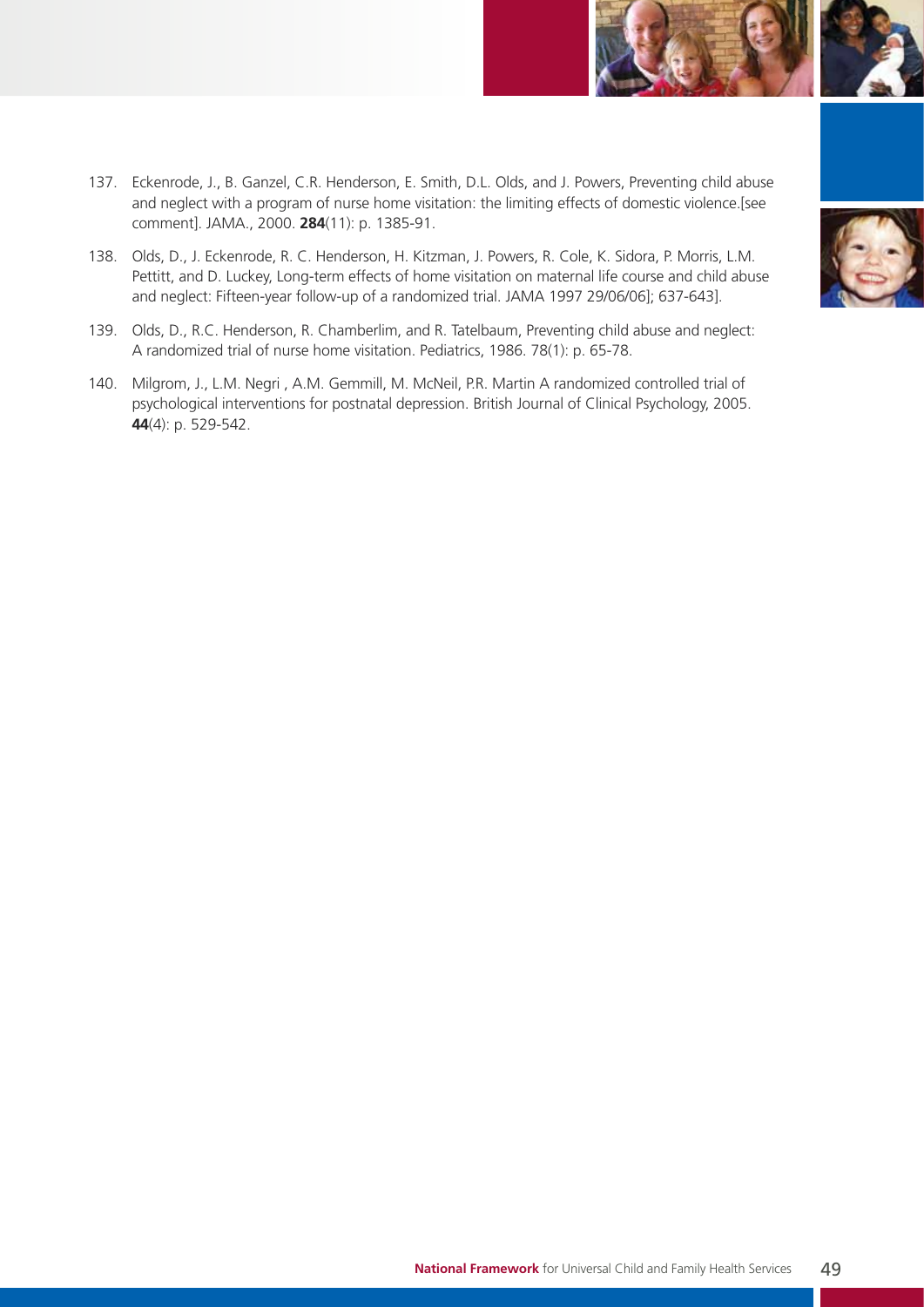

- 137. Eckenrode, J., B. Ganzel, C.R. Henderson, E. Smith, D.L. Olds, and J. Powers, Preventing child abuse and neglect with a program of nurse home visitation: the limiting effects of domestic violence.[see comment]. JAMA., 2000. **284**(11): p. 1385-91.
- 138. Olds, D., J. Eckenrode, R. C. Henderson, H. Kitzman, J. Powers, R. Cole, K. Sidora, P. Morris, L.M. Pettitt, and D. Luckey, Long-term effects of home visitation on maternal life course and child abuse and neglect: Fifteen-year follow-up of a randomized trial. JAMA 1997 29/06/06]; 637-643].
- 139. Olds, D., R.C. Henderson, R. Chamberlim, and R. Tatelbaum, Preventing child abuse and neglect: A randomized trial of nurse home visitation. Pediatrics, 1986. 78(1): p. 65-78.
- 140. Milgrom, J., L.M. Negri , A.M. Gemmill, M. McNeil, P.R. Martin A randomized controlled trial of psychological interventions for postnatal depression. British Journal of Clinical Psychology, 2005. **44**(4): p. 529-542.

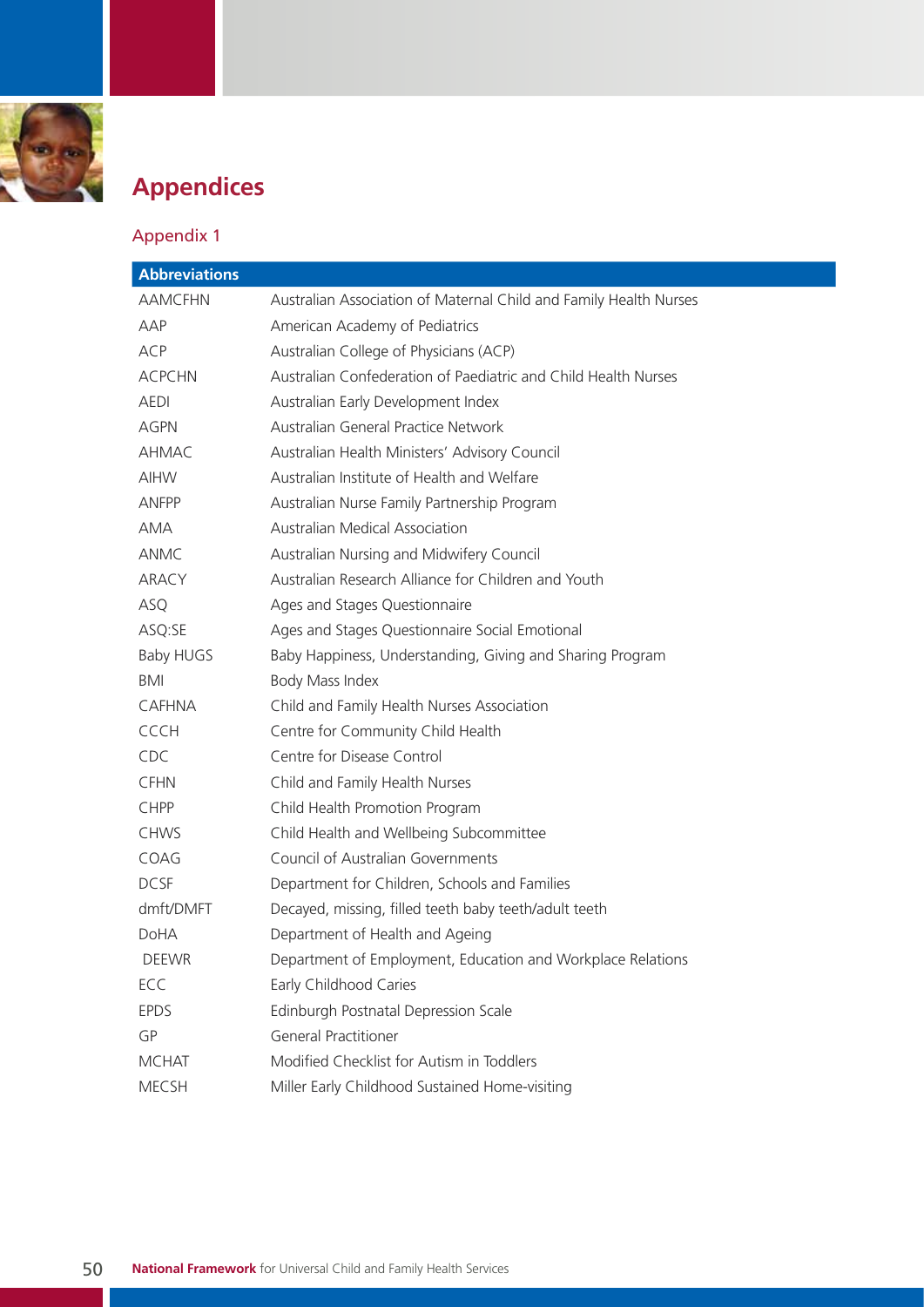

## **Appendices**

## Appendix 1

| <b>Abbreviations</b> |                                                                   |
|----------------------|-------------------------------------------------------------------|
| <b>AAMCFHN</b>       | Australian Association of Maternal Child and Family Health Nurses |
| AAP                  | American Academy of Pediatrics                                    |
| <b>ACP</b>           | Australian College of Physicians (ACP)                            |
| <b>ACPCHN</b>        | Australian Confederation of Paediatric and Child Health Nurses    |
| <b>AEDI</b>          | Australian Early Development Index                                |
| <b>AGPN</b>          | Australian General Practice Network                               |
| <b>AHMAC</b>         | Australian Health Ministers' Advisory Council                     |
| <b>AIHW</b>          | Australian Institute of Health and Welfare                        |
| <b>ANFPP</b>         | Australian Nurse Family Partnership Program                       |
| <b>AMA</b>           | <b>Australian Medical Association</b>                             |
| <b>ANMC</b>          | Australian Nursing and Midwifery Council                          |
| <b>ARACY</b>         | Australian Research Alliance for Children and Youth               |
| ASQ                  | Ages and Stages Questionnaire                                     |
| ASQ:SE               | Ages and Stages Questionnaire Social Emotional                    |
| Baby HUGS            | Baby Happiness, Understanding, Giving and Sharing Program         |
| <b>BMI</b>           | Body Mass Index                                                   |
| <b>CAFHNA</b>        | Child and Family Health Nurses Association                        |
| <b>CCCH</b>          | Centre for Community Child Health                                 |
| <b>CDC</b>           | Centre for Disease Control                                        |
| <b>CFHN</b>          | Child and Family Health Nurses                                    |
| <b>CHPP</b>          | Child Health Promotion Program                                    |
| <b>CHWS</b>          | Child Health and Wellbeing Subcommittee                           |
| COAG                 | <b>Council of Australian Governments</b>                          |
| <b>DCSF</b>          | Department for Children, Schools and Families                     |
| dmft/DMFT            | Decayed, missing, filled teeth baby teeth/adult teeth             |
| <b>DoHA</b>          | Department of Health and Ageing                                   |
| <b>DEEWR</b>         | Department of Employment, Education and Workplace Relations       |
| ECC                  | Early Childhood Caries                                            |
| <b>EPDS</b>          | Edinburgh Postnatal Depression Scale                              |
| GP                   | <b>General Practitioner</b>                                       |
| <b>MCHAT</b>         | Modified Checklist for Autism in Toddlers                         |
| <b>MECSH</b>         | Miller Early Childhood Sustained Home-visiting                    |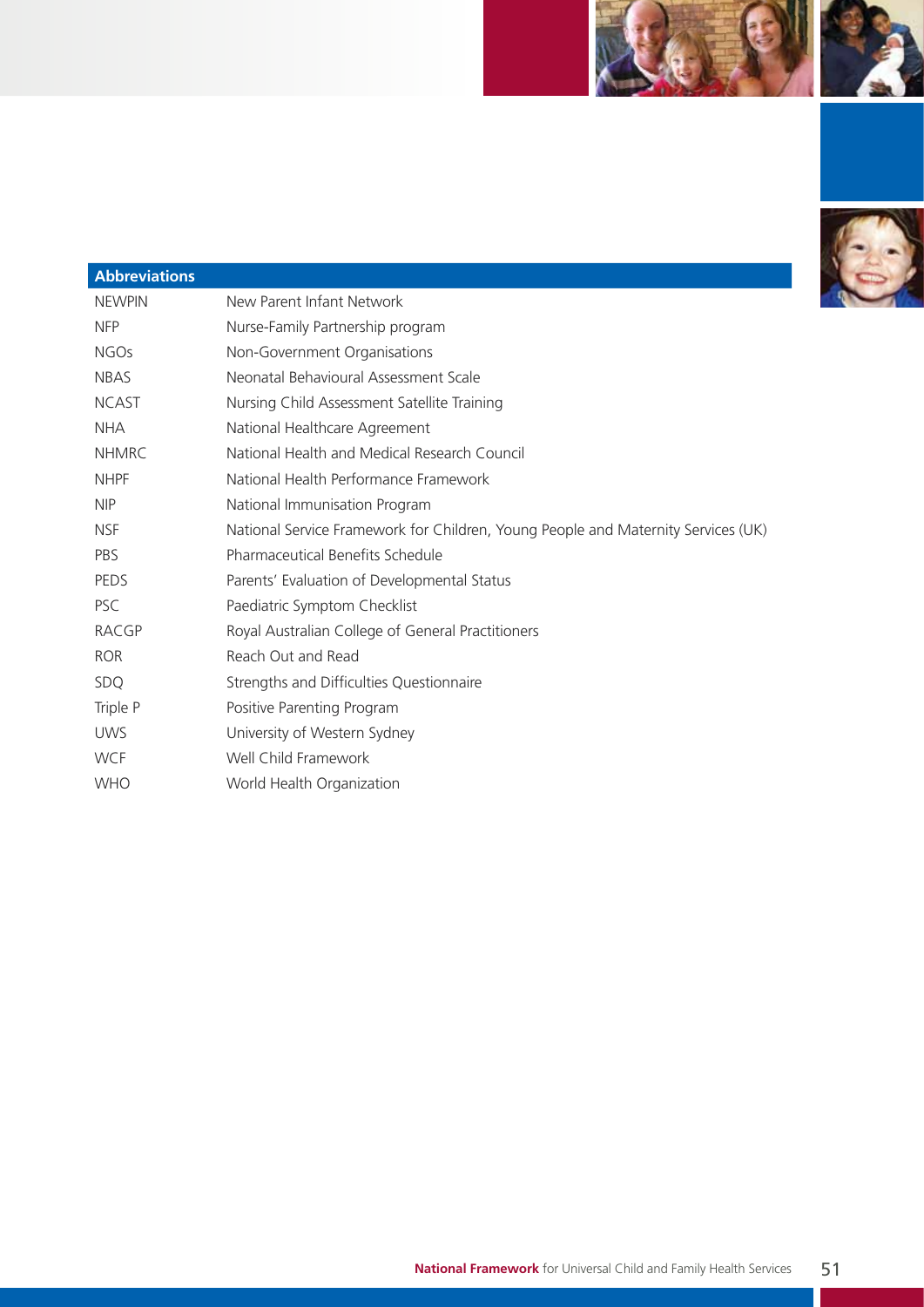



| <b>Abbreviations</b> |                                                                                   |
|----------------------|-----------------------------------------------------------------------------------|
| <b>NEWPIN</b>        | New Parent Infant Network                                                         |
| <b>NFP</b>           | Nurse-Family Partnership program                                                  |
| <b>NGOs</b>          | Non-Government Organisations                                                      |
| <b>NBAS</b>          | Neonatal Behavioural Assessment Scale                                             |
| <b>NCAST</b>         | Nursing Child Assessment Satellite Training                                       |
| <b>NHA</b>           | National Healthcare Agreement                                                     |
| <b>NHMRC</b>         | National Health and Medical Research Council                                      |
| <b>NHPF</b>          | National Health Performance Framework                                             |
| <b>NIP</b>           | National Immunisation Program                                                     |
| <b>NSF</b>           | National Service Framework for Children, Young People and Maternity Services (UK) |
| PBS                  | <b>Pharmaceutical Benefits Schedule</b>                                           |
| PEDS                 | Parents' Evaluation of Developmental Status                                       |
| <b>PSC</b>           | Paediatric Symptom Checklist                                                      |
| <b>RACGP</b>         | Royal Australian College of General Practitioners                                 |
| <b>ROR</b>           | Reach Out and Read                                                                |
| <b>SDQ</b>           | Strengths and Difficulties Questionnaire                                          |
| Triple P             | Positive Parenting Program                                                        |
| <b>UWS</b>           | University of Western Sydney                                                      |
| <b>WCF</b>           | Well Child Framework                                                              |
| <b>WHO</b>           | World Health Organization                                                         |
|                      |                                                                                   |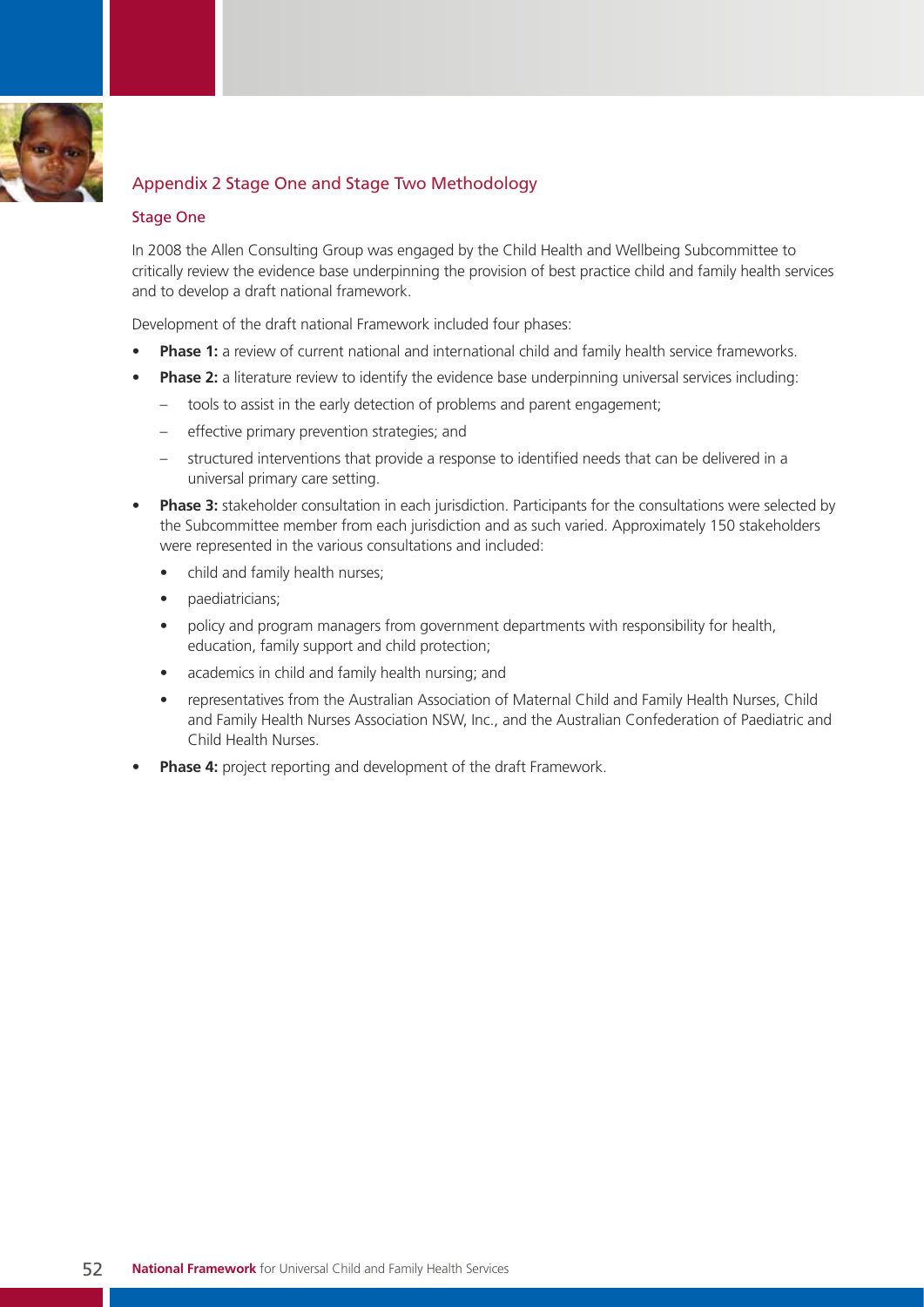

## Appendix 2 Stage One and Stage Two Methodology

#### **Stage One**

In 2008 the Allen Consulting Group was engaged by the Child Health and Wellbeing Subcommittee to critically review the evidence base underpinning the provision of best practice child and family health services and to develop a draft national framework.

Development of the draft national Framework included four phases:

- **Phase 1:** a review of current national and international child and family health service frameworks.
- **Phase 2:** a literature review to identify the evidence base underpinning universal services including:
	- tools to assist in the early detection of problems and parent engagement;
	- effective primary prevention strategies; and
	- structured interventions that provide a response to identified needs that can be delivered in a universal primary care setting.
- **Phase 3:** stakeholder consultation in each jurisdiction. Participants for the consultations were selected by the Subcommittee member from each jurisdiction and as such varied. Approximately 150 stakeholders were represented in the various consultations and included:
	- child and family health nurses:
	- paediatricians;
	- policy and program managers from government departments with responsibility for health, education, family support and child protection;
	- academics in child and family health nursing; and
	- representatives from the Australian Association of Maternal Child and Family Health Nurses, Child and Family Health Nurses Association NSW, Inc., and the Australian Confederation of Paediatric and Child Health Nurses.
- **Phase 4:** project reporting and development of the draft Framework.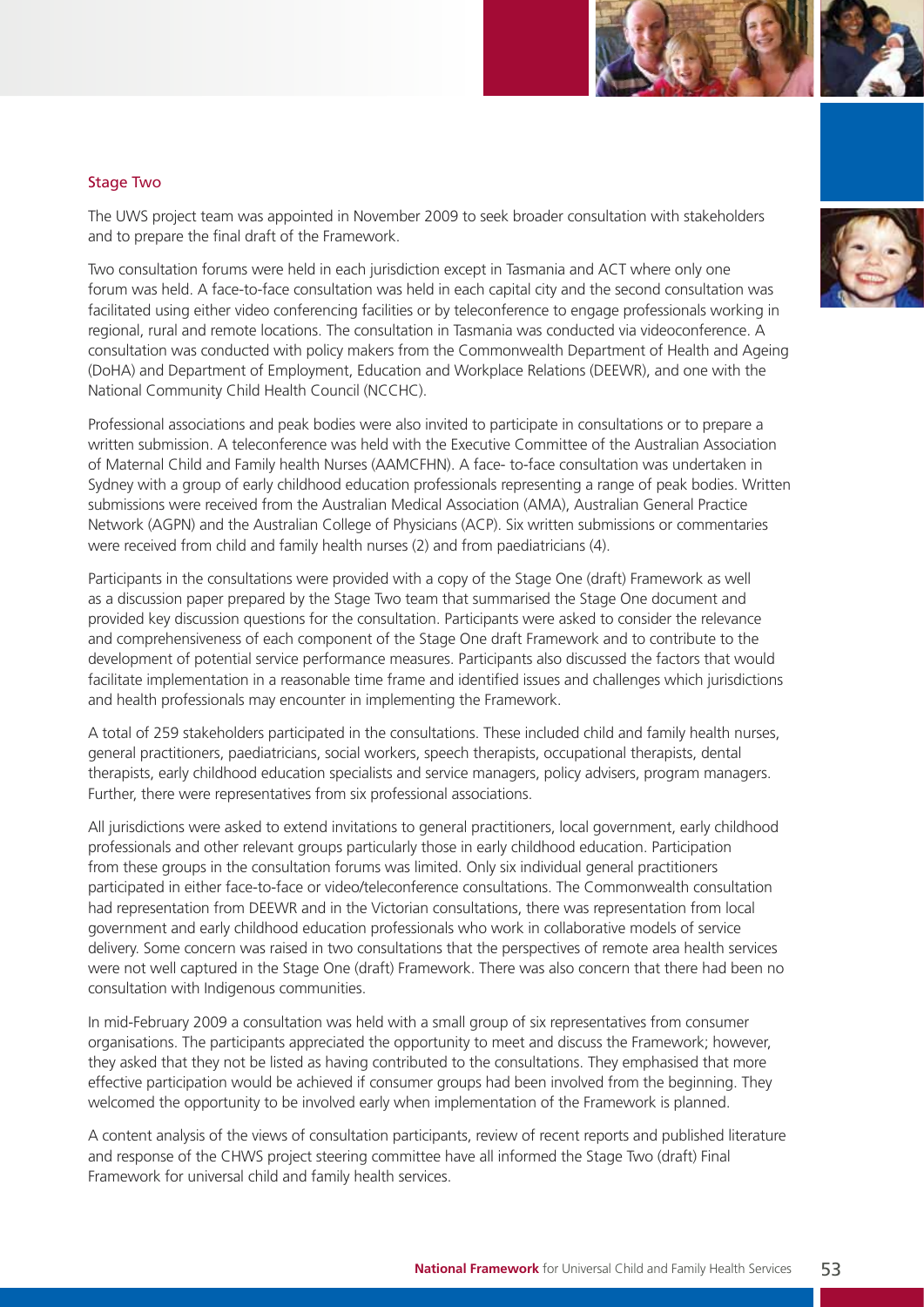

#### Stage Two

The UWS project team was appointed in November 2009 to seek broader consultation with stakeholders and to prepare the final draft of the Framework.

Two consultation forums were held in each jurisdiction except in Tasmania and ACT where only one forum was held. A face-to-face consultation was held in each capital city and the second consultation was facilitated using either video conferencing facilities or by teleconference to engage professionals working in regional, rural and remote locations. The consultation in Tasmania was conducted via videoconference. A consultation was conducted with policy makers from the Commonwealth Department of Health and Ageing (DoHA) and Department of Employment, Education and Workplace Relations (DEEWR), and one with the National Community Child Health Council (NCCHC).

Professional associations and peak bodies were also invited to participate in consultations or to prepare a written submission. A teleconference was held with the Executive Committee of the Australian Association of Maternal Child and Family health Nurses (AAMCFHN). A face- to-face consultation was undertaken in Sydney with a group of early childhood education professionals representing a range of peak bodies. Written submissions were received from the Australian Medical Association (AMA), Australian General Practice Network (AGPN) and the Australian College of Physicians (ACP). Six written submissions or commentaries were received from child and family health nurses (2) and from paediatricians (4).

Participants in the consultations were provided with a copy of the Stage One (draft) Framework as well as a discussion paper prepared by the Stage Two team that summarised the Stage One document and provided key discussion questions for the consultation. Participants were asked to consider the relevance and comprehensiveness of each component of the Stage One draft Framework and to contribute to the development of potential service performance measures. Participants also discussed the factors that would facilitate implementation in a reasonable time frame and identified issues and challenges which jurisdictions and health professionals may encounter in implementing the Framework.

A total of 259 stakeholders participated in the consultations. These included child and family health nurses, general practitioners, paediatricians, social workers, speech therapists, occupational therapists, dental therapists, early childhood education specialists and service managers, policy advisers, program managers. Further, there were representatives from six professional associations.

All jurisdictions were asked to extend invitations to general practitioners, local government, early childhood professionals and other relevant groups particularly those in early childhood education. Participation from these groups in the consultation forums was limited. Only six individual general practitioners participated in either face-to-face or video/teleconference consultations. The Commonwealth consultation had representation from DEEWR and in the Victorian consultations, there was representation from local government and early childhood education professionals who work in collaborative models of service delivery. Some concern was raised in two consultations that the perspectives of remote area health services were not well captured in the Stage One (draft) Framework. There was also concern that there had been no consultation with Indigenous communities.

In mid-February 2009 a consultation was held with a small group of six representatives from consumer organisations. The participants appreciated the opportunity to meet and discuss the Framework; however, they asked that they not be listed as having contributed to the consultations. They emphasised that more effective participation would be achieved if consumer groups had been involved from the beginning. They welcomed the opportunity to be involved early when implementation of the Framework is planned.

A content analysis of the views of consultation participants, review of recent reports and published literature and response of the CHWS project steering committee have all informed the Stage Two (draft) Final Framework for universal child and family health services.

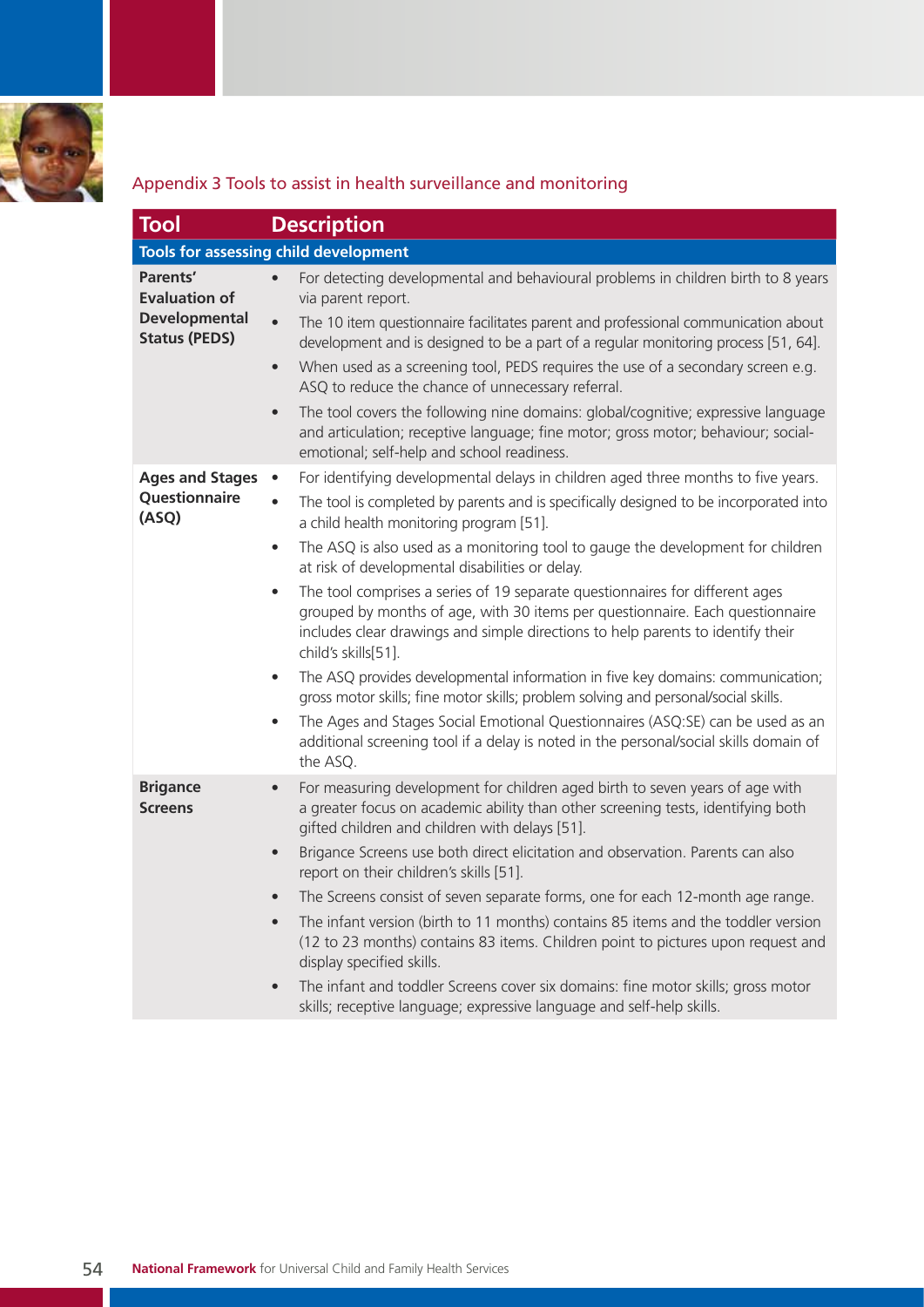

## Appendix 3 Tools to assist in health surveillance and monitoring

| <b>Tool</b>                                                                      | <b>Description</b>                                                                                                                                                                                                                                                                                                                                                                                                                                                                                                                                                                                                                                                                                                                                                                                                                                                                                                                                                                                                                                                                  |
|----------------------------------------------------------------------------------|-------------------------------------------------------------------------------------------------------------------------------------------------------------------------------------------------------------------------------------------------------------------------------------------------------------------------------------------------------------------------------------------------------------------------------------------------------------------------------------------------------------------------------------------------------------------------------------------------------------------------------------------------------------------------------------------------------------------------------------------------------------------------------------------------------------------------------------------------------------------------------------------------------------------------------------------------------------------------------------------------------------------------------------------------------------------------------------|
|                                                                                  | <b>Tools for assessing child development</b>                                                                                                                                                                                                                                                                                                                                                                                                                                                                                                                                                                                                                                                                                                                                                                                                                                                                                                                                                                                                                                        |
| Parents'<br><b>Evaluation of</b><br><b>Developmental</b><br><b>Status (PEDS)</b> | For detecting developmental and behavioural problems in children birth to 8 years<br>via parent report.<br>The 10 item questionnaire facilitates parent and professional communication about<br>$\bullet$<br>development and is designed to be a part of a regular monitoring process [51, 64].<br>When used as a screening tool, PEDS requires the use of a secondary screen e.g.<br>$\bullet$<br>ASQ to reduce the chance of unnecessary referral.<br>The tool covers the following nine domains: global/cognitive; expressive language<br>$\bullet$<br>and articulation; receptive language; fine motor; gross motor; behaviour; social-<br>emotional; self-help and school readiness.                                                                                                                                                                                                                                                                                                                                                                                           |
| <b>Ages and Stages</b><br>Questionnaire<br>(ASQ)                                 | For identifying developmental delays in children aged three months to five years.<br>$\bullet$<br>The tool is completed by parents and is specifically designed to be incorporated into<br>$\bullet$<br>a child health monitoring program [51].<br>The ASQ is also used as a monitoring tool to gauge the development for children<br>$\bullet$<br>at risk of developmental disabilities or delay.<br>The tool comprises a series of 19 separate questionnaires for different ages<br>$\bullet$<br>grouped by months of age, with 30 items per questionnaire. Each questionnaire<br>includes clear drawings and simple directions to help parents to identify their<br>child's skills[51].<br>The ASQ provides developmental information in five key domains: communication;<br>$\bullet$<br>gross motor skills; fine motor skills; problem solving and personal/social skills.<br>The Ages and Stages Social Emotional Questionnaires (ASQ:SE) can be used as an<br>$\bullet$<br>additional screening tool if a delay is noted in the personal/social skills domain of<br>the ASO. |
| <b>Brigance</b><br><b>Screens</b>                                                | For measuring development for children aged birth to seven years of age with<br>$\bullet$<br>a greater focus on academic ability than other screening tests, identifying both<br>gifted children and children with delays [51].<br>Brigance Screens use both direct elicitation and observation. Parents can also<br>$\bullet$<br>report on their children's skills [51].<br>The Screens consist of seven separate forms, one for each 12-month age range.<br>$\bullet$<br>The infant version (birth to 11 months) contains 85 items and the toddler version<br>$\bullet$<br>(12 to 23 months) contains 83 items. Children point to pictures upon request and<br>display specified skills.<br>The infant and toddler Screens cover six domains: fine motor skills; gross motor<br>skills; receptive language; expressive language and self-help skills.                                                                                                                                                                                                                             |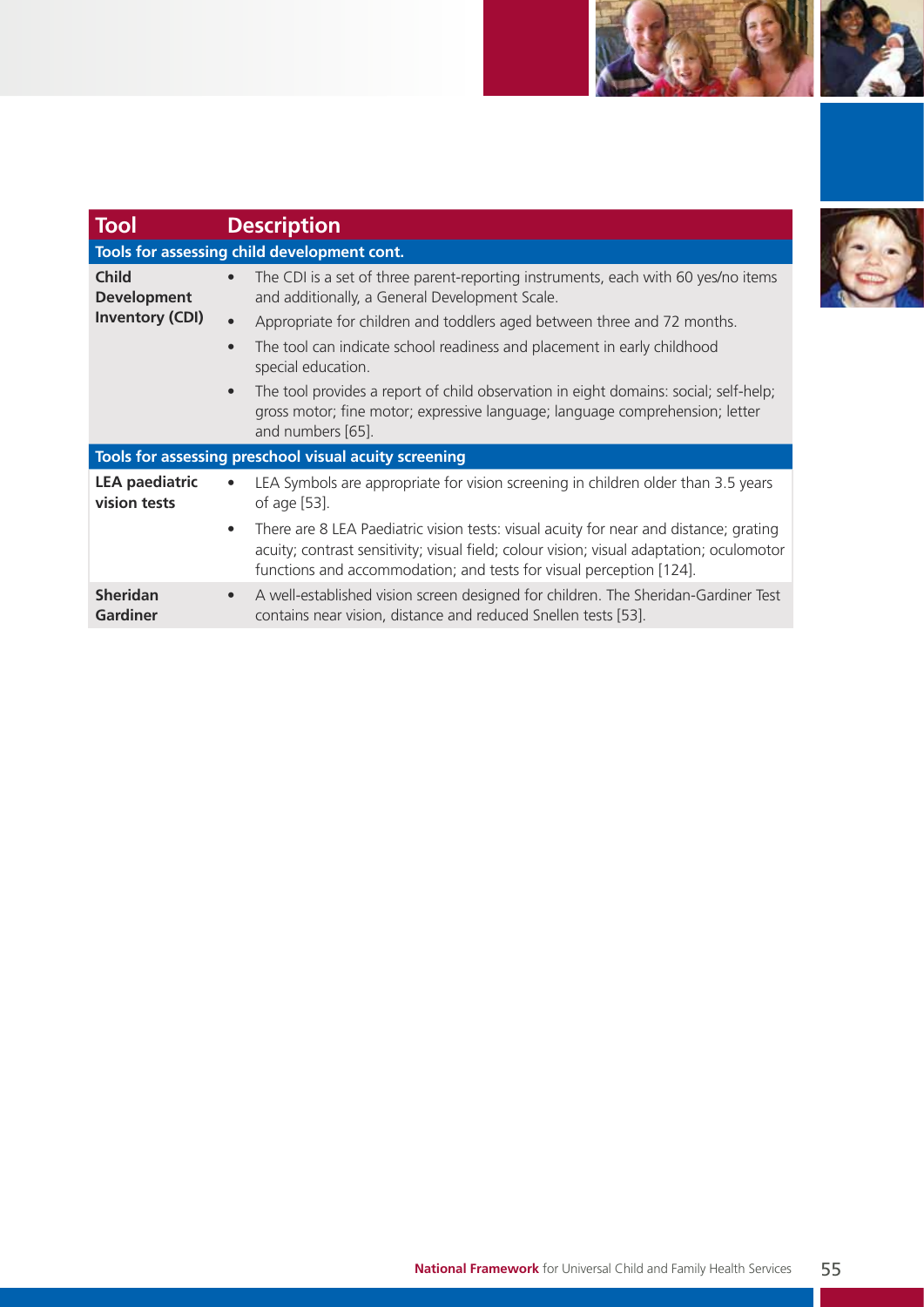

| Tool                                                         | <b>Description</b>                                                                                                                                                                                                                                                                                                                                                                                                                                                                                                        |
|--------------------------------------------------------------|---------------------------------------------------------------------------------------------------------------------------------------------------------------------------------------------------------------------------------------------------------------------------------------------------------------------------------------------------------------------------------------------------------------------------------------------------------------------------------------------------------------------------|
|                                                              | Tools for assessing child development cont.                                                                                                                                                                                                                                                                                                                                                                                                                                                                               |
| <b>Child</b><br><b>Development</b><br><b>Inventory (CDI)</b> | The CDI is a set of three parent-reporting instruments, each with 60 yes/no items<br>and additionally, a General Development Scale.<br>Appropriate for children and toddlers aged between three and 72 months.<br>The tool can indicate school readiness and placement in early childhood<br>special education.<br>The tool provides a report of child observation in eight domains: social; self-help;<br>$\bullet$<br>gross motor; fine motor; expressive language; language comprehension; letter<br>and numbers [65]. |
|                                                              | Tools for assessing preschool visual acuity screening                                                                                                                                                                                                                                                                                                                                                                                                                                                                     |
| <b>LEA paediatric</b><br>vision tests                        | LEA Symbols are appropriate for vision screening in children older than 3.5 years<br>of age [53].<br>There are 8 LEA Paediatric vision tests: visual acuity for near and distance; grating<br>$\bullet$<br>acuity; contrast sensitivity; visual field; colour vision; visual adaptation; oculomotor                                                                                                                                                                                                                       |
|                                                              | functions and accommodation; and tests for visual perception [124].                                                                                                                                                                                                                                                                                                                                                                                                                                                       |
| <b>Sheridan</b><br><b>Gardiner</b>                           | A well-established vision screen designed for children. The Sheridan-Gardiner Test<br>$\bullet$<br>contains near vision, distance and reduced Snellen tests [53].                                                                                                                                                                                                                                                                                                                                                         |

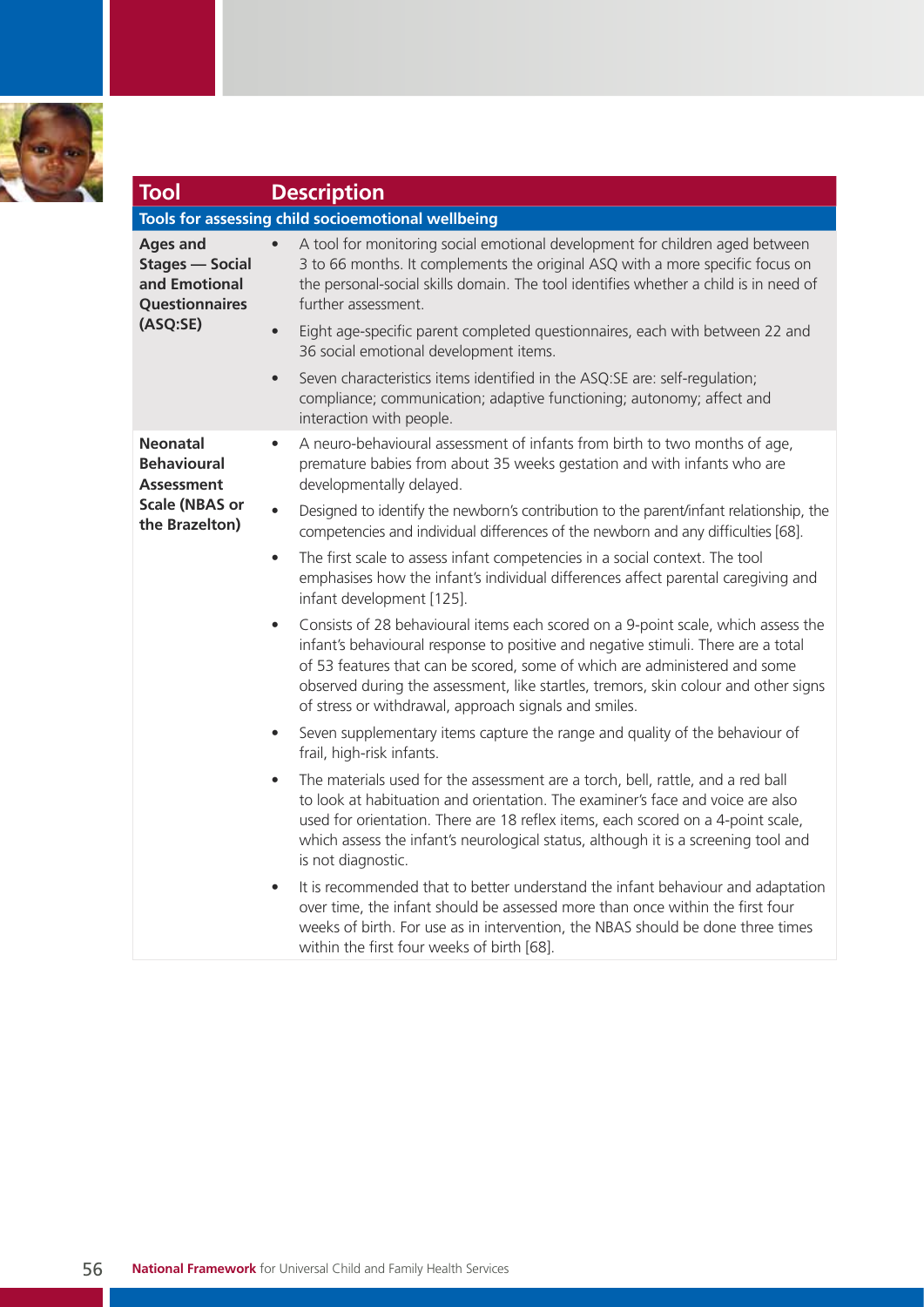

| <b>Tool</b>                                                                              | <b>Description</b>                                                                                                                                                                                                                                                                                                                                                                                                |  |  |  |
|------------------------------------------------------------------------------------------|-------------------------------------------------------------------------------------------------------------------------------------------------------------------------------------------------------------------------------------------------------------------------------------------------------------------------------------------------------------------------------------------------------------------|--|--|--|
| Tools for assessing child socioemotional wellbeing                                       |                                                                                                                                                                                                                                                                                                                                                                                                                   |  |  |  |
| <b>Ages and</b><br><b>Stages - Social</b><br>and Emotional<br>Questionnaires<br>(ASQ:SE) | A tool for monitoring social emotional development for children aged between<br>3 to 66 months. It complements the original ASQ with a more specific focus on<br>the personal-social skills domain. The tool identifies whether a child is in need of<br>further assessment.<br>Eight age-specific parent completed questionnaires, each with between 22 and<br>$\bullet$                                         |  |  |  |
|                                                                                          | 36 social emotional development items.                                                                                                                                                                                                                                                                                                                                                                            |  |  |  |
|                                                                                          | Seven characteristics items identified in the ASQ:SE are: self-regulation;<br>$\bullet$<br>compliance; communication; adaptive functioning; autonomy; affect and<br>interaction with people.                                                                                                                                                                                                                      |  |  |  |
| <b>Neonatal</b><br><b>Behavioural</b><br><b>Assessment</b>                               | A neuro-behavioural assessment of infants from birth to two months of age,<br>$\bullet$<br>premature babies from about 35 weeks gestation and with infants who are<br>developmentally delayed.                                                                                                                                                                                                                    |  |  |  |
| <b>Scale (NBAS or</b><br>the Brazelton)                                                  | Designed to identify the newborn's contribution to the parent/infant relationship, the<br>$\bullet$<br>competencies and individual differences of the newborn and any difficulties [68].                                                                                                                                                                                                                          |  |  |  |
|                                                                                          | The first scale to assess infant competencies in a social context. The tool<br>$\bullet$<br>emphasises how the infant's individual differences affect parental caregiving and<br>infant development [125].                                                                                                                                                                                                        |  |  |  |
|                                                                                          | Consists of 28 behavioural items each scored on a 9-point scale, which assess the<br>$\bullet$<br>infant's behavioural response to positive and negative stimuli. There are a total<br>of 53 features that can be scored, some of which are administered and some<br>observed during the assessment, like startles, tremors, skin colour and other signs<br>of stress or withdrawal, approach signals and smiles. |  |  |  |
|                                                                                          | Seven supplementary items capture the range and quality of the behaviour of<br>$\bullet$<br>frail, high-risk infants.                                                                                                                                                                                                                                                                                             |  |  |  |
|                                                                                          | The materials used for the assessment are a torch, bell, rattle, and a red ball<br>$\bullet$<br>to look at habituation and orientation. The examiner's face and voice are also<br>used for orientation. There are 18 reflex items, each scored on a 4-point scale,<br>which assess the infant's neurological status, although it is a screening tool and<br>is not diagnostic.                                    |  |  |  |
|                                                                                          | It is recommended that to better understand the infant behaviour and adaptation<br>$\bullet$<br>over time, the infant should be assessed more than once within the first four<br>weeks of birth. For use as in intervention, the NBAS should be done three times<br>within the first four weeks of birth [68].                                                                                                    |  |  |  |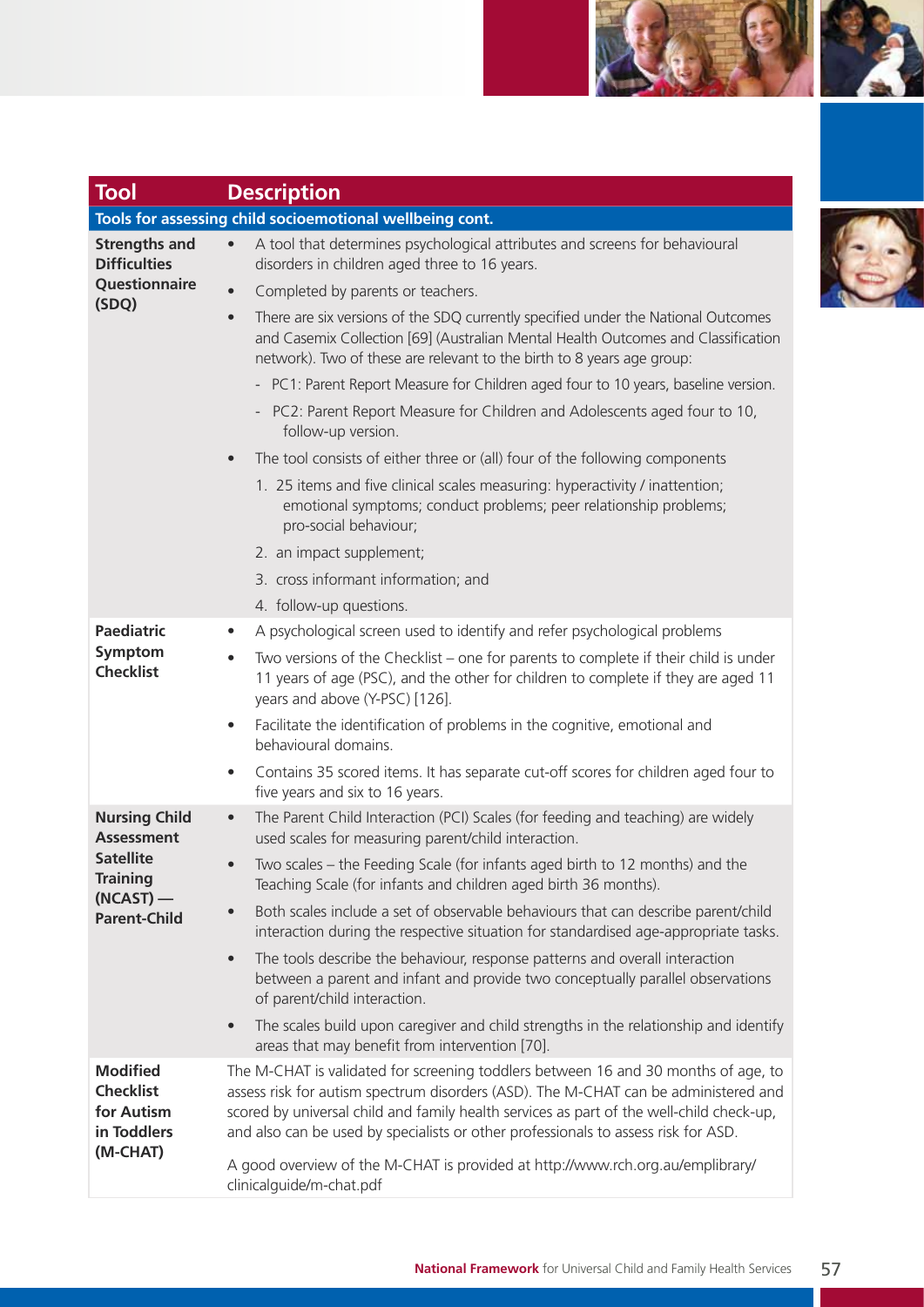

| <b>Tool</b>                                                                  | <b>Description</b>                                                                                                                                                                                                                                                                                                                                          |
|------------------------------------------------------------------------------|-------------------------------------------------------------------------------------------------------------------------------------------------------------------------------------------------------------------------------------------------------------------------------------------------------------------------------------------------------------|
|                                                                              | Tools for assessing child socioemotional wellbeing cont.                                                                                                                                                                                                                                                                                                    |
| <b>Strengths and</b><br><b>Difficulties</b>                                  | A tool that determines psychological attributes and screens for behavioural<br>disorders in children aged three to 16 years.                                                                                                                                                                                                                                |
| Questionnaire<br>(SDQ)                                                       | Completed by parents or teachers.<br>$\bullet$                                                                                                                                                                                                                                                                                                              |
|                                                                              | There are six versions of the SDQ currently specified under the National Outcomes<br>$\bullet$<br>and Casemix Collection [69] (Australian Mental Health Outcomes and Classification<br>network). Two of these are relevant to the birth to 8 years age group:                                                                                               |
|                                                                              | - PC1: Parent Report Measure for Children aged four to 10 years, baseline version.                                                                                                                                                                                                                                                                          |
|                                                                              | - PC2: Parent Report Measure for Children and Adolescents aged four to 10,<br>follow-up version.                                                                                                                                                                                                                                                            |
|                                                                              | The tool consists of either three or (all) four of the following components<br>$\bullet$                                                                                                                                                                                                                                                                    |
|                                                                              | 1. 25 items and five clinical scales measuring: hyperactivity / inattention;<br>emotional symptoms; conduct problems; peer relationship problems;<br>pro-social behaviour;                                                                                                                                                                                  |
|                                                                              | 2. an impact supplement;                                                                                                                                                                                                                                                                                                                                    |
|                                                                              | 3. cross informant information; and                                                                                                                                                                                                                                                                                                                         |
|                                                                              | 4. follow-up questions.                                                                                                                                                                                                                                                                                                                                     |
| <b>Paediatric</b>                                                            | A psychological screen used to identify and refer psychological problems                                                                                                                                                                                                                                                                                    |
| Symptom<br><b>Checklist</b>                                                  | Two versions of the Checklist - one for parents to complete if their child is under<br>$\bullet$<br>11 years of age (PSC), and the other for children to complete if they are aged 11<br>years and above (Y-PSC) [126].                                                                                                                                     |
|                                                                              | Facilitate the identification of problems in the cognitive, emotional and<br>$\bullet$<br>behavioural domains.                                                                                                                                                                                                                                              |
|                                                                              | Contains 35 scored items. It has separate cut-off scores for children aged four to<br>$\bullet$<br>five years and six to 16 years.                                                                                                                                                                                                                          |
| <b>Nursing Child</b><br><b>Assessment</b>                                    | The Parent Child Interaction (PCI) Scales (for feeding and teaching) are widely<br>$\bullet$<br>used scales for measuring parent/child interaction.                                                                                                                                                                                                         |
| <b>Satellite</b><br><b>Training</b><br>$(NCAST)$ —                           | Two scales - the Feeding Scale (for infants aged birth to 12 months) and the<br>Teaching Scale (for infants and children aged birth 36 months).                                                                                                                                                                                                             |
| <b>Parent-Child</b>                                                          | Both scales include a set of observable behaviours that can describe parent/child<br>$\bullet$<br>interaction during the respective situation for standardised age-appropriate tasks.                                                                                                                                                                       |
|                                                                              | The tools describe the behaviour, response patterns and overall interaction<br>$\bullet$<br>between a parent and infant and provide two conceptually parallel observations<br>of parent/child interaction.                                                                                                                                                  |
|                                                                              | The scales build upon caregiver and child strengths in the relationship and identify<br>$\bullet$<br>areas that may benefit from intervention [70].                                                                                                                                                                                                         |
| <b>Modified</b><br><b>Checklist</b><br>for Autism<br>in Toddlers<br>(M-CHAT) | The M-CHAT is validated for screening toddlers between 16 and 30 months of age, to<br>assess risk for autism spectrum disorders (ASD). The M-CHAT can be administered and<br>scored by universal child and family health services as part of the well-child check-up,<br>and also can be used by specialists or other professionals to assess risk for ASD. |
|                                                                              | A good overview of the M-CHAT is provided at http://www.rch.org.au/emplibrary/<br>clinicalguide/m-chat.pdf                                                                                                                                                                                                                                                  |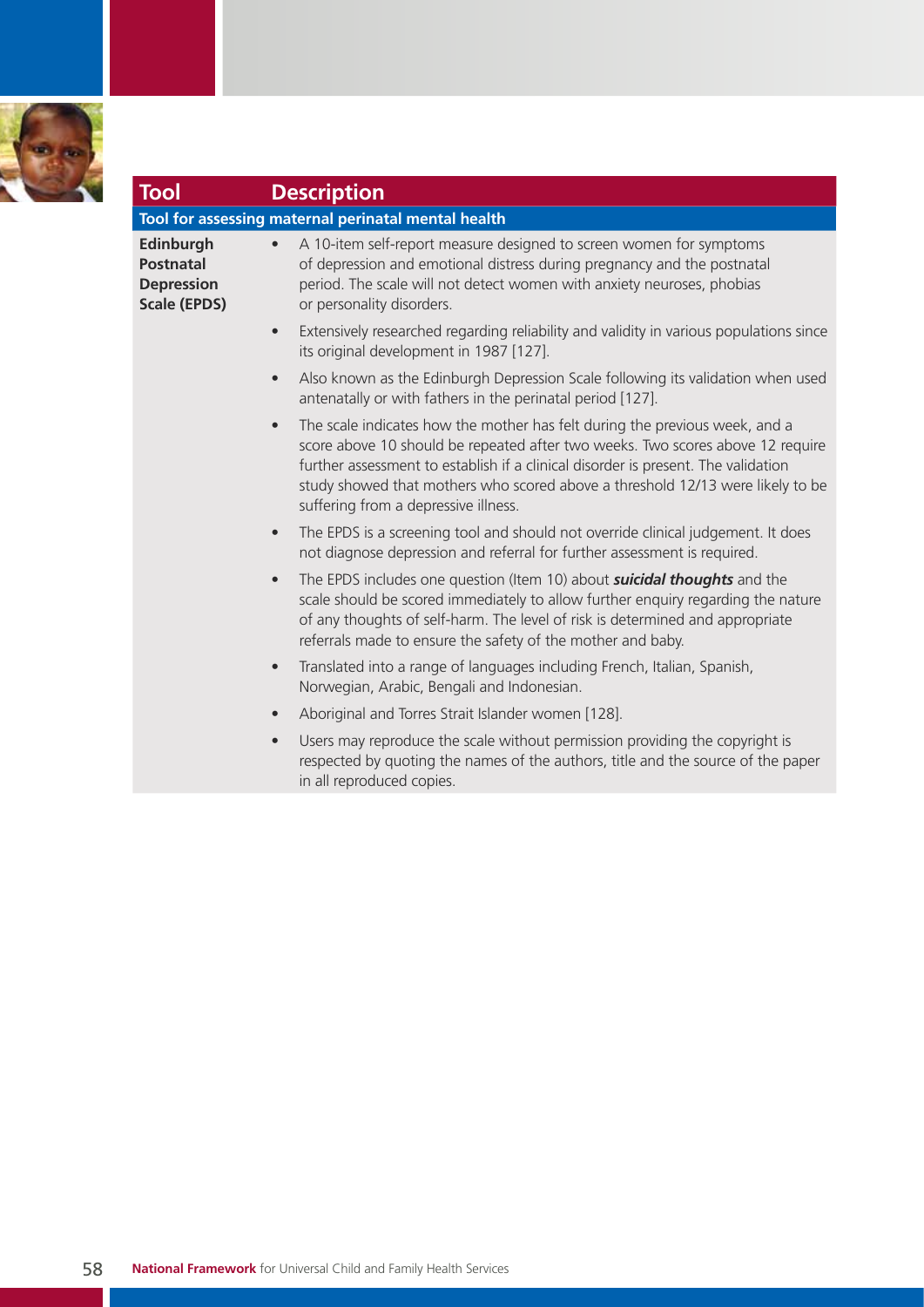

| Tool                                                                      | <b>Description</b>                                                                                                                                                                                                                                                                                                                                                                        |
|---------------------------------------------------------------------------|-------------------------------------------------------------------------------------------------------------------------------------------------------------------------------------------------------------------------------------------------------------------------------------------------------------------------------------------------------------------------------------------|
|                                                                           | Tool for assessing maternal perinatal mental health                                                                                                                                                                                                                                                                                                                                       |
| Edinburgh<br><b>Postnatal</b><br><b>Depression</b><br><b>Scale (EPDS)</b> | A 10-item self-report measure designed to screen women for symptoms<br>$\bullet$<br>of depression and emotional distress during pregnancy and the postnatal<br>period. The scale will not detect women with anxiety neuroses, phobias<br>or personality disorders.                                                                                                                        |
|                                                                           | Extensively researched regarding reliability and validity in various populations since<br>$\bullet$<br>its original development in 1987 [127].                                                                                                                                                                                                                                            |
|                                                                           | Also known as the Edinburgh Depression Scale following its validation when used<br>$\bullet$<br>antenatally or with fathers in the perinatal period [127].                                                                                                                                                                                                                                |
|                                                                           | The scale indicates how the mother has felt during the previous week, and a<br>$\bullet$<br>score above 10 should be repeated after two weeks. Two scores above 12 require<br>further assessment to establish if a clinical disorder is present. The validation<br>study showed that mothers who scored above a threshold 12/13 were likely to be<br>suffering from a depressive illness. |
|                                                                           | The EPDS is a screening tool and should not override clinical judgement. It does<br>$\bullet$<br>not diagnose depression and referral for further assessment is required.                                                                                                                                                                                                                 |
|                                                                           | The EPDS includes one question (Item 10) about suicidal thoughts and the<br>$\bullet$<br>scale should be scored immediately to allow further enquiry regarding the nature<br>of any thoughts of self-harm. The level of risk is determined and appropriate<br>referrals made to ensure the safety of the mother and baby.                                                                 |
|                                                                           | Translated into a range of languages including French, Italian, Spanish,<br>$\bullet$<br>Norwegian, Arabic, Bengali and Indonesian.                                                                                                                                                                                                                                                       |
|                                                                           | Aboriginal and Torres Strait Islander women [128].<br>$\bullet$                                                                                                                                                                                                                                                                                                                           |
|                                                                           | Users may reproduce the scale without permission providing the copyright is<br>$\bullet$<br>respected by quoting the names of the authors, title and the source of the paper<br>in all reproduced copies.                                                                                                                                                                                 |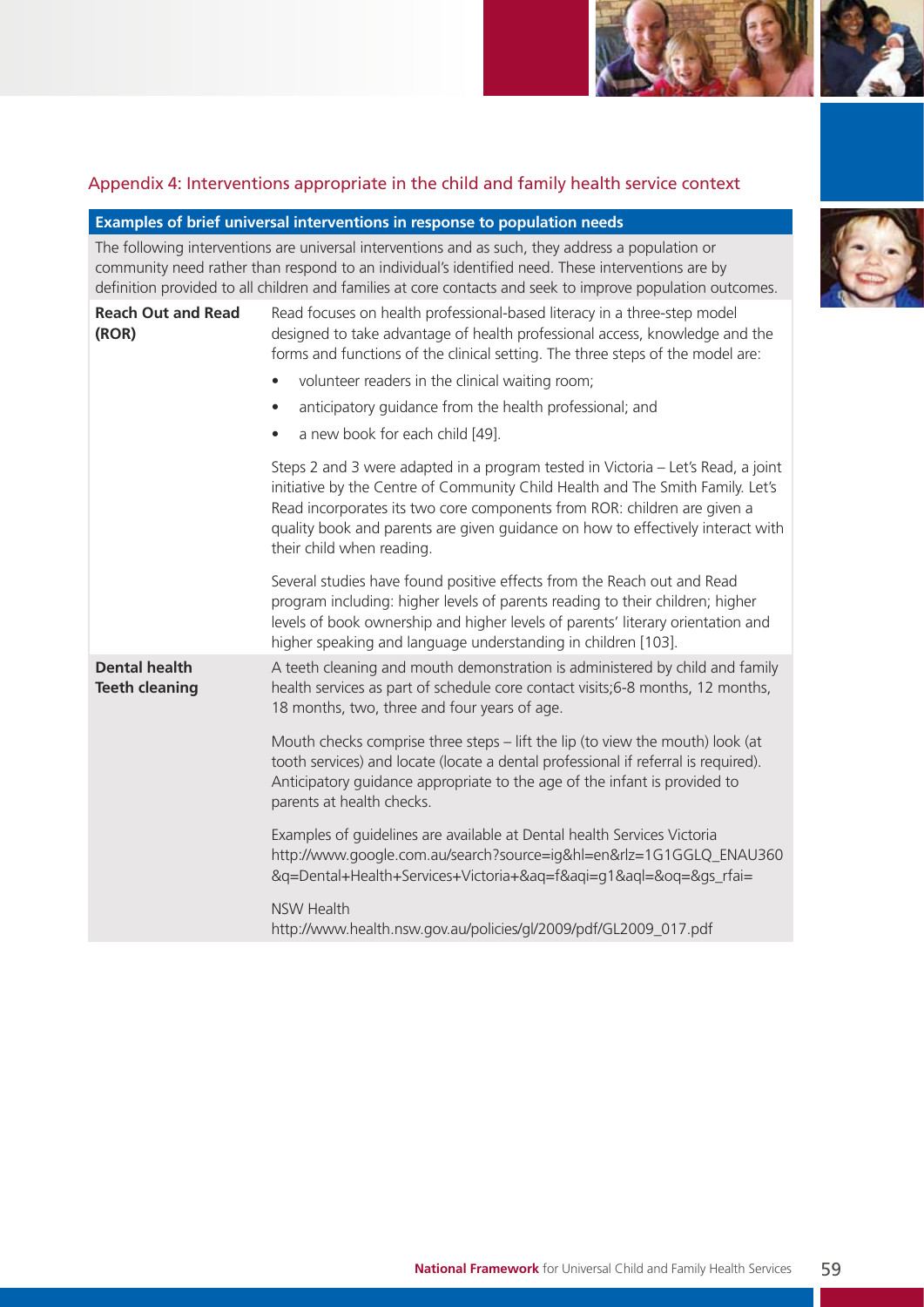

## Appendix 4: Interventions appropriate in the child and family health service context

#### **Examples of brief universal interventions in response to population needs**

The following interventions are universal interventions and as such, they address a population or community need rather than respond to an individual's identified need. These interventions are by definition provided to all children and families at core contacts and seek to improve population outcomes.

| <b>Reach Out and Read</b><br>(ROR)            | Read focuses on health professional-based literacy in a three-step model<br>designed to take advantage of health professional access, knowledge and the<br>forms and functions of the clinical setting. The three steps of the model are:                                                                                                                      |
|-----------------------------------------------|----------------------------------------------------------------------------------------------------------------------------------------------------------------------------------------------------------------------------------------------------------------------------------------------------------------------------------------------------------------|
|                                               | volunteer readers in the clinical waiting room;<br>$\bullet$                                                                                                                                                                                                                                                                                                   |
|                                               | anticipatory guidance from the health professional; and                                                                                                                                                                                                                                                                                                        |
|                                               | a new book for each child [49].                                                                                                                                                                                                                                                                                                                                |
|                                               | Steps 2 and 3 were adapted in a program tested in Victoria - Let's Read, a joint<br>initiative by the Centre of Community Child Health and The Smith Family. Let's<br>Read incorporates its two core components from ROR: children are given a<br>quality book and parents are given guidance on how to effectively interact with<br>their child when reading. |
|                                               | Several studies have found positive effects from the Reach out and Read<br>program including: higher levels of parents reading to their children; higher<br>levels of book ownership and higher levels of parents' literary orientation and<br>higher speaking and language understanding in children [103].                                                   |
| <b>Dental health</b><br><b>Teeth cleaning</b> | A teeth cleaning and mouth demonstration is administered by child and family<br>health services as part of schedule core contact visits;6-8 months, 12 months,<br>18 months, two, three and four years of age.                                                                                                                                                 |
|                                               | Mouth checks comprise three steps - lift the lip (to view the mouth) look (at<br>tooth services) and locate (locate a dental professional if referral is required).<br>Anticipatory guidance appropriate to the age of the infant is provided to<br>parents at health checks.                                                                                  |
|                                               | Examples of guidelines are available at Dental health Services Victoria<br>http://www.google.com.au/search?source=ig&hl=en&rlz=1G1GGLQ_ENAU360<br>&q=Dental+Health+Services+Victoria+&aq=f&aqi=q1&aql=&oq=&qs_rfai=                                                                                                                                            |
|                                               | <b>NSW Health</b><br>http://www.health.nsw.gov.au/policies/gl/2009/pdf/GL2009_017.pdf                                                                                                                                                                                                                                                                          |

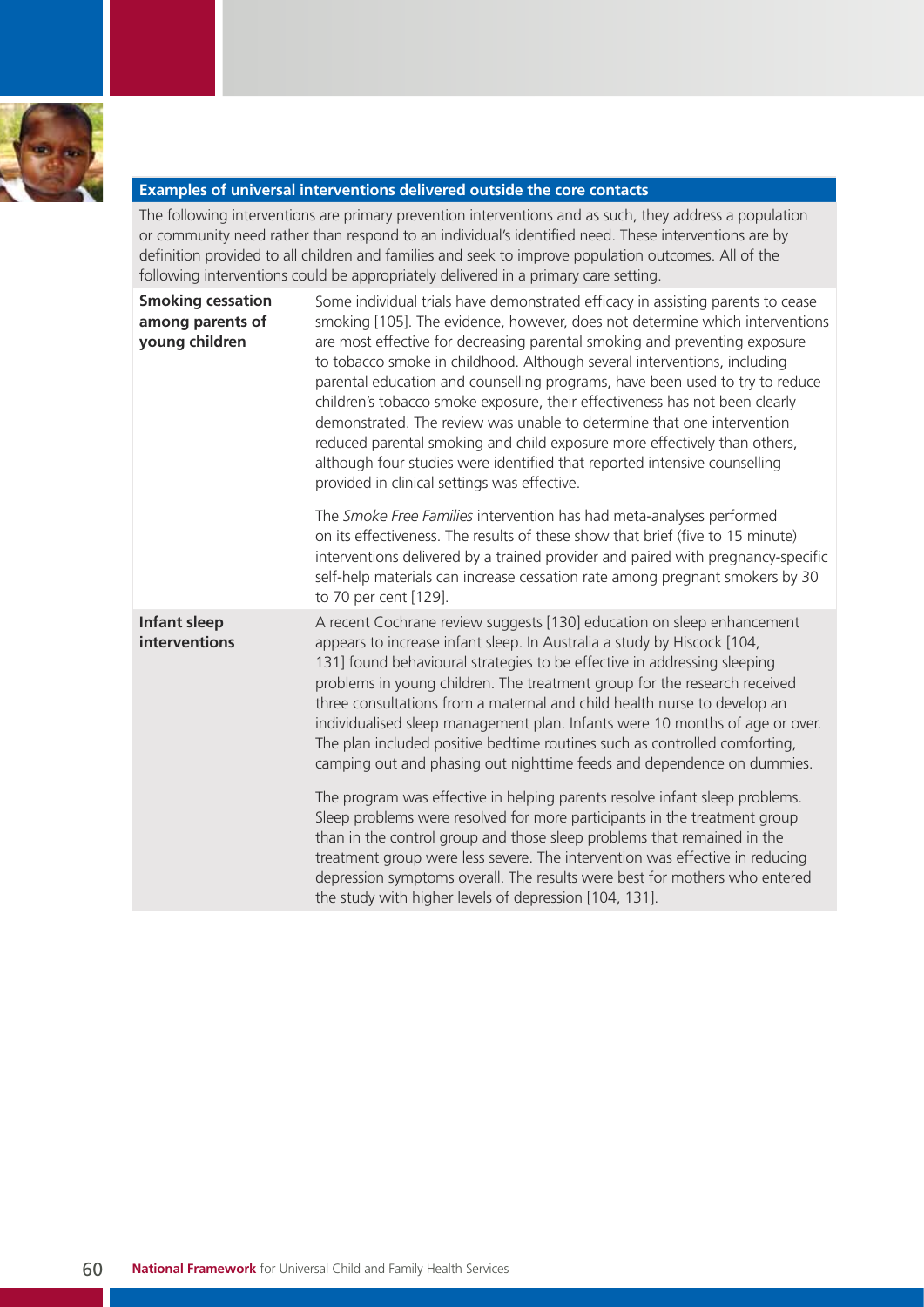

## **Examples of universal interventions delivered outside the core contacts**

The following interventions are primary prevention interventions and as such, they address a population or community need rather than respond to an individual's identified need. These interventions are by definition provided to all children and families and seek to improve population outcomes. All of the following interventions could be appropriately delivered in a primary care setting.

| <b>Smoking cessation</b><br>among parents of<br>young children | Some individual trials have demonstrated efficacy in assisting parents to cease<br>smoking [105]. The evidence, however, does not determine which interventions<br>are most effective for decreasing parental smoking and preventing exposure<br>to tobacco smoke in childhood. Although several interventions, including<br>parental education and counselling programs, have been used to try to reduce<br>children's tobacco smoke exposure, their effectiveness has not been clearly<br>demonstrated. The review was unable to determine that one intervention<br>reduced parental smoking and child exposure more effectively than others,<br>although four studies were identified that reported intensive counselling<br>provided in clinical settings was effective.<br>The Smoke Free Families intervention has had meta-analyses performed<br>on its effectiveness. The results of these show that brief (five to 15 minute)<br>interventions delivered by a trained provider and paired with pregnancy-specific<br>self-help materials can increase cessation rate among pregnant smokers by 30<br>to 70 per cent [129]. |
|----------------------------------------------------------------|-------------------------------------------------------------------------------------------------------------------------------------------------------------------------------------------------------------------------------------------------------------------------------------------------------------------------------------------------------------------------------------------------------------------------------------------------------------------------------------------------------------------------------------------------------------------------------------------------------------------------------------------------------------------------------------------------------------------------------------------------------------------------------------------------------------------------------------------------------------------------------------------------------------------------------------------------------------------------------------------------------------------------------------------------------------------------------------------------------------------------------------|
| <b>Infant sleep</b><br>interventions                           | A recent Cochrane review suggests [130] education on sleep enhancement<br>appears to increase infant sleep. In Australia a study by Hiscock [104,<br>131] found behavioural strategies to be effective in addressing sleeping<br>problems in young children. The treatment group for the research received<br>three consultations from a maternal and child health nurse to develop an<br>individualised sleep management plan. Infants were 10 months of age or over.<br>The plan included positive bedtime routines such as controlled comforting,<br>camping out and phasing out nighttime feeds and dependence on dummies.<br>The program was effective in helping parents resolve infant sleep problems.<br>Sleep problems were resolved for more participants in the treatment group<br>than in the control group and those sleep problems that remained in the<br>treatment group were less severe. The intervention was effective in reducing<br>depression symptoms overall. The results were best for mothers who entered<br>the study with higher levels of depression [104, 131].                                       |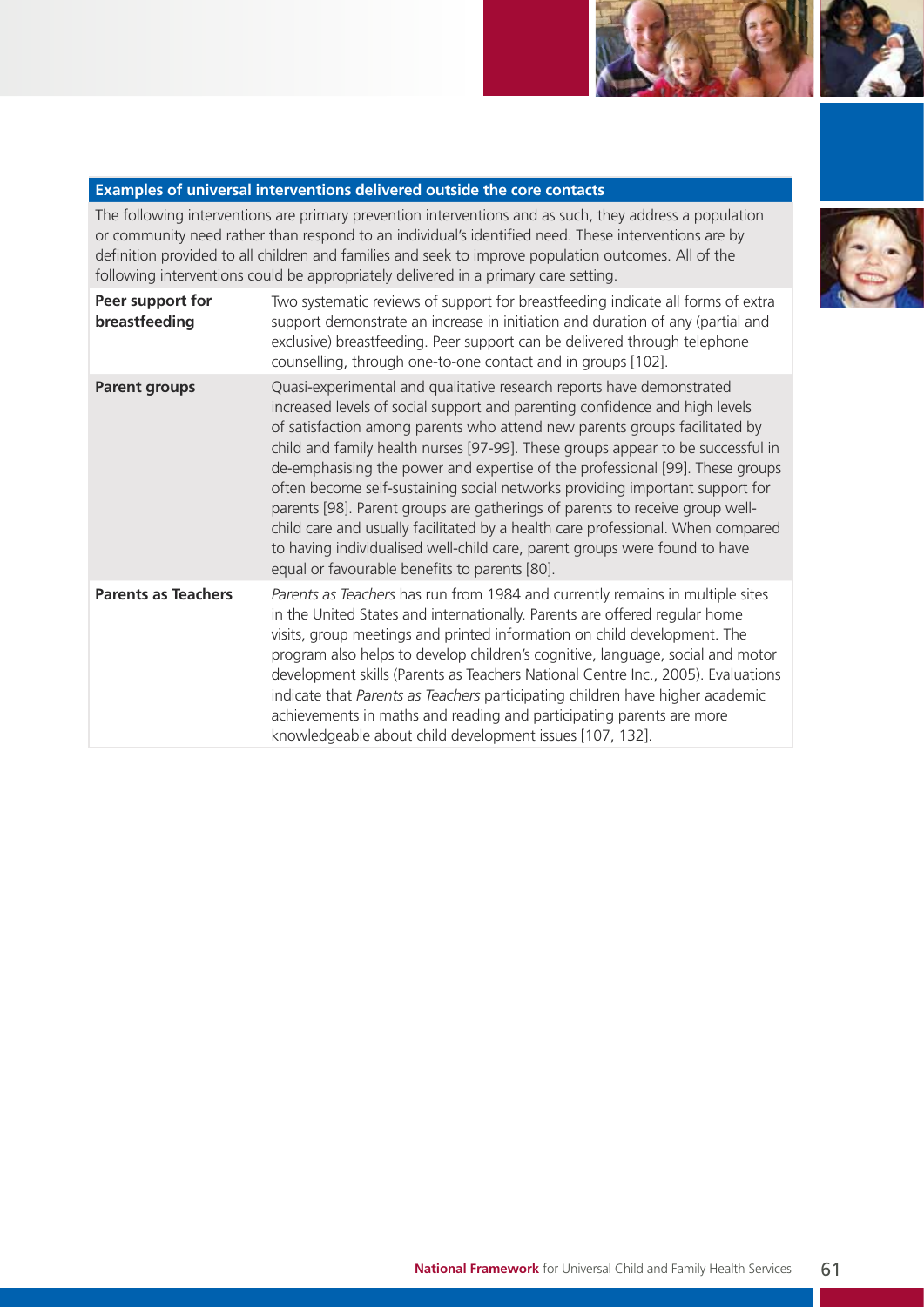

### **Examples of universal interventions delivered outside the core contacts**

The following interventions are primary prevention interventions and as such, they address a population or community need rather than respond to an individual's identified need. These interventions are by definition provided to all children and families and seek to improve population outcomes. All of the following interventions could be appropriately delivered in a primary care setting.

| Peer support for<br>breastfeeding | Two systematic reviews of support for breastfeeding indicate all forms of extra<br>support demonstrate an increase in initiation and duration of any (partial and<br>exclusive) breastfeeding. Peer support can be delivered through telephone<br>counselling, through one-to-one contact and in groups [102].                                                                                                                                                                                                                                                                                                                                                                                                                                                                           |
|-----------------------------------|------------------------------------------------------------------------------------------------------------------------------------------------------------------------------------------------------------------------------------------------------------------------------------------------------------------------------------------------------------------------------------------------------------------------------------------------------------------------------------------------------------------------------------------------------------------------------------------------------------------------------------------------------------------------------------------------------------------------------------------------------------------------------------------|
| <b>Parent groups</b>              | Quasi-experimental and qualitative research reports have demonstrated<br>increased levels of social support and parenting confidence and high levels<br>of satisfaction among parents who attend new parents groups facilitated by<br>child and family health nurses [97-99]. These groups appear to be successful in<br>de-emphasising the power and expertise of the professional [99]. These groups<br>often become self-sustaining social networks providing important support for<br>parents [98]. Parent groups are gatherings of parents to receive group well-<br>child care and usually facilitated by a health care professional. When compared<br>to having individualised well-child care, parent groups were found to have<br>equal or favourable benefits to parents [80]. |
| <b>Parents as Teachers</b>        | Parents as Teachers has run from 1984 and currently remains in multiple sites<br>in the United States and internationally. Parents are offered regular home<br>visits, group meetings and printed information on child development. The<br>program also helps to develop children's cognitive, language, social and motor<br>development skills (Parents as Teachers National Centre Inc., 2005). Evaluations<br>indicate that Parents as Teachers participating children have higher academic<br>achievements in maths and reading and participating parents are more<br>knowledgeable about child development issues [107, 132].                                                                                                                                                       |

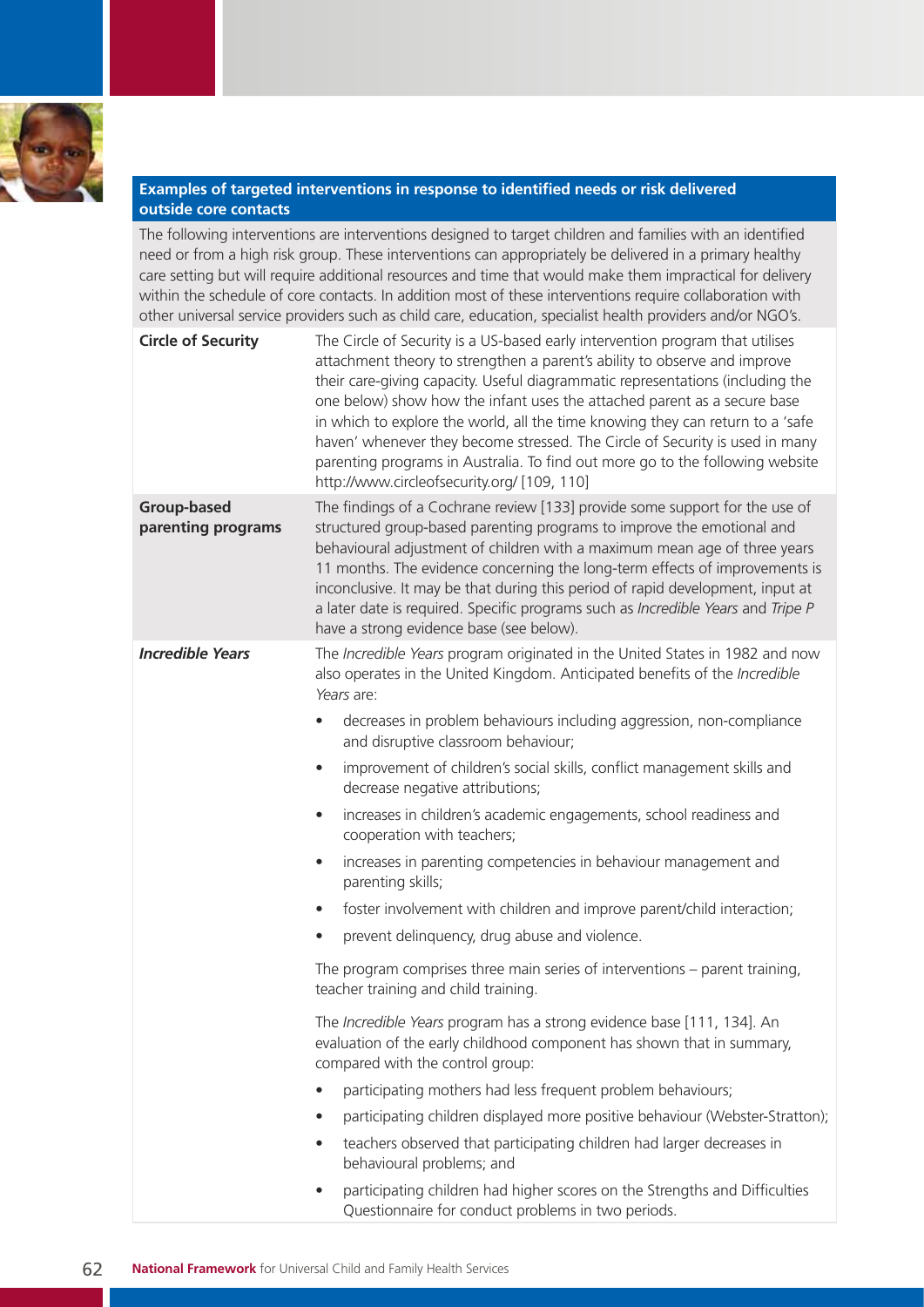

## **Examples of targeted interventions in response to identified needs or risk delivered outside core contacts**

The following interventions are interventions designed to target children and families with an identified need or from a high risk group. These interventions can appropriately be delivered in a primary healthy care setting but will require additional resources and time that would make them impractical for delivery within the schedule of core contacts. In addition most of these interventions require collaboration with other universal service providers such as child care, education, specialist health providers and/or NGO's.

| <b>Circle of Security</b>                | The Circle of Security is a US-based early intervention program that utilises<br>attachment theory to strengthen a parent's ability to observe and improve<br>their care-giving capacity. Useful diagrammatic representations (including the<br>one below) show how the infant uses the attached parent as a secure base<br>in which to explore the world, all the time knowing they can return to a 'safe<br>haven' whenever they become stressed. The Circle of Security is used in many<br>parenting programs in Australia. To find out more go to the following website<br>http://www.circleofsecurity.org/ [109, 110] |
|------------------------------------------|----------------------------------------------------------------------------------------------------------------------------------------------------------------------------------------------------------------------------------------------------------------------------------------------------------------------------------------------------------------------------------------------------------------------------------------------------------------------------------------------------------------------------------------------------------------------------------------------------------------------------|
| <b>Group-based</b><br>parenting programs | The findings of a Cochrane review [133] provide some support for the use of<br>structured group-based parenting programs to improve the emotional and<br>behavioural adjustment of children with a maximum mean age of three years<br>11 months. The evidence concerning the long-term effects of improvements is<br>inconclusive. It may be that during this period of rapid development, input at<br>a later date is required. Specific programs such as Incredible Years and Tripe P<br>have a strong evidence base (see below).                                                                                        |
| <b>Incredible Years</b>                  | The Incredible Years program originated in the United States in 1982 and now<br>also operates in the United Kingdom. Anticipated benefits of the Incredible<br>Years are:                                                                                                                                                                                                                                                                                                                                                                                                                                                  |
|                                          | decreases in problem behaviours including aggression, non-compliance<br>$\bullet$<br>and disruptive classroom behaviour;                                                                                                                                                                                                                                                                                                                                                                                                                                                                                                   |
|                                          | improvement of children's social skills, conflict management skills and<br>$\bullet$<br>decrease negative attributions;                                                                                                                                                                                                                                                                                                                                                                                                                                                                                                    |
|                                          | increases in children's academic engagements, school readiness and<br>$\bullet$<br>cooperation with teachers;                                                                                                                                                                                                                                                                                                                                                                                                                                                                                                              |
|                                          | increases in parenting competencies in behaviour management and<br>$\bullet$<br>parenting skills;                                                                                                                                                                                                                                                                                                                                                                                                                                                                                                                          |
|                                          | foster involvement with children and improve parent/child interaction;<br>$\bullet$                                                                                                                                                                                                                                                                                                                                                                                                                                                                                                                                        |
|                                          | prevent delinquency, drug abuse and violence.<br>$\bullet$                                                                                                                                                                                                                                                                                                                                                                                                                                                                                                                                                                 |
|                                          | The program comprises three main series of interventions - parent training,<br>teacher training and child training.                                                                                                                                                                                                                                                                                                                                                                                                                                                                                                        |
|                                          | The <i>Incredible Years</i> program has a strong evidence base [111, 134]. An<br>evaluation of the early childhood component has shown that in summary,<br>compared with the control group:                                                                                                                                                                                                                                                                                                                                                                                                                                |
|                                          | participating mothers had less frequent problem behaviours;<br>$\bullet$                                                                                                                                                                                                                                                                                                                                                                                                                                                                                                                                                   |
|                                          | participating children displayed more positive behaviour (Webster-Stratton);<br>$\bullet$                                                                                                                                                                                                                                                                                                                                                                                                                                                                                                                                  |
|                                          | teachers observed that participating children had larger decreases in<br>$\bullet$<br>behavioural problems; and                                                                                                                                                                                                                                                                                                                                                                                                                                                                                                            |
|                                          | participating children had higher scores on the Strengths and Difficulties<br>Questionnaire for conduct problems in two periods.                                                                                                                                                                                                                                                                                                                                                                                                                                                                                           |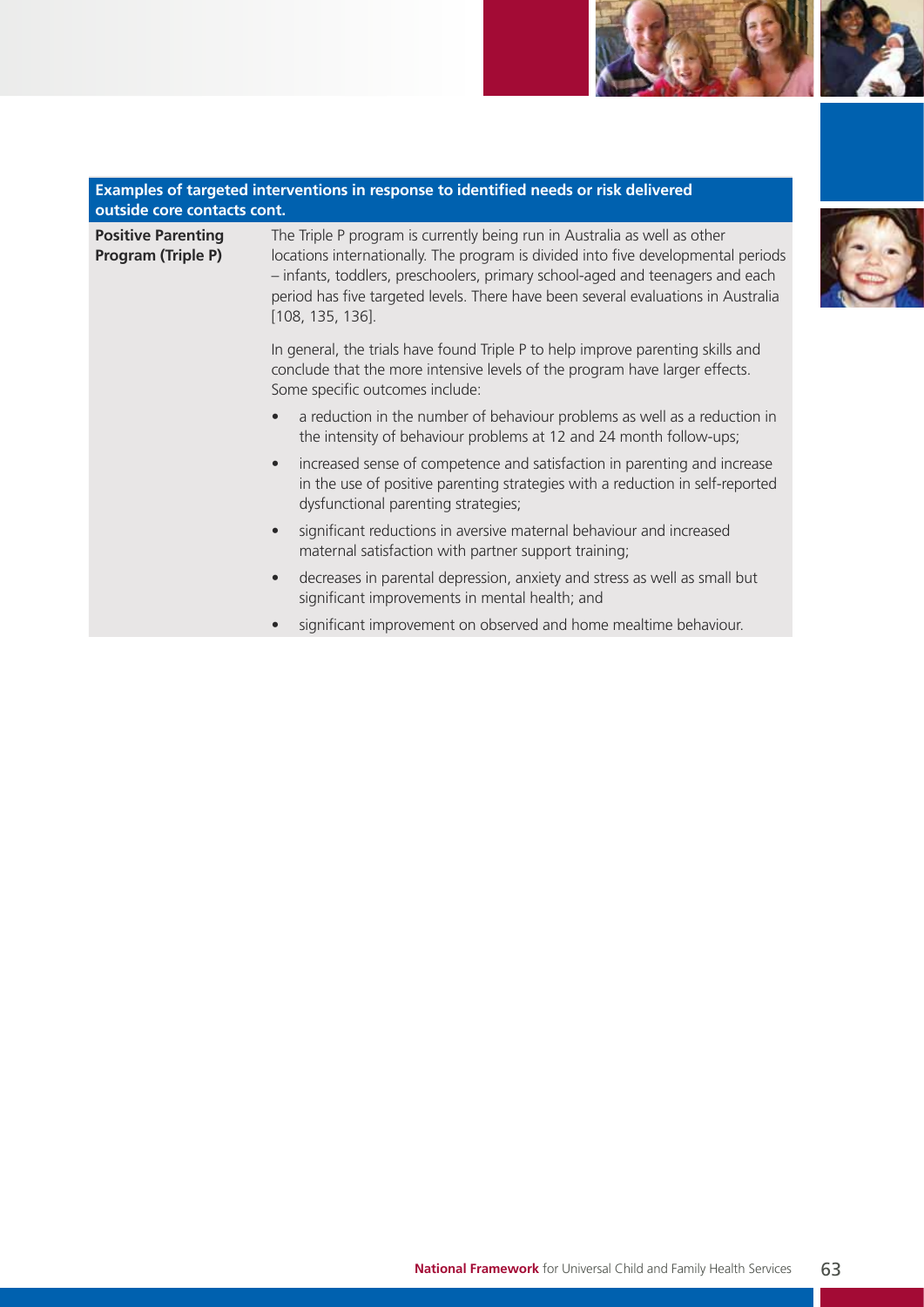

| - infants, toddlers, preschoolers, primary school-aged and teenagers and each<br>$[108, 135, 136]$ .<br>In general, the trials have found Triple P to help improve parenting skills and<br>conclude that the more intensive levels of the program have larger effects.<br>Some specific outcomes include:<br>a reduction in the number of behaviour problems as well as a reduction in<br>the intensity of behaviour problems at 12 and 24 month follow-ups;<br>increased sense of competence and satisfaction in parenting and increase<br>$\bullet$<br>in the use of positive parenting strategies with a reduction in self-reported<br>dysfunctional parenting strategies;<br>significant reductions in aversive maternal behaviour and increased<br>$\bullet$<br>maternal satisfaction with partner support training;<br>decreases in parental depression, anxiety and stress as well as small but<br>$\bullet$<br>significant improvements in mental health; and<br>significant improvement on observed and home mealtime behaviour. | outside core contacts cont.                     |                                                                                                                                                                                                                                                     |
|-------------------------------------------------------------------------------------------------------------------------------------------------------------------------------------------------------------------------------------------------------------------------------------------------------------------------------------------------------------------------------------------------------------------------------------------------------------------------------------------------------------------------------------------------------------------------------------------------------------------------------------------------------------------------------------------------------------------------------------------------------------------------------------------------------------------------------------------------------------------------------------------------------------------------------------------------------------------------------------------------------------------------------------------|-------------------------------------------------|-----------------------------------------------------------------------------------------------------------------------------------------------------------------------------------------------------------------------------------------------------|
|                                                                                                                                                                                                                                                                                                                                                                                                                                                                                                                                                                                                                                                                                                                                                                                                                                                                                                                                                                                                                                           | <b>Positive Parenting</b><br>Program (Triple P) | The Triple P program is currently being run in Australia as well as other<br>locations internationally. The program is divided into five developmental periods<br>period has five targeted levels. There have been several evaluations in Australia |
|                                                                                                                                                                                                                                                                                                                                                                                                                                                                                                                                                                                                                                                                                                                                                                                                                                                                                                                                                                                                                                           |                                                 |                                                                                                                                                                                                                                                     |
|                                                                                                                                                                                                                                                                                                                                                                                                                                                                                                                                                                                                                                                                                                                                                                                                                                                                                                                                                                                                                                           |                                                 |                                                                                                                                                                                                                                                     |
|                                                                                                                                                                                                                                                                                                                                                                                                                                                                                                                                                                                                                                                                                                                                                                                                                                                                                                                                                                                                                                           |                                                 |                                                                                                                                                                                                                                                     |
|                                                                                                                                                                                                                                                                                                                                                                                                                                                                                                                                                                                                                                                                                                                                                                                                                                                                                                                                                                                                                                           |                                                 |                                                                                                                                                                                                                                                     |
|                                                                                                                                                                                                                                                                                                                                                                                                                                                                                                                                                                                                                                                                                                                                                                                                                                                                                                                                                                                                                                           |                                                 |                                                                                                                                                                                                                                                     |
|                                                                                                                                                                                                                                                                                                                                                                                                                                                                                                                                                                                                                                                                                                                                                                                                                                                                                                                                                                                                                                           |                                                 |                                                                                                                                                                                                                                                     |

**National Framework** for Universal Child and Family Health Services 63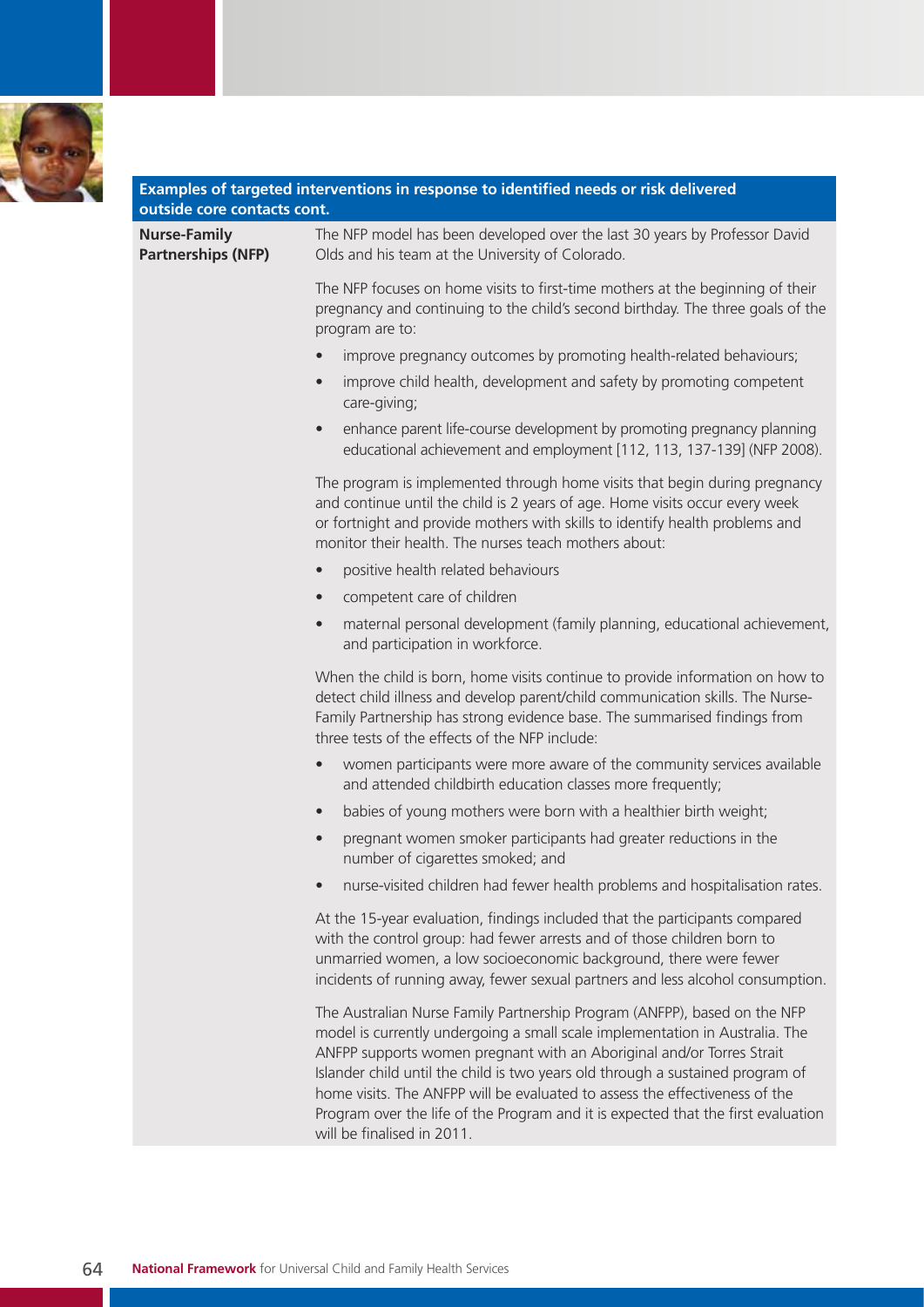

| outside core contacts cont.                      |                                                                                                                                                                                                                                                                                                                                                                                                                                                                                                                        |
|--------------------------------------------------|------------------------------------------------------------------------------------------------------------------------------------------------------------------------------------------------------------------------------------------------------------------------------------------------------------------------------------------------------------------------------------------------------------------------------------------------------------------------------------------------------------------------|
| <b>Nurse-Family</b><br><b>Partnerships (NFP)</b> | The NFP model has been developed over the last 30 years by Professor David<br>Olds and his team at the University of Colorado.                                                                                                                                                                                                                                                                                                                                                                                         |
|                                                  | The NFP focuses on home visits to first-time mothers at the beginning of their<br>pregnancy and continuing to the child's second birthday. The three goals of the<br>program are to:                                                                                                                                                                                                                                                                                                                                   |
|                                                  | improve pregnancy outcomes by promoting health-related behaviours;<br>$\bullet$                                                                                                                                                                                                                                                                                                                                                                                                                                        |
|                                                  | improve child health, development and safety by promoting competent<br>$\bullet$<br>care-giving;                                                                                                                                                                                                                                                                                                                                                                                                                       |
|                                                  | enhance parent life-course development by promoting pregnancy planning<br>$\bullet$<br>educational achievement and employment [112, 113, 137-139] (NFP 2008).                                                                                                                                                                                                                                                                                                                                                          |
|                                                  | The program is implemented through home visits that begin during pregnancy<br>and continue until the child is 2 years of age. Home visits occur every week<br>or fortnight and provide mothers with skills to identify health problems and<br>monitor their health. The nurses teach mothers about:                                                                                                                                                                                                                    |
|                                                  | positive health related behaviours<br>$\bullet$                                                                                                                                                                                                                                                                                                                                                                                                                                                                        |
|                                                  | competent care of children<br>$\bullet$                                                                                                                                                                                                                                                                                                                                                                                                                                                                                |
|                                                  | maternal personal development (family planning, educational achievement,<br>$\bullet$<br>and participation in workforce.                                                                                                                                                                                                                                                                                                                                                                                               |
|                                                  | When the child is born, home visits continue to provide information on how to<br>detect child illness and develop parent/child communication skills. The Nurse-<br>Family Partnership has strong evidence base. The summarised findings from<br>three tests of the effects of the NFP include:                                                                                                                                                                                                                         |
|                                                  | women participants were more aware of the community services available<br>$\bullet$<br>and attended childbirth education classes more frequently;                                                                                                                                                                                                                                                                                                                                                                      |
|                                                  | babies of young mothers were born with a healthier birth weight;<br>$\bullet$                                                                                                                                                                                                                                                                                                                                                                                                                                          |
|                                                  | pregnant women smoker participants had greater reductions in the<br>$\bullet$<br>number of cigarettes smoked; and                                                                                                                                                                                                                                                                                                                                                                                                      |
|                                                  | nurse-visited children had fewer health problems and hospitalisation rates.                                                                                                                                                                                                                                                                                                                                                                                                                                            |
|                                                  | At the 15-year evaluation, findings included that the participants compared<br>with the control group: had fewer arrests and of those children born to<br>unmarried women, a low socioeconomic background, there were fewer<br>incidents of running away, fewer sexual partners and less alcohol consumption.                                                                                                                                                                                                          |
|                                                  | The Australian Nurse Family Partnership Program (ANFPP), based on the NFP<br>model is currently undergoing a small scale implementation in Australia. The<br>ANFPP supports women pregnant with an Aboriginal and/or Torres Strait<br>Islander child until the child is two years old through a sustained program of<br>home visits. The ANFPP will be evaluated to assess the effectiveness of the<br>Program over the life of the Program and it is expected that the first evaluation<br>will be finalised in 2011. |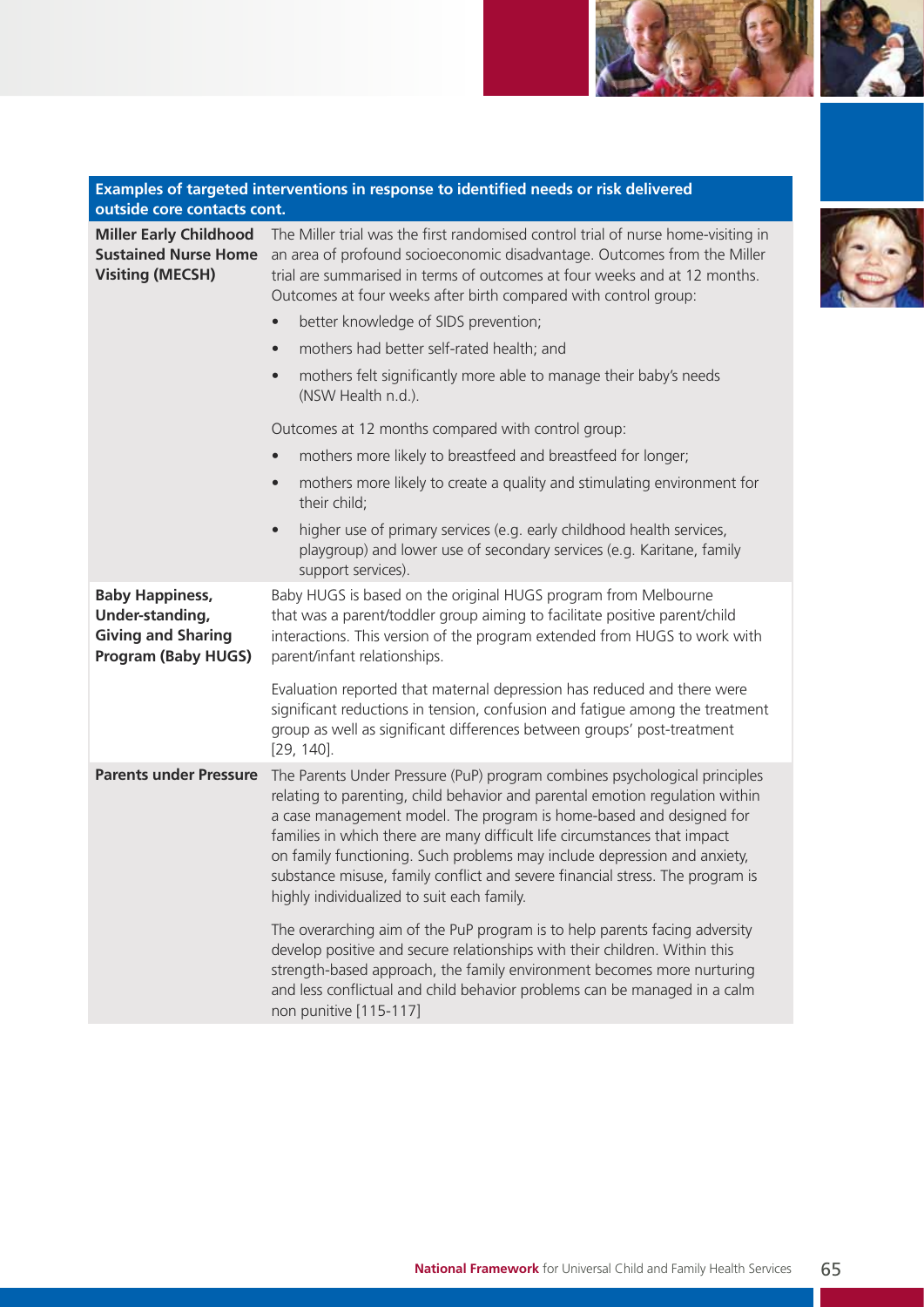

## **Examples of targeted interventions in response to identified needs or risk delivered outside core contacts cont.**

| <b>Miller Early Childhood</b><br><b>Sustained Nurse Home</b><br><b>Visiting (MECSH)</b>              | The Miller trial was the first randomised control trial of nurse home-visiting in<br>an area of profound socioeconomic disadvantage. Outcomes from the Miller<br>trial are summarised in terms of outcomes at four weeks and at 12 months.<br>Outcomes at four weeks after birth compared with control group:                                                                                                                                                                                                             |  |  |
|------------------------------------------------------------------------------------------------------|---------------------------------------------------------------------------------------------------------------------------------------------------------------------------------------------------------------------------------------------------------------------------------------------------------------------------------------------------------------------------------------------------------------------------------------------------------------------------------------------------------------------------|--|--|
|                                                                                                      | better knowledge of SIDS prevention;<br>$\bullet$                                                                                                                                                                                                                                                                                                                                                                                                                                                                         |  |  |
|                                                                                                      | mothers had better self-rated health; and<br>$\bullet$                                                                                                                                                                                                                                                                                                                                                                                                                                                                    |  |  |
|                                                                                                      | mothers felt significantly more able to manage their baby's needs<br>$\bullet$<br>(NSW Health n.d.).                                                                                                                                                                                                                                                                                                                                                                                                                      |  |  |
|                                                                                                      | Outcomes at 12 months compared with control group:                                                                                                                                                                                                                                                                                                                                                                                                                                                                        |  |  |
|                                                                                                      | mothers more likely to breastfeed and breastfeed for longer;<br>$\bullet$                                                                                                                                                                                                                                                                                                                                                                                                                                                 |  |  |
|                                                                                                      | mothers more likely to create a quality and stimulating environment for<br>$\bullet$<br>their child;                                                                                                                                                                                                                                                                                                                                                                                                                      |  |  |
|                                                                                                      | higher use of primary services (e.g. early childhood health services,<br>$\bullet$<br>playgroup) and lower use of secondary services (e.g. Karitane, family<br>support services).                                                                                                                                                                                                                                                                                                                                         |  |  |
| <b>Baby Happiness,</b><br>Under-standing,<br><b>Giving and Sharing</b><br><b>Program (Baby HUGS)</b> | Baby HUGS is based on the original HUGS program from Melbourne<br>that was a parent/toddler group aiming to facilitate positive parent/child<br>interactions. This version of the program extended from HUGS to work with<br>parent/infant relationships.                                                                                                                                                                                                                                                                 |  |  |
|                                                                                                      | Evaluation reported that maternal depression has reduced and there were<br>significant reductions in tension, confusion and fatigue among the treatment<br>group as well as significant differences between groups' post-treatment<br>$[29, 140]$ .                                                                                                                                                                                                                                                                       |  |  |
| <b>Parents under Pressure</b>                                                                        | The Parents Under Pressure (PuP) program combines psychological principles<br>relating to parenting, child behavior and parental emotion regulation within<br>a case management model. The program is home-based and designed for<br>families in which there are many difficult life circumstances that impact<br>on family functioning. Such problems may include depression and anxiety,<br>substance misuse, family conflict and severe financial stress. The program is<br>highly individualized to suit each family. |  |  |
|                                                                                                      | The overarching aim of the PuP program is to help parents facing adversity<br>develop positive and secure relationships with their children. Within this<br>strength-based approach, the family environment becomes more nurturing<br>and less conflictual and child behavior problems can be managed in a calm<br>non punitive [115-117]                                                                                                                                                                                 |  |  |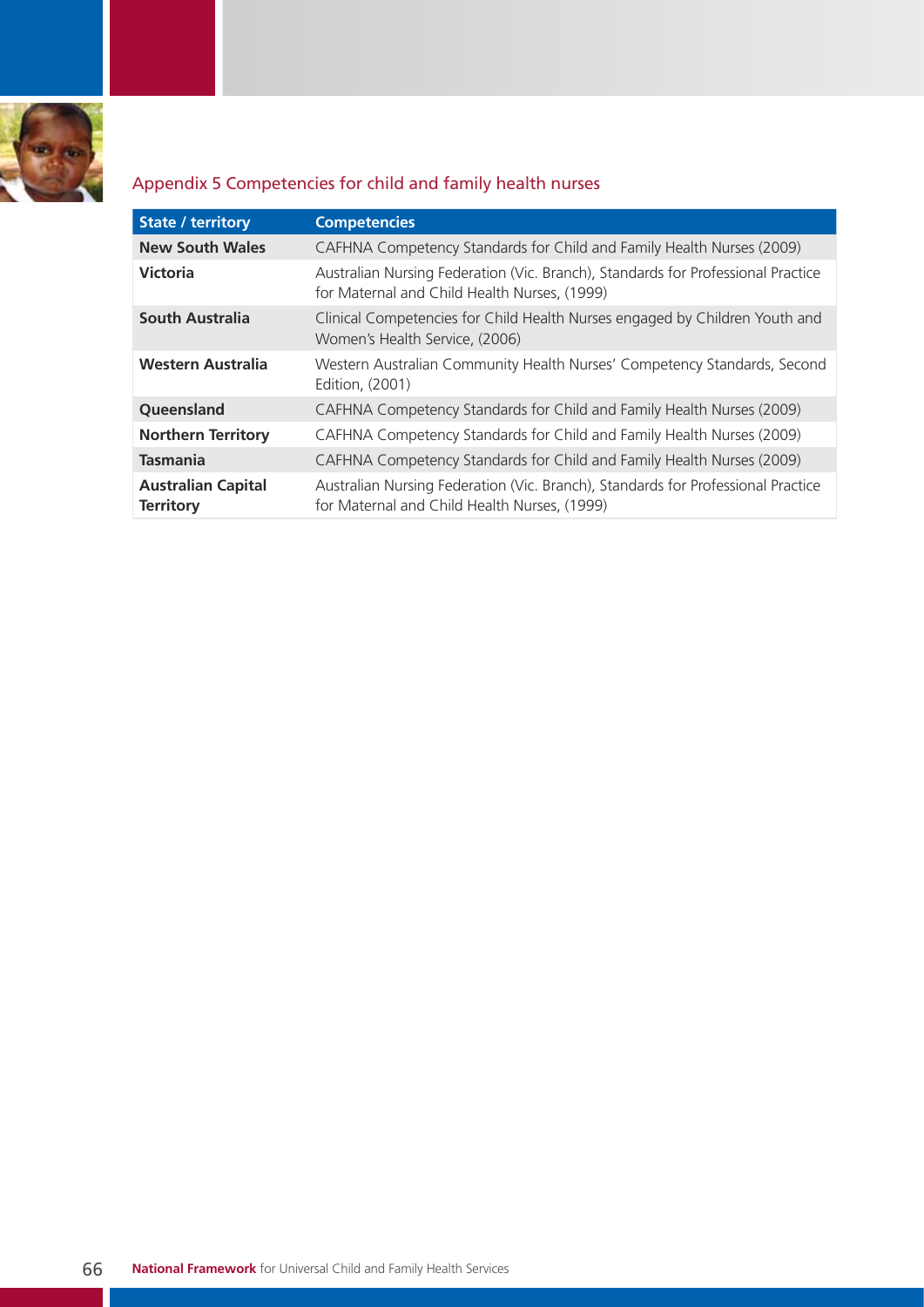

## Appendix 5 Competencies for child and family health nurses

| <b>State / territory</b>                      | <b>Competencies</b>                                                                                                              |
|-----------------------------------------------|----------------------------------------------------------------------------------------------------------------------------------|
| <b>New South Wales</b>                        | CAFHNA Competency Standards for Child and Family Health Nurses (2009)                                                            |
| <b>Victoria</b>                               | Australian Nursing Federation (Vic. Branch), Standards for Professional Practice<br>for Maternal and Child Health Nurses, (1999) |
| South Australia                               | Clinical Competencies for Child Health Nurses engaged by Children Youth and<br>Women's Health Service, (2006)                    |
| Western Australia                             | Western Australian Community Health Nurses' Competency Standards, Second<br>Edition, (2001)                                      |
| Queensland                                    | CAFHNA Competency Standards for Child and Family Health Nurses (2009)                                                            |
| <b>Northern Territory</b>                     | CAFHNA Competency Standards for Child and Family Health Nurses (2009)                                                            |
| <b>Tasmania</b>                               | CAFHNA Competency Standards for Child and Family Health Nurses (2009)                                                            |
| <b>Australian Capital</b><br><b>Territory</b> | Australian Nursing Federation (Vic. Branch), Standards for Professional Practice<br>for Maternal and Child Health Nurses, (1999) |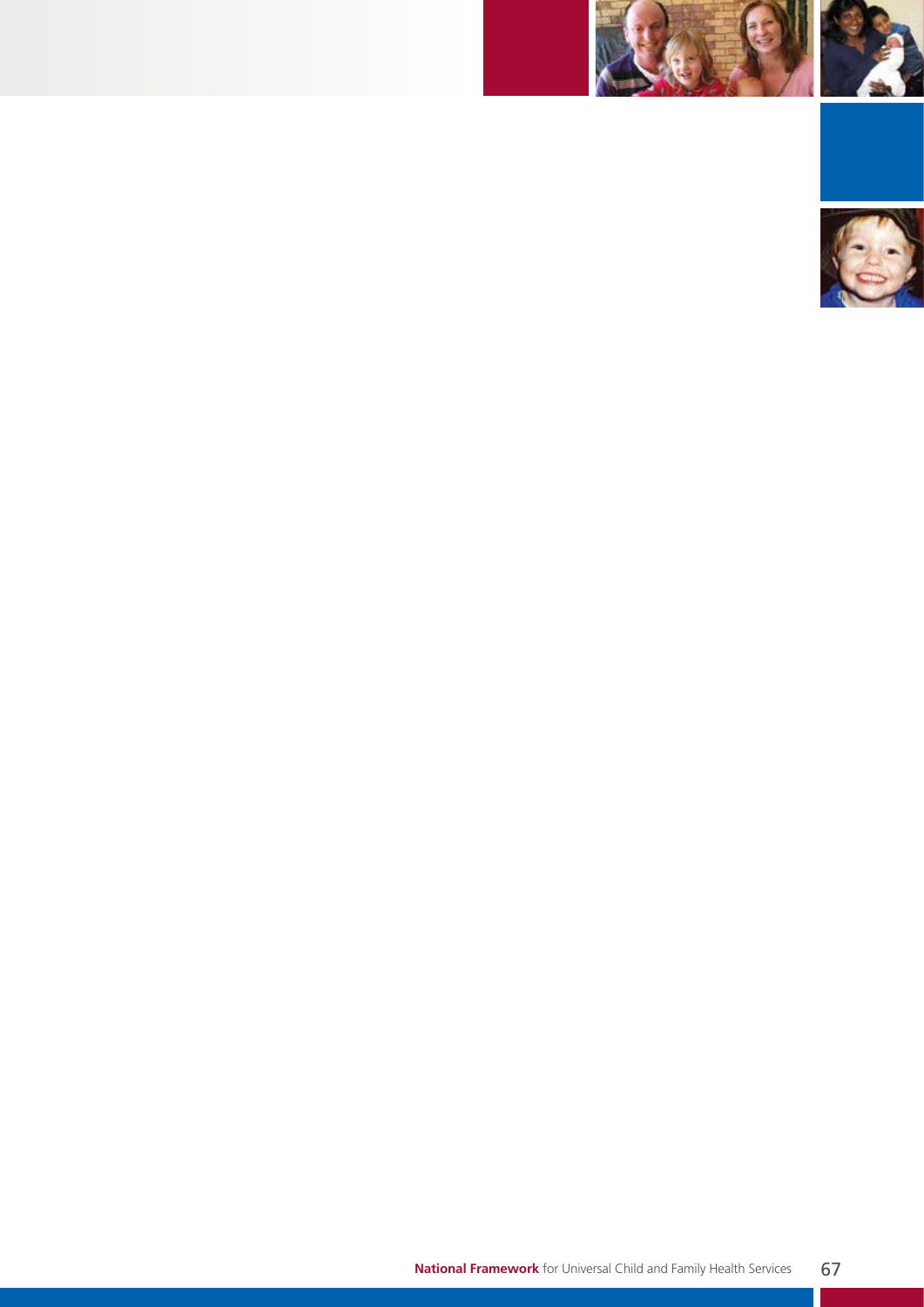



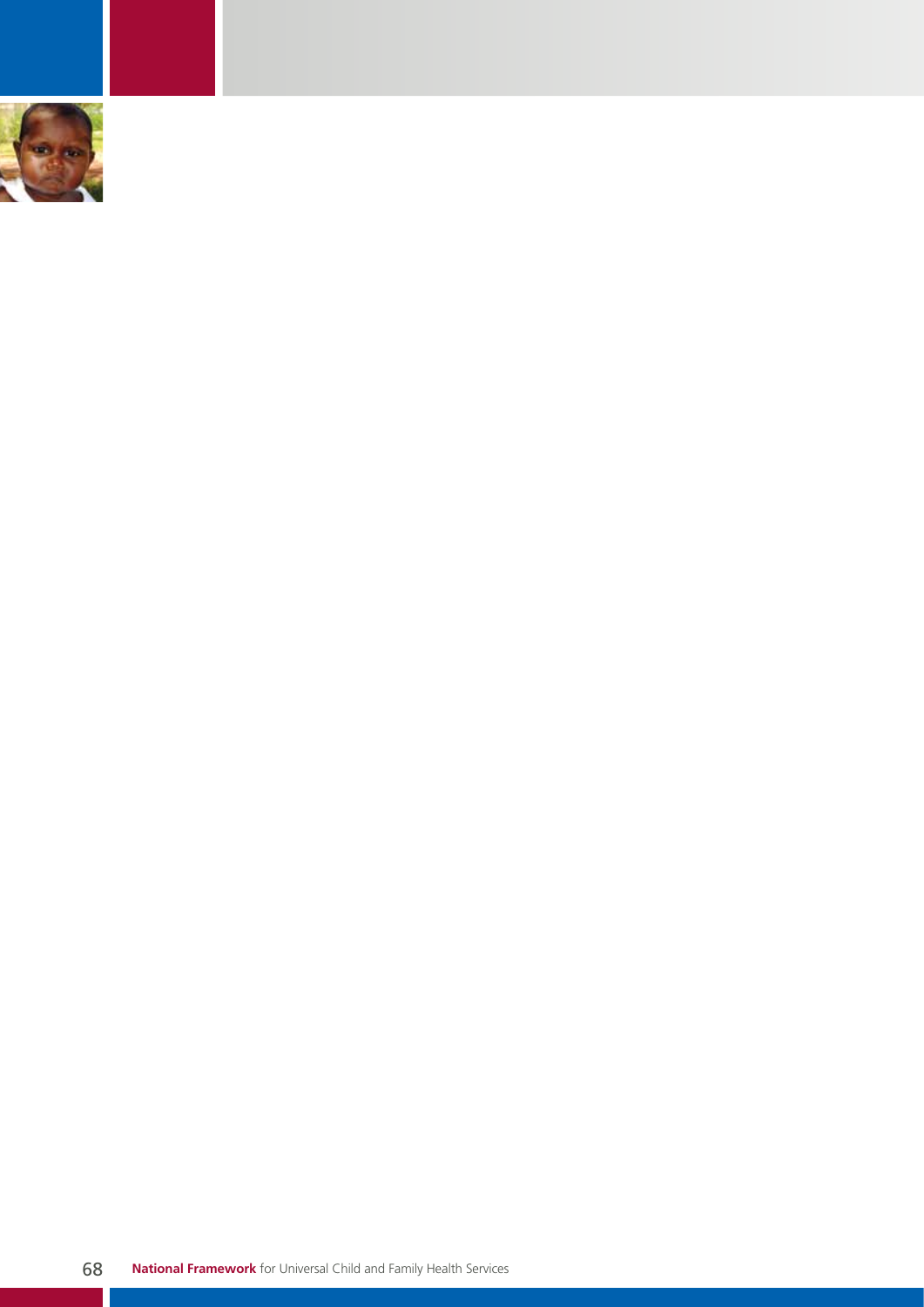